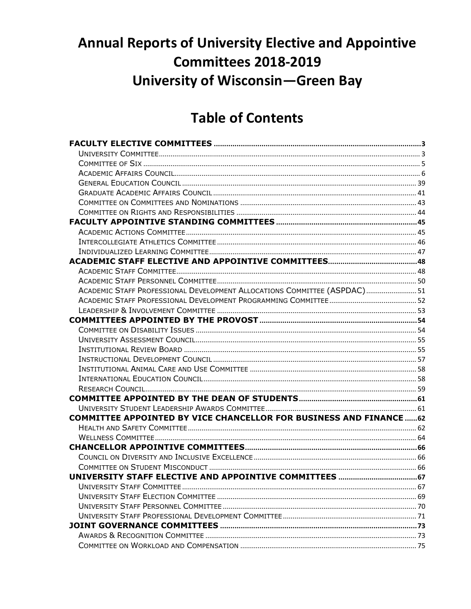# **Annual Reports of University Elective and Appointive Committees 2018-2019 University of Wisconsin-Green Bay**

# **Table of Contents**

| ACADEMIC STAFF PROFESSIONAL DEVELOPMENT ALLOCATIONS COMMITTEE (ASPDAC) 51  |  |
|----------------------------------------------------------------------------|--|
|                                                                            |  |
|                                                                            |  |
|                                                                            |  |
|                                                                            |  |
|                                                                            |  |
|                                                                            |  |
|                                                                            |  |
|                                                                            |  |
|                                                                            |  |
|                                                                            |  |
|                                                                            |  |
|                                                                            |  |
| <b>COMMITTEE APPOINTED BY VICE CHANCELLOR FOR BUSINESS AND FINANCE  62</b> |  |
|                                                                            |  |
|                                                                            |  |
|                                                                            |  |
|                                                                            |  |
|                                                                            |  |
|                                                                            |  |
|                                                                            |  |
|                                                                            |  |
|                                                                            |  |
|                                                                            |  |
|                                                                            |  |
|                                                                            |  |
|                                                                            |  |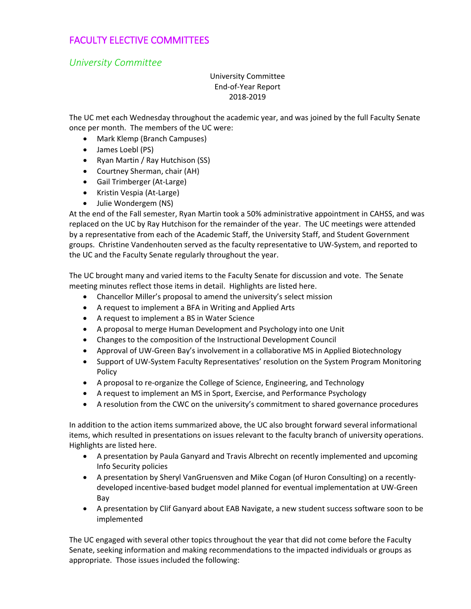# <span id="page-1-1"></span><span id="page-1-0"></span>FACULTY ELECTIVE COMMITTEES

*University Committee*

## University Committee End-of-Year Report 2018-2019

The UC met each Wednesday throughout the academic year, and was joined by the full Faculty Senate once per month. The members of the UC were:

- Mark Klemp (Branch Campuses)
- James Loebl (PS)
- Ryan Martin / Ray Hutchison (SS)
- Courtney Sherman, chair (AH)
- Gail Trimberger (At-Large)
- Kristin Vespia (At-Large)
- Julie Wondergem (NS)

At the end of the Fall semester, Ryan Martin took a 50% administrative appointment in CAHSS, and was replaced on the UC by Ray Hutchison for the remainder of the year. The UC meetings were attended by a representative from each of the Academic Staff, the University Staff, and Student Government groups. Christine Vandenhouten served as the faculty representative to UW-System, and reported to the UC and the Faculty Senate regularly throughout the year.

The UC brought many and varied items to the Faculty Senate for discussion and vote. The Senate meeting minutes reflect those items in detail. Highlights are listed here.

- Chancellor Miller's proposal to amend the university's select mission
- A request to implement a BFA in Writing and Applied Arts
- A request to implement a BS in Water Science
- A proposal to merge Human Development and Psychology into one Unit
- Changes to the composition of the Instructional Development Council
- Approval of UW-Green Bay's involvement in a collaborative MS in Applied Biotechnology
- Support of UW-System Faculty Representatives' resolution on the System Program Monitoring Policy
- A proposal to re-organize the College of Science, Engineering, and Technology
- A request to implement an MS in Sport, Exercise, and Performance Psychology
- A resolution from the CWC on the university's commitment to shared governance procedures

In addition to the action items summarized above, the UC also brought forward several informational items, which resulted in presentations on issues relevant to the faculty branch of university operations. Highlights are listed here.

- A presentation by Paula Ganyard and Travis Albrecht on recently implemented and upcoming Info Security policies
- A presentation by Sheryl VanGruensven and Mike Cogan (of Huron Consulting) on a recentlydeveloped incentive-based budget model planned for eventual implementation at UW-Green Bay
- A presentation by Clif Ganyard about EAB Navigate, a new student success software soon to be implemented

The UC engaged with several other topics throughout the year that did not come before the Faculty Senate, seeking information and making recommendations to the impacted individuals or groups as appropriate. Those issues included the following: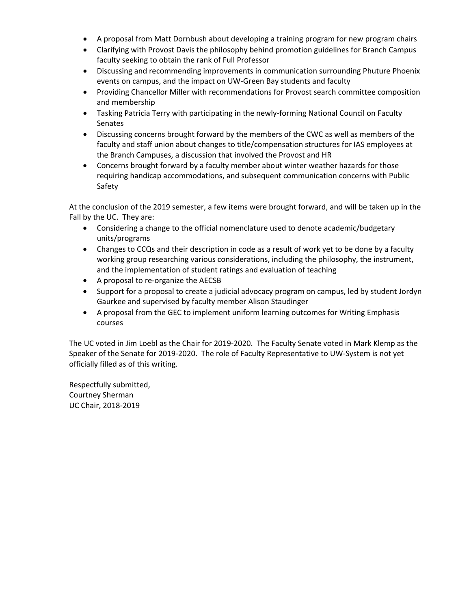- A proposal from Matt Dornbush about developing a training program for new program chairs
- Clarifying with Provost Davis the philosophy behind promotion guidelines for Branch Campus faculty seeking to obtain the rank of Full Professor
- Discussing and recommending improvements in communication surrounding Phuture Phoenix events on campus, and the impact on UW-Green Bay students and faculty
- Providing Chancellor Miller with recommendations for Provost search committee composition and membership
- Tasking Patricia Terry with participating in the newly-forming National Council on Faculty Senates
- Discussing concerns brought forward by the members of the CWC as well as members of the faculty and staff union about changes to title/compensation structures for IAS employees at the Branch Campuses, a discussion that involved the Provost and HR
- Concerns brought forward by a faculty member about winter weather hazards for those requiring handicap accommodations, and subsequent communication concerns with Public Safety

At the conclusion of the 2019 semester, a few items were brought forward, and will be taken up in the Fall by the UC. They are:

- Considering a change to the official nomenclature used to denote academic/budgetary units/programs
- Changes to CCQs and their description in code as a result of work yet to be done by a faculty working group researching various considerations, including the philosophy, the instrument, and the implementation of student ratings and evaluation of teaching
- A proposal to re-organize the AECSB
- Support for a proposal to create a judicial advocacy program on campus, led by student Jordyn Gaurkee and supervised by faculty member Alison Staudinger
- A proposal from the GEC to implement uniform learning outcomes for Writing Emphasis courses

The UC voted in Jim Loebl as the Chair for 2019-2020. The Faculty Senate voted in Mark Klemp as the Speaker of the Senate for 2019-2020. The role of Faculty Representative to UW-System is not yet officially filled as of this writing.

Respectfully submitted, Courtney Sherman UC Chair, 2018-2019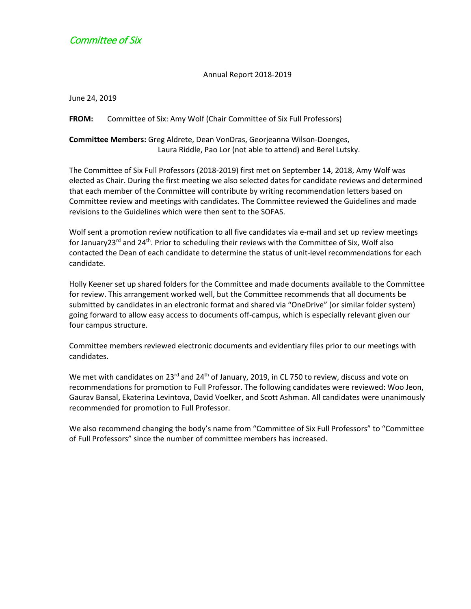# <span id="page-3-0"></span>Committee of Six

Annual Report 2018-2019

June 24, 2019

**FROM:** Committee of Six: Amy Wolf (Chair Committee of Six Full Professors)

**Committee Members:** Greg Aldrete, Dean VonDras, Georjeanna Wilson-Doenges, Laura Riddle, Pao Lor (not able to attend) and Berel Lutsky.

The Committee of Six Full Professors (2018-2019) first met on September 14, 2018, Amy Wolf was elected as Chair. During the first meeting we also selected dates for candidate reviews and determined that each member of the Committee will contribute by writing recommendation letters based on Committee review and meetings with candidates. The Committee reviewed the Guidelines and made revisions to the Guidelines which were then sent to the SOFAS.

Wolf sent a promotion review notification to all five candidates via e-mail and set up review meetings for January23<sup>rd</sup> and 24<sup>th</sup>. Prior to scheduling their reviews with the Committee of Six, Wolf also contacted the Dean of each candidate to determine the status of unit-level recommendations for each candidate.

Holly Keener set up shared folders for the Committee and made documents available to the Committee for review. This arrangement worked well, but the Committee recommends that all documents be submitted by candidates in an electronic format and shared via "OneDrive" (or similar folder system) going forward to allow easy access to documents off-campus, which is especially relevant given our four campus structure.

Committee members reviewed electronic documents and evidentiary files prior to our meetings with candidates.

We met with candidates on 23<sup>rd</sup> and 24<sup>th</sup> of January, 2019, in CL 750 to review, discuss and vote on recommendations for promotion to Full Professor. The following candidates were reviewed: Woo Jeon, Gaurav Bansal, Ekaterina Levintova, David Voelker, and Scott Ashman. All candidates were unanimously recommended for promotion to Full Professor.

We also recommend changing the body's name from "Committee of Six Full Professors" to "Committee of Full Professors" since the number of committee members has increased.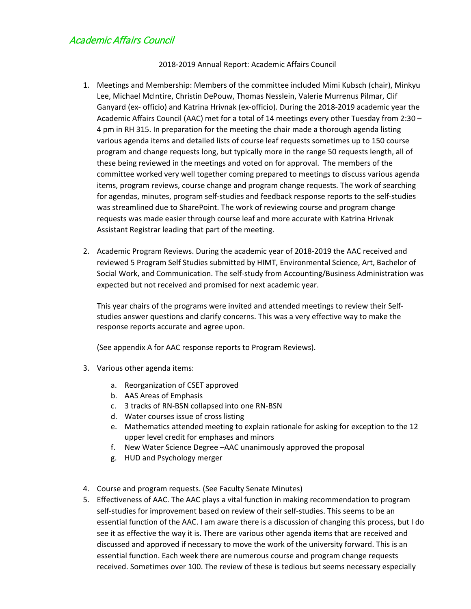# <span id="page-4-0"></span>Academic Affairs Council

#### 2018-2019 Annual Report: Academic Affairs Council

- 1. Meetings and Membership: Members of the committee included Mimi Kubsch (chair), Minkyu Lee, Michael McIntire, Christin DePouw, Thomas Nesslein, Valerie Murrenus Pilmar, Clif Ganyard (ex- officio) and Katrina Hrivnak (ex-officio). During the 2018-2019 academic year the Academic Affairs Council (AAC) met for a total of 14 meetings every other Tuesday from 2:30 – 4 pm in RH 315. In preparation for the meeting the chair made a thorough agenda listing various agenda items and detailed lists of course leaf requests sometimes up to 150 course program and change requests long, but typically more in the range 50 requests length, all of these being reviewed in the meetings and voted on for approval. The members of the committee worked very well together coming prepared to meetings to discuss various agenda items, program reviews, course change and program change requests. The work of searching for agendas, minutes, program self-studies and feedback response reports to the self-studies was streamlined due to SharePoint. The work of reviewing course and program change requests was made easier through course leaf and more accurate with Katrina Hrivnak Assistant Registrar leading that part of the meeting.
- 2. Academic Program Reviews. During the academic year of 2018-2019 the AAC received and reviewed 5 Program Self Studies submitted by HIMT, Environmental Science, Art, Bachelor of Social Work, and Communication. The self-study from Accounting/Business Administration was expected but not received and promised for next academic year.

This year chairs of the programs were invited and attended meetings to review their Selfstudies answer questions and clarify concerns. This was a very effective way to make the response reports accurate and agree upon.

(See appendix A for AAC response reports to Program Reviews).

- 3. Various other agenda items:
	- a. Reorganization of CSET approved
	- b. AAS Areas of Emphasis
	- c. 3 tracks of RN-BSN collapsed into one RN-BSN
	- d. Water courses issue of cross listing
	- e. Mathematics attended meeting to explain rationale for asking for exception to the 12 upper level credit for emphases and minors
	- f. New Water Science Degree –AAC unanimously approved the proposal
	- g. HUD and Psychology merger
- 4. Course and program requests. (See Faculty Senate Minutes)
- 5. Effectiveness of AAC. The AAC plays a vital function in making recommendation to program self-studies for improvement based on review of their self-studies. This seems to be an essential function of the AAC. I am aware there is a discussion of changing this process, but I do see it as effective the way it is. There are various other agenda items that are received and discussed and approved if necessary to move the work of the university forward. This is an essential function. Each week there are numerous course and program change requests received. Sometimes over 100. The review of these is tedious but seems necessary especially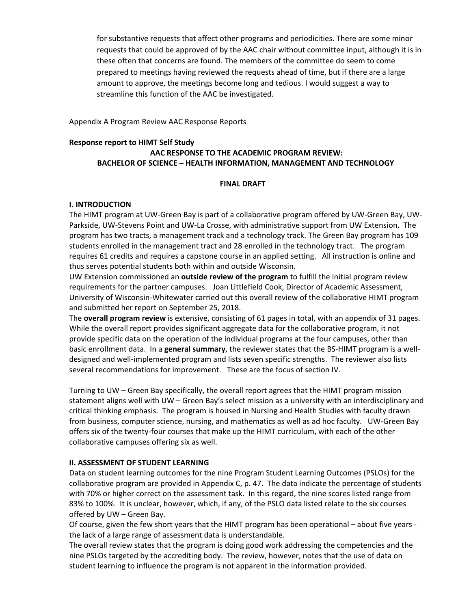for substantive requests that affect other programs and periodicities. There are some minor requests that could be approved of by the AAC chair without committee input, although it is in these often that concerns are found. The members of the committee do seem to come prepared to meetings having reviewed the requests ahead of time, but if there are a large amount to approve, the meetings become long and tedious. I would suggest a way to streamline this function of the AAC be investigated.

Appendix A Program Review AAC Response Reports

#### **Response report to HIMT Self Study AAC RESPONSE TO THE ACADEMIC PROGRAM REVIEW: BACHELOR OF SCIENCE – HEALTH INFORMATION, MANAGEMENT AND TECHNOLOGY**

#### **FINAL DRAFT**

#### **I. INTRODUCTION**

The HIMT program at UW-Green Bay is part of a collaborative program offered by UW-Green Bay, UW-Parkside, UW-Stevens Point and UW-La Crosse, with administrative support from UW Extension. The program has two tracts, a management track and a technology track. The Green Bay program has 109 students enrolled in the management tract and 28 enrolled in the technology tract. The program requires 61 credits and requires a capstone course in an applied setting. All instruction is online and thus serves potential students both within and outside Wisconsin.

UW Extension commissioned an **outside review of the program** to fulfill the initial program review requirements for the partner campuses. Joan Littlefield Cook, Director of Academic Assessment, University of Wisconsin-Whitewater carried out this overall review of the collaborative HIMT program and submitted her report on September 25, 2018.

The **overall program review** is extensive, consisting of 61 pages in total, with an appendix of 31 pages. While the overall report provides significant aggregate data for the collaborative program, it not provide specific data on the operation of the individual programs at the four campuses, other than basic enrollment data. In a **general summary**, the reviewer states that the BS-HIMT program is a welldesigned and well-implemented program and lists seven specific strengths. The reviewer also lists several recommendations for improvement. These are the focus of section IV.

Turning to UW – Green Bay specifically, the overall report agrees that the HIMT program mission statement aligns well with UW – Green Bay's select mission as a university with an interdisciplinary and critical thinking emphasis. The program is housed in Nursing and Health Studies with faculty drawn from business, computer science, nursing, and mathematics as well as ad hoc faculty. UW-Green Bay offers six of the twenty-four courses that make up the HIMT curriculum, with each of the other collaborative campuses offering six as well.

#### **II. ASSESSMENT OF STUDENT LEARNING**

Data on student learning outcomes for the nine Program Student Learning Outcomes (PSLOs) for the collaborative program are provided in Appendix C, p. 47. The data indicate the percentage of students with 70% or higher correct on the assessment task. In this regard, the nine scores listed range from 83% to 100%. It is unclear, however, which, if any, of the PSLO data listed relate to the six courses offered by UW – Green Bay.

Of course, given the few short years that the HIMT program has been operational – about five years the lack of a large range of assessment data is understandable.

The overall review states that the program is doing good work addressing the competencies and the nine PSLOs targeted by the accrediting body. The review, however, notes that the use of data on student learning to influence the program is not apparent in the information provided.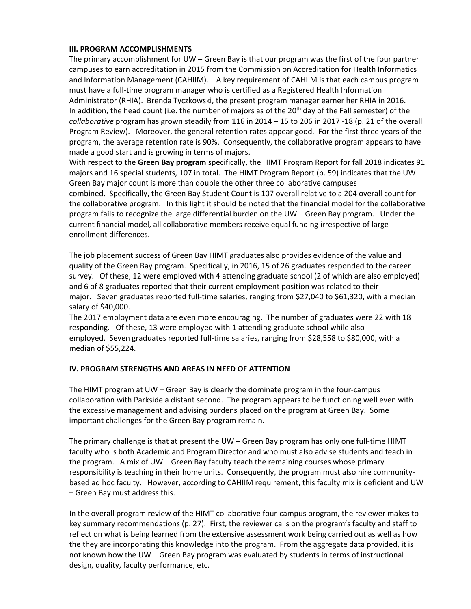#### **III. PROGRAM ACCOMPLISHMENTS**

The primary accomplishment for UW – Green Bay is that our program was the first of the four partner campuses to earn accreditation in 2015 from the Commission on Accreditation for Health Informatics and Information Management (CAHIIM). A key requirement of CAHIIM is that each campus program must have a full-time program manager who is certified as a Registered Health Information Administrator (RHIA). Brenda Tyczkowski, the present program manager earner her RHIA in 2016. In addition, the head count (i.e. the number of majors as of the 20<sup>th</sup> day of the Fall semester) of the *collaborative* program has grown steadily from 116 in 2014 – 15 to 206 in 2017 -18 (p. 21 of the overall Program Review). Moreover, the general retention rates appear good. For the first three years of the program, the average retention rate is 90%. Consequently, the collaborative program appears to have made a good start and is growing in terms of majors.

With respect to the **Green Bay program** specifically, the HIMT Program Report for fall 2018 indicates 91 majors and 16 special students, 107 in total. The HIMT Program Report (p. 59) indicates that the UW  $-$ Green Bay major count is more than double the other three collaborative campuses combined. Specifically, the Green Bay Student Count is 107 overall relative to a 204 overall count for the collaborative program. In this light it should be noted that the financial model for the collaborative program fails to recognize the large differential burden on the UW – Green Bay program. Under the current financial model, all collaborative members receive equal funding irrespective of large enrollment differences.

The job placement success of Green Bay HIMT graduates also provides evidence of the value and quality of the Green Bay program. Specifically, in 2016, 15 of 26 graduates responded to the career survey. Of these, 12 were employed with 4 attending graduate school (2 of which are also employed) and 6 of 8 graduates reported that their current employment position was related to their major. Seven graduates reported full-time salaries, ranging from \$27,040 to \$61,320, with a median salary of \$40,000.

The 2017 employment data are even more encouraging. The number of graduates were 22 with 18 responding. Of these, 13 were employed with 1 attending graduate school while also employed. Seven graduates reported full-time salaries, ranging from \$28,558 to \$80,000, with a median of \$55,224.

#### **IV. PROGRAM STRENGTHS AND AREAS IN NEED OF ATTENTION**

The HIMT program at UW – Green Bay is clearly the dominate program in the four-campus collaboration with Parkside a distant second. The program appears to be functioning well even with the excessive management and advising burdens placed on the program at Green Bay. Some important challenges for the Green Bay program remain.

The primary challenge is that at present the UW – Green Bay program has only one full-time HIMT faculty who is both Academic and Program Director and who must also advise students and teach in the program. A mix of UW – Green Bay faculty teach the remaining courses whose primary responsibility is teaching in their home units. Consequently, the program must also hire communitybased ad hoc faculty. However, according to CAHIIM requirement, this faculty mix is deficient and UW – Green Bay must address this.

In the overall program review of the HIMT collaborative four-campus program, the reviewer makes to key summary recommendations (p. 27). First, the reviewer calls on the program's faculty and staff to reflect on what is being learned from the extensive assessment work being carried out as well as how the they are incorporating this knowledge into the program. From the aggregate data provided, it is not known how the UW – Green Bay program was evaluated by students in terms of instructional design, quality, faculty performance, etc.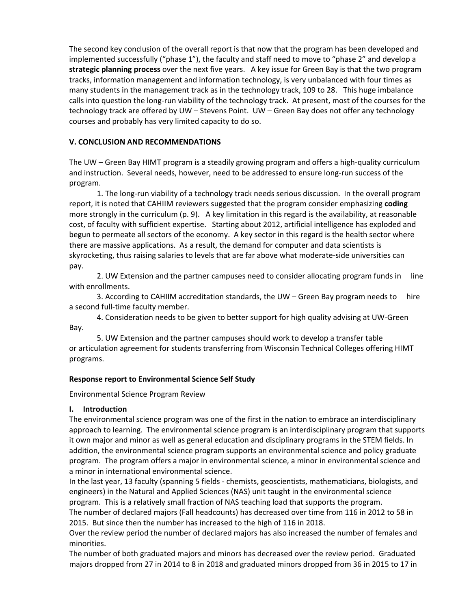The second key conclusion of the overall report is that now that the program has been developed and implemented successfully ("phase 1"), the faculty and staff need to move to "phase 2" and develop a **strategic planning process** over the next five years. A key issue for Green Bay is that the two program tracks, information management and information technology, is very unbalanced with four times as many students in the management track as in the technology track, 109 to 28. This huge imbalance calls into question the long-run viability of the technology track. At present, most of the courses for the technology track are offered by UW – Stevens Point. UW – Green Bay does not offer any technology courses and probably has very limited capacity to do so.

## **V. CONCLUSION AND RECOMMENDATIONS**

The UW – Green Bay HIMT program is a steadily growing program and offers a high-quality curriculum and instruction. Several needs, however, need to be addressed to ensure long-run success of the program.

1. The long-run viability of a technology track needs serious discussion. In the overall program report, it is noted that CAHIIM reviewers suggested that the program consider emphasizing **coding** more strongly in the curriculum (p. 9). A key limitation in this regard is the availability, at reasonable cost, of faculty with sufficient expertise. Starting about 2012, artificial intelligence has exploded and begun to permeate all sectors of the economy. A key sector in this regard is the health sector where there are massive applications. As a result, the demand for computer and data scientists is skyrocketing, thus raising salaries to levels that are far above what moderate-side universities can pay.

2. UW Extension and the partner campuses need to consider allocating program funds in line with enrollments.

3. According to CAHIIM accreditation standards, the UW – Green Bay program needs to hire a second full-time faculty member.

4. Consideration needs to be given to better support for high quality advising at UW-Green Bay.

5. UW Extension and the partner campuses should work to develop a transfer table or articulation agreement for students transferring from Wisconsin Technical Colleges offering HIMT programs.

## **Response report to Environmental Science Self Study**

Environmental Science Program Review

## **I. Introduction**

The environmental science program was one of the first in the nation to embrace an interdisciplinary approach to learning. The environmental science program is an interdisciplinary program that supports it own major and minor as well as general education and disciplinary programs in the STEM fields. In addition, the environmental science program supports an environmental science and policy graduate program. The program offers a major in environmental science, a minor in environmental science and a minor in international environmental science.

In the last year, 13 faculty (spanning 5 fields - chemists, geoscientists, mathematicians, biologists, and engineers) in the Natural and Applied Sciences (NAS) unit taught in the environmental science program. This is a relatively small fraction of NAS teaching load that supports the program.

The number of declared majors (Fall headcounts) has decreased over time from 116 in 2012 to 58 in 2015. But since then the number has increased to the high of 116 in 2018.

Over the review period the number of declared majors has also increased the number of females and minorities.

The number of both graduated majors and minors has decreased over the review period. Graduated majors dropped from 27 in 2014 to 8 in 2018 and graduated minors dropped from 36 in 2015 to 17 in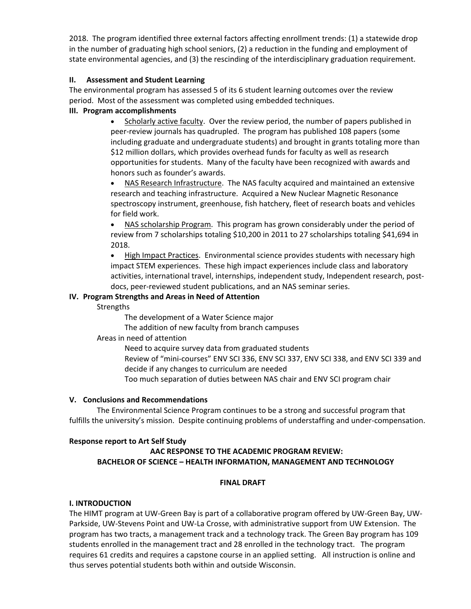2018. The program identified three external factors affecting enrollment trends: (1) a statewide drop in the number of graduating high school seniors, (2) a reduction in the funding and employment of state environmental agencies, and (3) the rescinding of the interdisciplinary graduation requirement.

#### **II. Assessment and Student Learning**

The environmental program has assessed 5 of its 6 student learning outcomes over the review period. Most of the assessment was completed using embedded techniques.

## **III. Program accomplishments**

Scholarly active faculty. Over the review period, the number of papers published in peer-review journals has quadrupled. The program has published 108 papers (some including graduate and undergraduate students) and brought in grants totaling more than \$12 million dollars, which provides overhead funds for faculty as well as research opportunities for students. Many of the faculty have been recognized with awards and honors such as founder's awards.

• NAS Research Infrastructure. The NAS faculty acquired and maintained an extensive research and teaching infrastructure. Acquired a New Nuclear Magnetic Resonance spectroscopy instrument, greenhouse, fish hatchery, fleet of research boats and vehicles for field work.

• NAS scholarship Program. This program has grown considerably under the period of review from 7 scholarships totaling \$10,200 in 2011 to 27 scholarships totaling \$41,694 in 2018.

• High Impact Practices. Environmental science provides students with necessary high impact STEM experiences. These high impact experiences include class and laboratory activities, international travel, internships, independent study, Independent research, postdocs, peer-reviewed student publications, and an NAS seminar series.

## **IV. Program Strengths and Areas in Need of Attention**

Strengths

The development of a Water Science major

The addition of new faculty from branch campuses

Areas in need of attention

Need to acquire survey data from graduated students

Review of "mini-courses" ENV SCI 336, ENV SCI 337, ENV SCI 338, and ENV SCI 339 and decide if any changes to curriculum are needed

Too much separation of duties between NAS chair and ENV SCI program chair

## **V. Conclusions and Recommendations**

The Environmental Science Program continues to be a strong and successful program that fulfills the university's mission. Despite continuing problems of understaffing and under-compensation.

## **Response report to Art Self Study**

## **AAC RESPONSE TO THE ACADEMIC PROGRAM REVIEW: BACHELOR OF SCIENCE – HEALTH INFORMATION, MANAGEMENT AND TECHNOLOGY**

## **FINAL DRAFT**

## **I. INTRODUCTION**

The HIMT program at UW-Green Bay is part of a collaborative program offered by UW-Green Bay, UW-Parkside, UW-Stevens Point and UW-La Crosse, with administrative support from UW Extension. The program has two tracts, a management track and a technology track. The Green Bay program has 109 students enrolled in the management tract and 28 enrolled in the technology tract. The program requires 61 credits and requires a capstone course in an applied setting. All instruction is online and thus serves potential students both within and outside Wisconsin.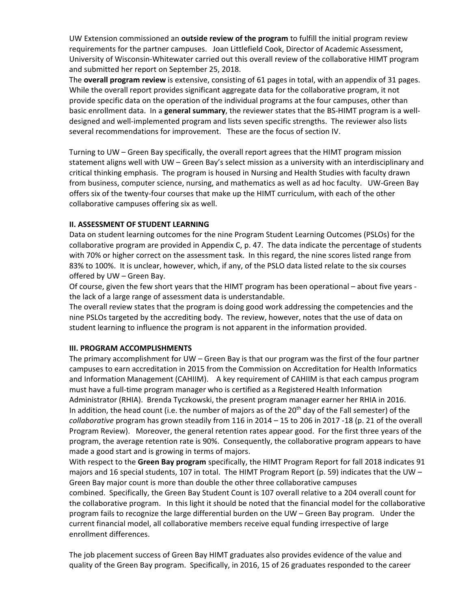UW Extension commissioned an **outside review of the program** to fulfill the initial program review requirements for the partner campuses. Joan Littlefield Cook, Director of Academic Assessment, University of Wisconsin-Whitewater carried out this overall review of the collaborative HIMT program and submitted her report on September 25, 2018.

The **overall program review** is extensive, consisting of 61 pages in total, with an appendix of 31 pages. While the overall report provides significant aggregate data for the collaborative program, it not provide specific data on the operation of the individual programs at the four campuses, other than basic enrollment data. In a **general summary**, the reviewer states that the BS-HIMT program is a welldesigned and well-implemented program and lists seven specific strengths. The reviewer also lists several recommendations for improvement. These are the focus of section IV.

Turning to UW – Green Bay specifically, the overall report agrees that the HIMT program mission statement aligns well with UW – Green Bay's select mission as a university with an interdisciplinary and critical thinking emphasis. The program is housed in Nursing and Health Studies with faculty drawn from business, computer science, nursing, and mathematics as well as ad hoc faculty. UW-Green Bay offers six of the twenty-four courses that make up the HIMT curriculum, with each of the other collaborative campuses offering six as well.

#### **II. ASSESSMENT OF STUDENT LEARNING**

Data on student learning outcomes for the nine Program Student Learning Outcomes (PSLOs) for the collaborative program are provided in Appendix C, p. 47. The data indicate the percentage of students with 70% or higher correct on the assessment task. In this regard, the nine scores listed range from 83% to 100%. It is unclear, however, which, if any, of the PSLO data listed relate to the six courses offered by UW – Green Bay.

Of course, given the few short years that the HIMT program has been operational – about five years the lack of a large range of assessment data is understandable.

The overall review states that the program is doing good work addressing the competencies and the nine PSLOs targeted by the accrediting body. The review, however, notes that the use of data on student learning to influence the program is not apparent in the information provided.

## **III. PROGRAM ACCOMPLISHMENTS**

The primary accomplishment for UW – Green Bay is that our program was the first of the four partner campuses to earn accreditation in 2015 from the Commission on Accreditation for Health Informatics and Information Management (CAHIIM). A key requirement of CAHIIM is that each campus program must have a full-time program manager who is certified as a Registered Health Information Administrator (RHIA). Brenda Tyczkowski, the present program manager earner her RHIA in 2016. In addition, the head count (i.e. the number of majors as of the  $20<sup>th</sup>$  day of the Fall semester) of the *collaborative* program has grown steadily from 116 in 2014 – 15 to 206 in 2017 -18 (p. 21 of the overall Program Review). Moreover, the general retention rates appear good. For the first three years of the program, the average retention rate is 90%. Consequently, the collaborative program appears to have made a good start and is growing in terms of majors.

With respect to the **Green Bay program** specifically, the HIMT Program Report for fall 2018 indicates 91 majors and 16 special students, 107 in total. The HIMT Program Report (p. 59) indicates that the UW  $-$ Green Bay major count is more than double the other three collaborative campuses combined. Specifically, the Green Bay Student Count is 107 overall relative to a 204 overall count for the collaborative program. In this light it should be noted that the financial model for the collaborative program fails to recognize the large differential burden on the UW – Green Bay program. Under the current financial model, all collaborative members receive equal funding irrespective of large enrollment differences.

The job placement success of Green Bay HIMT graduates also provides evidence of the value and quality of the Green Bay program. Specifically, in 2016, 15 of 26 graduates responded to the career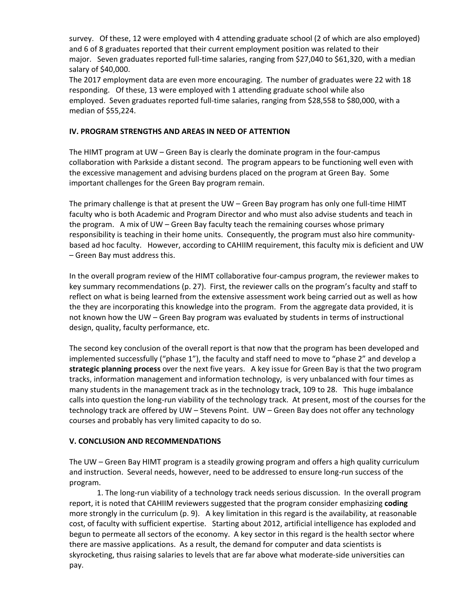survey. Of these, 12 were employed with 4 attending graduate school (2 of which are also employed) and 6 of 8 graduates reported that their current employment position was related to their major. Seven graduates reported full-time salaries, ranging from \$27,040 to \$61,320, with a median salary of \$40,000.

The 2017 employment data are even more encouraging. The number of graduates were 22 with 18 responding. Of these, 13 were employed with 1 attending graduate school while also employed. Seven graduates reported full-time salaries, ranging from \$28,558 to \$80,000, with a median of \$55,224.

#### **IV. PROGRAM STRENGTHS AND AREAS IN NEED OF ATTENTION**

The HIMT program at UW – Green Bay is clearly the dominate program in the four-campus collaboration with Parkside a distant second. The program appears to be functioning well even with the excessive management and advising burdens placed on the program at Green Bay. Some important challenges for the Green Bay program remain.

The primary challenge is that at present the UW – Green Bay program has only one full-time HIMT faculty who is both Academic and Program Director and who must also advise students and teach in the program. A mix of UW – Green Bay faculty teach the remaining courses whose primary responsibility is teaching in their home units. Consequently, the program must also hire communitybased ad hoc faculty. However, according to CAHIIM requirement, this faculty mix is deficient and UW – Green Bay must address this.

In the overall program review of the HIMT collaborative four-campus program, the reviewer makes to key summary recommendations (p. 27). First, the reviewer calls on the program's faculty and staff to reflect on what is being learned from the extensive assessment work being carried out as well as how the they are incorporating this knowledge into the program. From the aggregate data provided, it is not known how the UW – Green Bay program was evaluated by students in terms of instructional design, quality, faculty performance, etc.

The second key conclusion of the overall report is that now that the program has been developed and implemented successfully ("phase 1"), the faculty and staff need to move to "phase 2" and develop a **strategic planning process** over the next five years. A key issue for Green Bay is that the two program tracks, information management and information technology, is very unbalanced with four times as many students in the management track as in the technology track, 109 to 28. This huge imbalance calls into question the long-run viability of the technology track. At present, most of the courses for the technology track are offered by UW – Stevens Point. UW – Green Bay does not offer any technology courses and probably has very limited capacity to do so.

#### **V. CONCLUSION AND RECOMMENDATIONS**

The UW – Green Bay HIMT program is a steadily growing program and offers a high quality curriculum and instruction. Several needs, however, need to be addressed to ensure long-run success of the program.

1. The long-run viability of a technology track needs serious discussion. In the overall program report, it is noted that CAHIIM reviewers suggested that the program consider emphasizing **coding** more strongly in the curriculum (p. 9). A key limitation in this regard is the availability, at reasonable cost, of faculty with sufficient expertise. Starting about 2012, artificial intelligence has exploded and begun to permeate all sectors of the economy. A key sector in this regard is the health sector where there are massive applications. As a result, the demand for computer and data scientists is skyrocketing, thus raising salaries to levels that are far above what moderate-side universities can pay.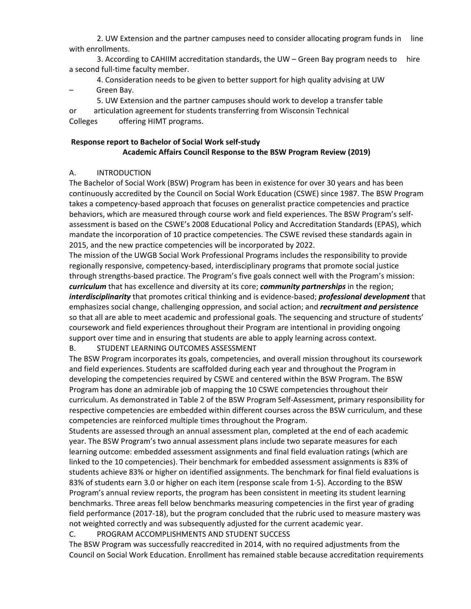2. UW Extension and the partner campuses need to consider allocating program funds in line with enrollments.

3. According to CAHIIM accreditation standards, the UW – Green Bay program needs to hire a second full-time faculty member.

4. Consideration needs to be given to better support for high quality advising at UW – Green Bay.

5. UW Extension and the partner campuses should work to develop a transfer table

or articulation agreement for students transferring from Wisconsin Technical Colleges offering HIMT programs.

## **Response report to Bachelor of Social Work self-study Academic Affairs Council Response to the BSW Program Review (2019)**

## A. INTRODUCTION

The Bachelor of Social Work (BSW) Program has been in existence for over 30 years and has been continuously accredited by the Council on Social Work Education (CSWE) since 1987. The BSW Program takes a competency-based approach that focuses on generalist practice competencies and practice behaviors, which are measured through course work and field experiences. The BSW Program's selfassessment is based on the CSWE's 2008 Educational Policy and Accreditation Standards (EPAS), which mandate the incorporation of 10 practice competencies. The CSWE revised these standards again in 2015, and the new practice competencies will be incorporated by 2022.

The mission of the UWGB Social Work Professional Programs includes the responsibility to provide regionally responsive, competency-based, interdisciplinary programs that promote social justice through strengths-based practice. The Program's five goals connect well with the Program's mission: *curriculum* that has excellence and diversity at its core; *community partnerships* in the region; *interdisciplinarity* that promotes critical thinking and is evidence-based; *professional development* that emphasizes social change, challenging oppression, and social action; and *recruitment and persistence* so that all are able to meet academic and professional goals. The sequencing and structure of students' coursework and field experiences throughout their Program are intentional in providing ongoing support over time and in ensuring that students are able to apply learning across context.

## B. STUDENT LEARNING OUTCOMES ASSESSMENT

The BSW Program incorporates its goals, competencies, and overall mission throughout its coursework and field experiences. Students are scaffolded during each year and throughout the Program in developing the competencies required by CSWE and centered within the BSW Program. The BSW Program has done an admirable job of mapping the 10 CSWE competencies throughout their curriculum. As demonstrated in Table 2 of the BSW Program Self-Assessment, primary responsibility for respective competencies are embedded within different courses across the BSW curriculum, and these competencies are reinforced multiple times throughout the Program.

Students are assessed through an annual assessment plan, completed at the end of each academic year. The BSW Program's two annual assessment plans include two separate measures for each learning outcome: embedded assessment assignments and final field evaluation ratings (which are linked to the 10 competencies). Their benchmark for embedded assessment assignments is 83% of students achieve 83% or higher on identified assignments. The benchmark for final field evaluations is 83% of students earn 3.0 or higher on each item (response scale from 1-5). According to the BSW Program's annual review reports, the program has been consistent in meeting its student learning benchmarks. Three areas fell below benchmarks measuring competencies in the first year of grading field performance (2017-18), but the program concluded that the rubric used to measure mastery was not weighted correctly and was subsequently adjusted for the current academic year.

#### C. PROGRAM ACCOMPLISHMENTS AND STUDENT SUCCESS

The BSW Program was successfully reaccredited in 2014, with no required adjustments from the Council on Social Work Education. Enrollment has remained stable because accreditation requirements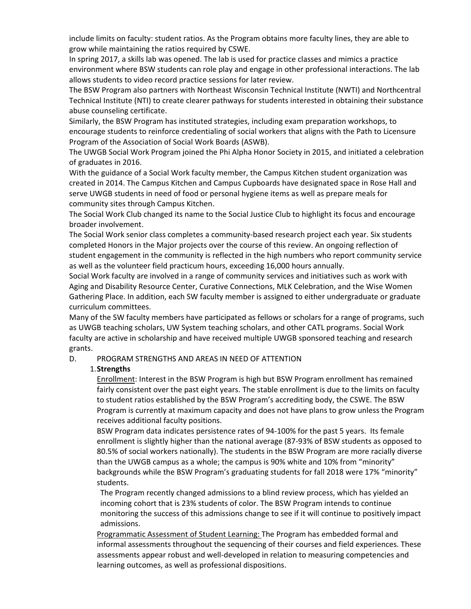include limits on faculty: student ratios. As the Program obtains more faculty lines, they are able to grow while maintaining the ratios required by CSWE.

In spring 2017, a skills lab was opened. The lab is used for practice classes and mimics a practice environment where BSW students can role play and engage in other professional interactions. The lab allows students to video record practice sessions for later review.

The BSW Program also partners with Northeast Wisconsin Technical Institute (NWTI) and Northcentral Technical Institute (NTI) to create clearer pathways for students interested in obtaining their substance abuse counseling certificate.

Similarly, the BSW Program has instituted strategies, including exam preparation workshops, to encourage students to reinforce credentialing of social workers that aligns with the Path to Licensure Program of the Association of Social Work Boards (ASWB).

The UWGB Social Work Program joined the Phi Alpha Honor Society in 2015, and initiated a celebration of graduates in 2016.

With the guidance of a Social Work faculty member, the Campus Kitchen student organization was created in 2014. The Campus Kitchen and Campus Cupboards have designated space in Rose Hall and serve UWGB students in need of food or personal hygiene items as well as prepare meals for community sites through Campus Kitchen.

The Social Work Club changed its name to the Social Justice Club to highlight its focus and encourage broader involvement.

The Social Work senior class completes a community-based research project each year. Six students completed Honors in the Major projects over the course of this review. An ongoing reflection of student engagement in the community is reflected in the high numbers who report community service as well as the volunteer field practicum hours, exceeding 16,000 hours annually.

Social Work faculty are involved in a range of community services and initiatives such as work with Aging and Disability Resource Center, Curative Connections, MLK Celebration, and the Wise Women Gathering Place. In addition, each SW faculty member is assigned to either undergraduate or graduate curriculum committees.

Many of the SW faculty members have participated as fellows or scholars for a range of programs, such as UWGB teaching scholars, UW System teaching scholars, and other CATL programs. Social Work faculty are active in scholarship and have received multiple UWGB sponsored teaching and research grants.

## D. PROGRAM STRENGTHS AND AREAS IN NEED OF ATTENTION

#### 1.**Strengths**

Enrollment: Interest in the BSW Program is high but BSW Program enrollment has remained fairly consistent over the past eight years. The stable enrollment is due to the limits on faculty to student ratios established by the BSW Program's accrediting body, the CSWE. The BSW Program is currently at maximum capacity and does not have plans to grow unless the Program receives additional faculty positions.

BSW Program data indicates persistence rates of 94-100% for the past 5 years. Its female enrollment is slightly higher than the national average (87-93% of BSW students as opposed to 80.5% of social workers nationally). The students in the BSW Program are more racially diverse than the UWGB campus as a whole; the campus is 90% white and 10% from "minority" backgrounds while the BSW Program's graduating students for fall 2018 were 17% "minority" students.

The Program recently changed admissions to a blind review process, which has yielded an incoming cohort that is 23% students of color. The BSW Program intends to continue monitoring the success of this admissions change to see if it will continue to positively impact admissions.

Programmatic Assessment of Student Learning: The Program has embedded formal and informal assessments throughout the sequencing of their courses and field experiences. These assessments appear robust and well-developed in relation to measuring competencies and learning outcomes, as well as professional dispositions.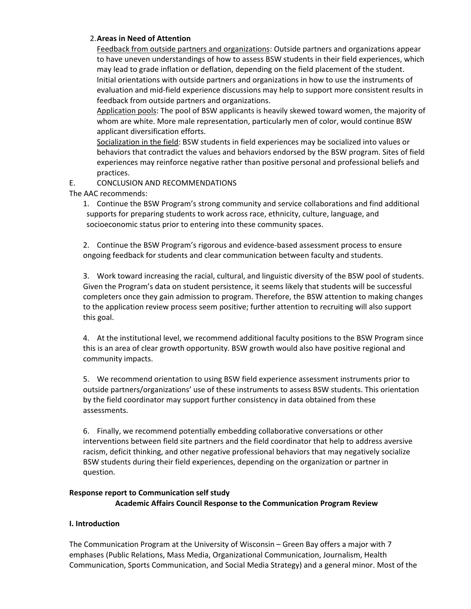#### 2.**Areas in Need of Attention**

Feedback from outside partners and organizations: Outside partners and organizations appear to have uneven understandings of how to assess BSW students in their field experiences, which may lead to grade inflation or deflation, depending on the field placement of the student. Initial orientations with outside partners and organizations in how to use the instruments of evaluation and mid-field experience discussions may help to support more consistent results in feedback from outside partners and organizations.

Application pools: The pool of BSW applicants is heavily skewed toward women, the majority of whom are white. More male representation, particularly men of color, would continue BSW applicant diversification efforts.

Socialization in the field: BSW students in field experiences may be socialized into values or behaviors that contradict the values and behaviors endorsed by the BSW program. Sites of field experiences may reinforce negative rather than positive personal and professional beliefs and practices.

## E. CONCLUSION AND RECOMMENDATIONS

The AAC recommends:

1. Continue the BSW Program's strong community and service collaborations and find additional supports for preparing students to work across race, ethnicity, culture, language, and socioeconomic status prior to entering into these community spaces.

2. Continue the BSW Program's rigorous and evidence-based assessment process to ensure ongoing feedback for students and clear communication between faculty and students.

3. Work toward increasing the racial, cultural, and linguistic diversity of the BSW pool of students. Given the Program's data on student persistence, it seems likely that students will be successful completers once they gain admission to program. Therefore, the BSW attention to making changes to the application review process seem positive; further attention to recruiting will also support this goal.

4. At the institutional level, we recommend additional faculty positions to the BSW Program since this is an area of clear growth opportunity. BSW growth would also have positive regional and community impacts.

5. We recommend orientation to using BSW field experience assessment instruments prior to outside partners/organizations' use of these instruments to assess BSW students. This orientation by the field coordinator may support further consistency in data obtained from these assessments.

6. Finally, we recommend potentially embedding collaborative conversations or other interventions between field site partners and the field coordinator that help to address aversive racism, deficit thinking, and other negative professional behaviors that may negatively socialize BSW students during their field experiences, depending on the organization or partner in question.

## **Response report to Communication self study Academic Affairs Council Response to the Communication Program Review**

#### **I. Introduction**

The Communication Program at the University of Wisconsin – Green Bay offers a major with 7 emphases (Public Relations, Mass Media, Organizational Communication, Journalism, Health Communication, Sports Communication, and Social Media Strategy) and a general minor. Most of the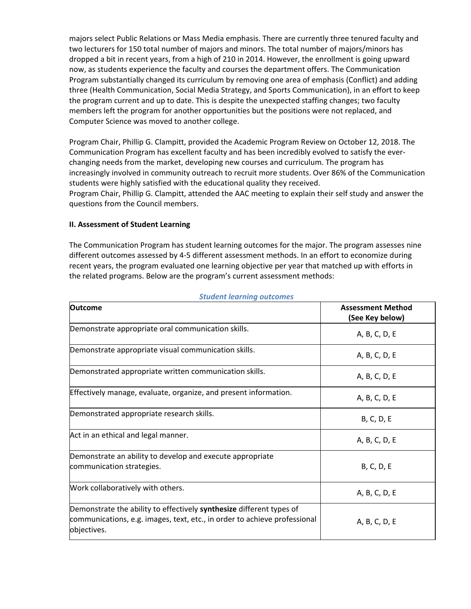majors select Public Relations or Mass Media emphasis. There are currently three tenured faculty and two lecturers for 150 total number of majors and minors. The total number of majors/minors has dropped a bit in recent years, from a high of 210 in 2014. However, the enrollment is going upward now, as students experience the faculty and courses the department offers. The Communication Program substantially changed its curriculum by removing one area of emphasis (Conflict) and adding three (Health Communication, Social Media Strategy, and Sports Communication), in an effort to keep the program current and up to date. This is despite the unexpected staffing changes; two faculty members left the program for another opportunities but the positions were not replaced, and Computer Science was moved to another college.

Program Chair, Phillip G. Clampitt, provided the Academic Program Review on October 12, 2018. The Communication Program has excellent faculty and has been incredibly evolved to satisfy the everchanging needs from the market, developing new courses and curriculum. The program has increasingly involved in community outreach to recruit more students. Over 86% of the Communication students were highly satisfied with the educational quality they received.

Program Chair, Phillip G. Clampitt, attended the AAC meeting to explain their self study and answer the questions from the Council members.

#### **II. Assessment of Student Learning**

The Communication Program has student learning outcomes for the major. The program assesses nine different outcomes assessed by 4-5 different assessment methods. In an effort to economize during recent years, the program evaluated one learning objective per year that matched up with efforts in the related programs. Below are the program's current assessment methods:

| <b>Outcome</b>                                                                                                                                                   | <b>Assessment Method</b><br>(See Key below) |
|------------------------------------------------------------------------------------------------------------------------------------------------------------------|---------------------------------------------|
| Demonstrate appropriate oral communication skills.                                                                                                               | A, B, C, D, E                               |
| Demonstrate appropriate visual communication skills.                                                                                                             | A, B, C, D, E                               |
| Demonstrated appropriate written communication skills.                                                                                                           | A, B, C, D, E                               |
| Effectively manage, evaluate, organize, and present information.                                                                                                 | A, B, C, D, E                               |
| Demonstrated appropriate research skills.                                                                                                                        | <b>B, C, D, E</b>                           |
| Act in an ethical and legal manner.                                                                                                                              | A, B, C, D, E                               |
| Demonstrate an ability to develop and execute appropriate<br>communication strategies.                                                                           | <b>B, C, D, E</b>                           |
| Work collaboratively with others.                                                                                                                                | A, B, C, D, E                               |
| Demonstrate the ability to effectively synthesize different types of<br>communications, e.g. images, text, etc., in order to achieve professional<br>objectives. | A, B, C, D, E                               |

#### *Student learning outcomes*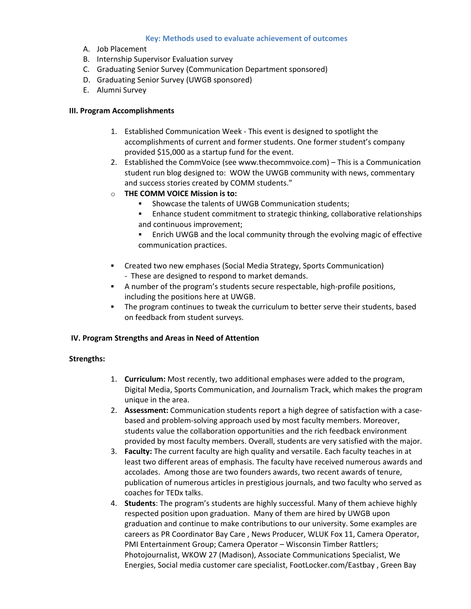#### **Key: Methods used to evaluate achievement of outcomes**

- A. Job Placement
- B. Internship Supervisor Evaluation survey
- C. Graduating Senior Survey (Communication Department sponsored)
- D. Graduating Senior Survey (UWGB sponsored)
- E. Alumni Survey

#### **III. Program Accomplishments**

- 1. Established Communication Week This event is designed to spotlight the accomplishments of current and former students. One former student's company provided \$15,000 as a startup fund for the event.
- 2. Established the CommVoice (see [www.thecommvoice.com\)](http://www.thecommvoice.com/) This is a Communication student run blog designed to: WOW the UWGB community with news, commentary and success stories created by COMM students."
- o **THE COMM VOICE Mission is to:**
	- Showcase the talents of UWGB Communication students;
	- Enhance student commitment to strategic thinking, collaborative relationships and continuous improvement;
	- Enrich UWGB and the local community through the evolving magic of effective communication practices.
- Created two new emphases (Social Media Strategy, Sports Communication) - These are designed to respond to market demands.
- A number of the program's students secure respectable, high-profile positions, including the positions here at UWGB.
- The program continues to tweak the curriculum to better serve their students, based on feedback from student surveys.

#### **IV. Program Strengths and Areas in Need of Attention**

#### **Strengths:**

- 1. **Curriculum:** Most recently, two additional emphases were added to the program, Digital Media, Sports Communication, and Journalism Track, which makes the program unique in the area.
- 2. **Assessment:** Communication students report a high degree of satisfaction with a casebased and problem-solving approach used by most faculty members. Moreover, students value the collaboration opportunities and the rich feedback environment provided by most faculty members. Overall, students are very satisfied with the major.
- 3. **Faculty:** The current faculty are high quality and versatile. Each faculty teaches in at least two different areas of emphasis. The faculty have received numerous awards and accolades. Among those are two founders awards, two recent awards of tenure, publication of numerous articles in prestigious journals, and two faculty who served as coaches for TEDx talks.
- 4. **Students**: The program's students are highly successful. Many of them achieve highly respected position upon graduation. Many of them are hired by UWGB upon graduation and continue to make contributions to our university. Some examples are careers as PR Coordinator Bay Care , News Producer, WLUK Fox 11, Camera Operator, PMI Entertainment Group; Camera Operator – Wisconsin Timber Rattlers; Photojournalist, WKOW 27 (Madison), Associate Communications Specialist, We Energies, Social media customer care specialist, FootLocker.com/Eastbay , Green Bay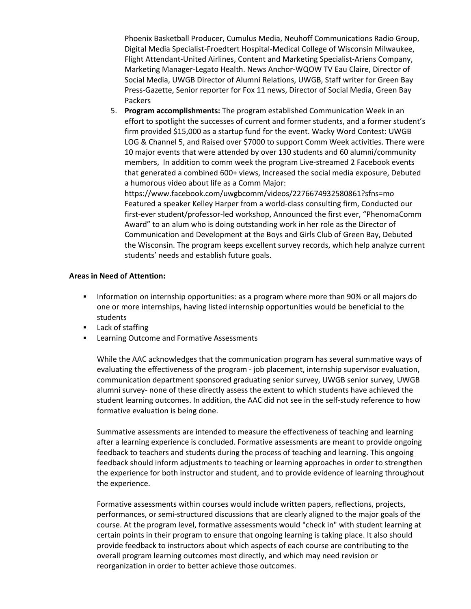Phoenix Basketball Producer, Cumulus Media, Neuhoff Communications Radio Group, Digital Media Specialist-Froedtert Hospital-Medical College of Wisconsin Milwaukee, Flight Attendant-United Airlines, Content and Marketing Specialist-Ariens Company, Marketing Manager-Legato Health. News Anchor-WQOW TV Eau Claire, Director of Social Media, UWGB Director of Alumni Relations, UWGB, Staff writer for Green Bay Press-Gazette, Senior reporter for Fox 11 news, Director of Social Media, Green Bay Packers

5. **Program accomplishments:** The program established Communication Week in an effort to spotlight the successes of current and former students, and a former student's firm provided \$15,000 as a startup fund for the event. Wacky Word Contest: UWGB LOG & Channel 5, and Raised over \$7000 to support Comm Week activities. There were 10 major events that were attended by over 130 students and 60 alumni/community members, In addition to comm week the program Live-streamed 2 Facebook events that generated a combined 600+ views, Increased the social media exposure, Debuted a humorous video about life as a Comm Major:

https://www.facebook.com/uwgbcomm/videos/2276674932580861?sfns=mo Featured a speaker Kelley Harper from a world-class consulting firm, Conducted our first-ever student/professor-led workshop, Announced the first ever, "PhenomaComm Award" to an alum who is doing outstanding work in her role as the Director of Communication and Development at the Boys and Girls Club of Green Bay, Debuted the Wisconsin. The program keeps excellent survey records, which help analyze current students' needs and establish future goals.

#### **Areas in Need of Attention:**

- **Information on internship opportunities: as a program where more than 90% or all majors do** one or more internships, having listed internship opportunities would be beneficial to the students
- **Lack of staffing**
- **EXEC** Learning Outcome and Formative Assessments

While the AAC acknowledges that the communication program has several summative ways of evaluating the effectiveness of the program - job placement, internship supervisor evaluation, communication department sponsored graduating senior survey, UWGB senior survey, UWGB alumni survey- none of these directly assess the extent to which students have achieved the student learning outcomes. In addition, the AAC did not see in the self-study reference to how formative evaluation is being done.

Summative assessments are intended to measure the effectiveness of teaching and learning after a learning experience is concluded. Formative assessments are meant to provide ongoing feedback to teachers and students during the process of teaching and learning. This ongoing feedback should inform adjustments to teaching or learning approaches in order to strengthen the experience for both instructor and student, and to provide evidence of learning throughout the experience.

Formative assessments within courses would include written papers, reflections, projects, performances, or semi-structured discussions that are clearly aligned to the major goals of the course. At the program level, formative assessments would "check in" with student learning at certain points in their program to ensure that ongoing learning is taking place. It also should provide feedback to instructors about which aspects of each course are contributing to the overall program learning outcomes most directly, and which may need revision or reorganization in order to better achieve those outcomes.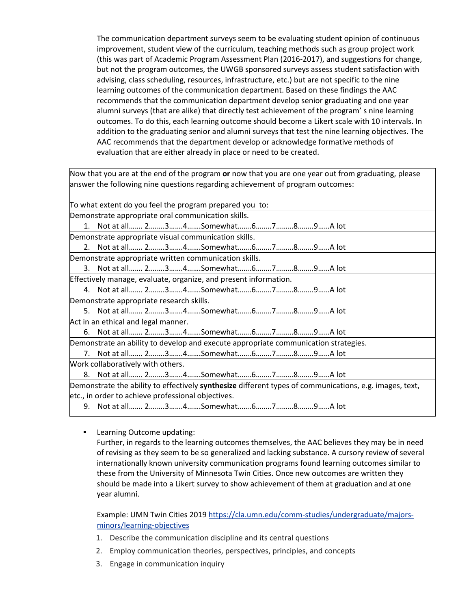The communication department surveys seem to be evaluating student opinion of continuous improvement, student view of the curriculum, teaching methods such as group project work (this was part of Academic Program Assessment Plan (2016-2017), and suggestions for change, but not the program outcomes, the UWGB sponsored surveys assess student satisfaction with advising, class scheduling, resources, infrastructure, etc.) but are not specific to the nine learning outcomes of the communication department. Based on these findings the AAC recommends that the communication department develop senior graduating and one year alumni surveys (that are alike) that directly test achievement of the program' s nine learning outcomes. To do this, each learning outcome should become a Likert scale with 10 intervals. In addition to the graduating senior and alumni surveys that test the nine learning objectives. The AAC recommends that the department develop or acknowledge formative methods of evaluation that are either already in place or need to be created.

Now that you are at the end of the program **or** now that you are one year out from graduating, please answer the following nine questions regarding achievement of program outcomes:

To what extent do you feel the program prepared you to:

Demonstrate appropriate oral communication skills.

1. Not at all……. 2….….3…….4…….Somewhat…….6……..7………8……..9……A lot Demonstrate appropriate visual communication skills.

2. Not at all……. 2….….3…….4…….Somewhat…….6……..7………8……..9……A lot

Demonstrate appropriate written communication skills.

3. Not at all……. 2….….3…….4…….Somewhat…….6……..7………8……..9……A lot

Effectively manage, evaluate, organize, and present information.

4. Not at all……. 2….….3…….4…….Somewhat…….6……..7………8……..9……A lot Demonstrate appropriate research skills.

5. Not at all……. 2….….3…….4…….Somewhat…….6……..7………8……..9……A lot

Act in an ethical and legal manner.

6. Not at all……. 2….….3…….4…….Somewhat…….6……..7………8……..9……A lot

Demonstrate an ability to develop and execute appropriate communication strategies.

7. Not at all……. 2….….3…….4…….Somewhat…….6……..7………8……..9……A lot

Work collaboratively with others.

8. Not at all……. 2….….3…….4…….Somewhat…….6……..7………8……..9……A lot

Demonstrate the ability to effectively **synthesize** different types of communications, e.g. images, text, etc., in order to achieve professional objectives.

9. Not at all……. 2….….3…….4…….Somewhat…….6……..7………8……..9……A lot

**Learning Outcome updating:** 

Further, in regards to the learning outcomes themselves, the AAC believes they may be in need of revising as they seem to be so generalized and lacking substance. A cursory review of several internationally known university communication programs found learning outcomes similar to these from the University of Minnesota Twin Cities. Once new outcomes are written they should be made into a Likert survey to show achievement of them at graduation and at one year alumni.

Example: UMN Twin Cities 2019 [https://cla.umn.edu/comm-studies/undergraduate/majors](https://cla.umn.edu/comm-studies/undergraduate/majors-minors/learning-objectives)[minors/learning-objectives](https://cla.umn.edu/comm-studies/undergraduate/majors-minors/learning-objectives)

- 1. Describe the communication discipline and its central questions
- 2. Employ communication theories, perspectives, principles, and concepts
- 3. Engage in communication inquiry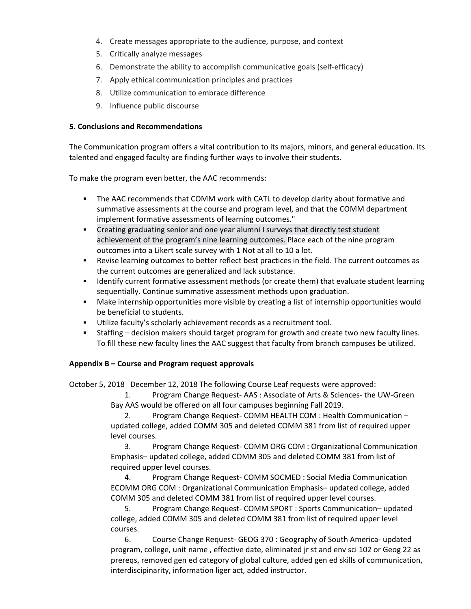- 4. Create messages appropriate to the audience, purpose, and context
- 5. Critically analyze messages
- 6. Demonstrate the ability to accomplish communicative goals (self-efficacy)
- 7. Apply ethical communication principles and practices
- 8. Utilize communication to embrace difference
- 9. Influence public discourse

#### **5. Conclusions and Recommendations**

The Communication program offers a vital contribution to its majors, minors, and general education. Its talented and engaged faculty are finding further ways to involve their students.

To make the program even better, the AAC recommends:

- The AAC recommends that COMM work with CATL to develop clarity about formative and summative assessments at the course and program level, and that the COMM department implement formative assessments of learning outcomes."
- Creating graduating senior and one year alumni I surveys that directly test student achievement of the program's nine learning outcomes. Place each of the nine program outcomes into a Likert scale survey with 1 Not at all to 10 a lot.
- Revise learning outcomes to better reflect best practices in the field. The current outcomes as the current outcomes are generalized and lack substance.
- **IDENTIFY CULTENTY CULTENT** current formative assessment methods (or create them) that evaluate student learning sequentially. Continue summative assessment methods upon graduation.
- Make internship opportunities more visible by creating a list of internship opportunities would be beneficial to students.
- Utilize faculty's scholarly achievement records as a recruitment tool.
- Staffing decision makers should target program for growth and create two new faculty lines. To fill these new faculty lines the AAC suggest that faculty from branch campuses be utilized.

#### **Appendix B – Course and Program request approvals**

October 5, 2018   December 12, 2018 The following Course Leaf requests were approved:  

1. Program Change Request- AAS : Associate of Arts & Sciences- the UW-Green Bay AAS would be offered on all four campuses beginning Fall 2019.   

2. Program Change Request- COMM HEALTH COM : Health Communication – updated college, added COMM 305 and deleted COMM 381 from list of required upper level courses. 

3. Program Change Request- COMM ORG COM : Organizational Communication Emphasis– updated college, added COMM 305 and deleted COMM 381 from list of required upper level courses. 

4. Program Change Request- COMM SOCMED : Social Media Communication ECOMM ORG COM : Organizational Communication Emphasis– updated college, added COMM 305 and deleted COMM 381 from list of required upper level courses. 

5. Program Change Request- COMM SPORT : Sports Communication– updated college, added COMM 305 and deleted COMM 381 from list of required upper level courses. 

6. Course Change Request- GEOG 370 : Geography of South America- updated program, college, unit name , effective date, eliminated jr st and env sci 102 or Geog 22 as prereqs, removed gen ed category of global culture, added gen ed skills of communication, interdiscipinarity, information liger act, added instructor.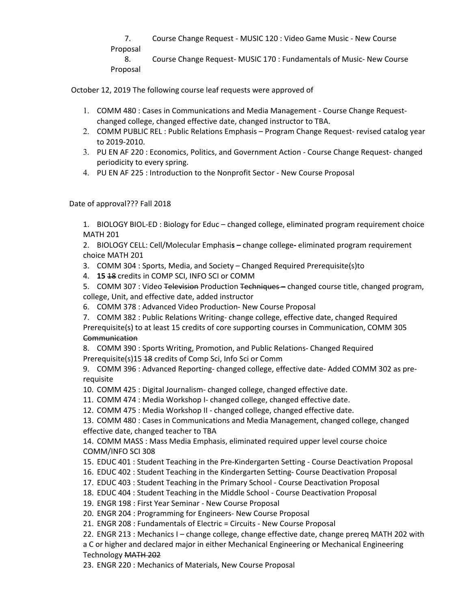7. Course Change Request - MUSIC 120 : Video Game Music - New Course Proposal  8. Course Change Request- MUSIC 170 : Fundamentals of Music- New Course Proposal 

October 12, 2019 The following course leaf requests were approved of

- 1. COMM 480 : Cases in Communications and Media Management Course Change Requestchanged college, changed effective date, changed instructor to TBA.
- 2. COMM PUBLIC REL : Public Relations Emphasis Program Change Request- revised catalog year to 2019-2010.
- 3. PU EN AF 220 : Economics, Politics, and Government Action Course Change Request- changed periodicity to every spring.
- 4. PU EN AF 225 : Introduction to the Nonprofit Sector New Course Proposal

Date of approval??? Fall 2018

1. BIOLOGY BIOL-ED : Biology for Educ – changed college, eliminated program requirement choice MATH 201 

2. BIOLOGY CELL: Cell/Molecular Emphasi**s –** change college**-** eliminated program requirement choice MATH 201 

- 3. COMM 304 : Sports, Media, and Society Changed Required Prerequisite(s)to
- 4. **15** 18 credits in COMP SCI, INFO SCI or COMM
- 5. COMM 307 : Video Television Production Techniques changed course title, changed program, college, Unit, and effective date, added instructor
- 6. COMM 378 : Advanced Video Production- New Course Proposal
- 7. COMM 382 : Public Relations Writing- change college, effective date, changed Required

Prerequisite(s) to at least 15 credits of core supporting courses in Communication, COMM 305 **Communication** 

8. COMM 390 : Sports Writing, Promotion, and Public Relations- Changed Required Prerequisite(s)15 18 credits of Comp Sci, Info Sci or Comm

9. COMM 396 : Advanced Reporting- changed college, effective date- Added COMM 302 as prerequisite 

10. COMM 425 : Digital Journalism- changed college, changed effective date. 

11. COMM 474 : Media Workshop I- changed college, changed effective date. 

12. COMM 475 : Media Workshop II - changed college, changed effective date. 

13. COMM 480 : Cases in Communications and Media Management, changed college, changed effective date, changed teacher to TBA 

14. COMM MASS : Mass Media Emphasis, eliminated required upper level course choice COMM/INFO SCI 308 

15. EDUC 401 : Student Teaching in the Pre-Kindergarten Setting - Course Deactivation Proposal 

16. EDUC 402 : Student Teaching in the Kindergarten Setting- Course Deactivation Proposal 

17. EDUC 403 : Student Teaching in the Primary School - Course Deactivation Proposal 

18. EDUC 404 : Student Teaching in the Middle School - Course Deactivation Proposal 

19. ENGR 198 : First Year Seminar - New Course Proposal 

20. ENGR 204 : Programming for Engineers- New Course Proposal 

21. ENGR 208 : Fundamentals of Electric = Circuits - New Course Proposal 

22. ENGR 213 : Mechanics I – change college, change effective date, change prereq MATH 202 with

a C or higher and declared major in either Mechanical Engineering or Mechanical Engineering Technology MATH 202

23. ENGR 220 : Mechanics of Materials, New Course Proposal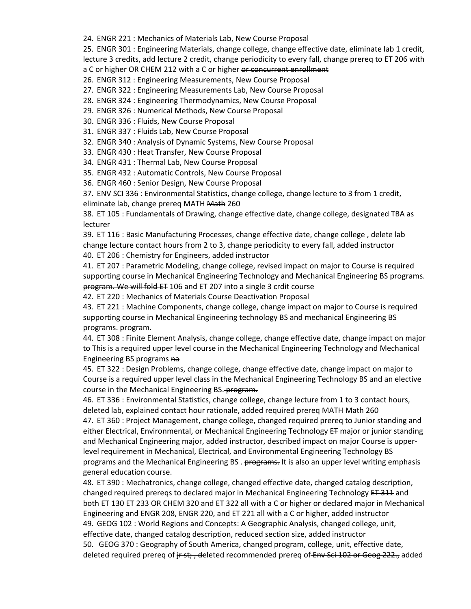24. ENGR 221 : Mechanics of Materials Lab, New Course Proposal 

25. ENGR 301 : Engineering Materials, change college, change effective date, eliminate lab 1 credit, lecture 3 credits, add lecture 2 credit, change periodicity to every fall, change prereq to ET 206 with a C or higher OR CHEM 212 with a C or higher or concurrent enrollment

26. ENGR 312 : Engineering Measurements, New Course Proposal 

27. ENGR 322 : Engineering Measurements Lab, New Course Proposal 

28. ENGR 324 : Engineering Thermodynamics, New Course Proposal 

29. ENGR 326 : Numerical Methods, New Course Proposal 

30. ENGR 336 : Fluids, New Course Proposal 

31. ENGR 337 : Fluids Lab, New Course Proposal 

32. ENGR 340 : Analysis of Dynamic Systems, New Course Proposal 

33. ENGR 430 : Heat Transfer, New Course Proposal 

34. ENGR 431 : Thermal Lab, New Course Proposal 

35. ENGR 432 : Automatic Controls, New Course Proposal 

36. ENGR 460 : Senior Design, New Course Proposal 

37. ENV SCI 336 : Environmental Statistics, change college, change lecture to 3 from 1 credit,

eliminate lab, change prereq MATH Math 260 

38. ET 105 : Fundamentals of Drawing, change effective date, change college, designated TBA as lecturer 

39. ET 116 : Basic Manufacturing Processes, change effective date, change college , delete lab change lecture contact hours from 2 to 3, change periodicity to every fall, added instructor 

40. ET 206 : Chemistry for Engineers, added instructor 

41. ET 207 : Parametric Modeling, change college, revised impact on major to Course is required supporting course in Mechanical Engineering Technology and Mechanical Engineering BS programs. program. We will fold ET 106 and ET 207 into a single 3 crdit course 

42. ET 220 : Mechanics of Materials Course Deactivation Proposal 

43. ET 221 : Machine Components, change college, change impact on major to Course is required supporting course in Mechanical Engineering technology BS and mechanical Engineering BS programs. program. 

44. ET 308 : Finite Element Analysis, change college, change effective date, change impact on major to This is a required upper level course in the Mechanical Engineering Technology and Mechanical Engineering BS programs na

45. ET 322 : Design Problems, change college, change effective date, change impact on major to Course is a required upper level class in the Mechanical Engineering Technology BS and an elective course in the Mechanical Engineering BS. program.

46. ET 336 : Environmental Statistics, change college, change lecture from 1 to 3 contact hours, deleted lab, explained contact hour rationale, added required prereq MATH Math 260

47. ET 360 : Project Management, change college, changed required prereq to Junior standing and either Electrical, Environmental, or Mechanical Engineering Technology ET major or junior standing and Mechanical Engineering major, added instructor, described impact on major Course is upperlevel requirement in Mechanical, Electrical, and Environmental Engineering Technology BS programs and the Mechanical Engineering BS . programs. It is also an upper level writing emphasis general education course. 

48. ET 390 : Mechatronics, change college, changed effective date, changed catalog description, changed required preregs to declared major in Mechanical Engineering Technology ET 311 and both ET 130 ET 233 OR CHEM 320 and ET 322 all with a C or higher or declared major in Mechanical Engineering and ENGR 208, ENGR 220, and ET 221 all with a C or higher, added instructor  49. GEOG 102 : World Regions and Concepts: A Geographic Analysis, changed college, unit, effective date, changed catalog description, reduced section size, added instructor  50.  GEOG 370 : Geography of South America, changed program, college, unit, effective date, deleted required prereq of ir st;, deleted recommended prereq of Env Sci 102 or Geog 222., added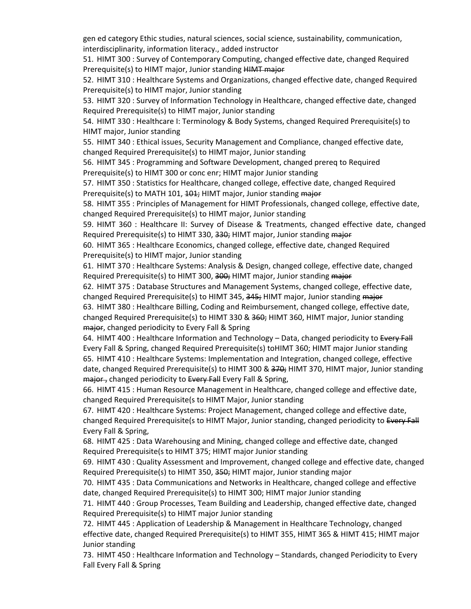gen ed category Ethic studies, natural sciences, social science, sustainability, communication, interdisciplinarity, information literacy., added instructor 

51. HIMT 300 : Survey of Contemporary Computing, changed effective date, changed Required Prerequisite(s) to HIMT major, Junior standing HIMT major

52. HIMT 310 : Healthcare Systems and Organizations, changed effective date, changed Required Prerequisite(s) to HIMT major, Junior standing 

53. HIMT 320 : Survey of Information Technology in Healthcare, changed effective date, changed Required Prerequisite(s) to HIMT major, Junior standing 

54. HIMT 330 : Healthcare I: Terminology & Body Systems, changed Required Prerequisite(s) to HIMT major, Junior standing 

55. HIMT 340 : Ethical issues, Security Management and Compliance, changed effective date, changed Required Prerequisite(s) to HIMT major, Junior standing 

56. HIMT 345 : Programming and Software Development, changed prereq to Required Prerequisite(s) to HIMT 300 or conc enr; HIMT major Junior standing 

57. HIMT 350 : Statistics for Healthcare, changed college, effective date, changed Required Prerequisite(s) to MATH 101, 101; HIMT major, Junior standing major

58. HIMT 355 : Principles of Management for HIMT Professionals, changed college, effective date, changed Required Prerequisite(s) to HIMT major, Junior standing 

59. HIMT 360 : Healthcare II: Survey of Disease & Treatments, changed effective date, changed Required Prerequisite(s) to HIMT 330, 330; HIMT major, Junior standing major

60. HIMT 365 : Healthcare Economics, changed college, effective date, changed Required Prerequisite(s) to HIMT major, Junior standing 

61. HIMT 370 : Healthcare Systems: Analysis & Design, changed college, effective date, changed Required Prerequisite(s) to HIMT 300, 300; HIMT major, Junior standing major

62. HIMT 375 : Database Structures and Management Systems, changed college, effective date, changed Required Prerequisite(s) to HIMT 345, 345; HIMT major, Junior standing major

63. HIMT 380 : Healthcare Billing, Coding and Reimbursement, changed college, effective date, changed Required Prerequisite(s) to HIMT 330 & 360; HIMT 360, HIMT major, Junior standing major, changed periodicity to Every Fall & Spring

64. HIMT 400 : Healthcare Information and Technology - Data, changed periodicity to Every Fall Every Fall & Spring, changed Required Prerequisite(s) toHIMT 360; HIMT major Junior standing  65. HIMT 410 : Healthcare Systems: Implementation and Integration, changed college, effective date, changed Required Prerequisite(s) to HIMT 300 & 370; HIMT 370, HIMT major, Junior standing major, changed periodicity to Every Fall Every Fall & Spring,

66. HIMT 415 : Human Resource Management in Healthcare, changed college and effective date, changed Required Prerequisite(s to HIMT Major, Junior standing 

67. HIMT 420 : Healthcare Systems: Project Management, changed college and effective date, changed Required Prerequisite(s to HIMT Major, Junior standing, changed periodicity to Every Fall Every Fall & Spring, 

68. HIMT 425 : Data Warehousing and Mining, changed college and effective date, changed Required Prerequisite(s to HIMT 375; HIMT major Junior standing 

69. HIMT 430 : Quality Assessment and Improvement, changed college and effective date, changed Required Prerequisite(s) to HIMT 350, 350; HIMT major, Junior standing major 

70. HIMT 435 : Data Communications and Networks in Healthcare, changed college and effective date, changed Required Prerequisite(s) to HIMT 300; HIMT major Junior standing 

71. HIMT 440 : Group Processes, Team Building and Leadership, changed effective date, changed Required Prerequisite(s) to HIMT major Junior standing 

72. HIMT 445 : Application of Leadership & Management in Healthcare Technology, changed effective date, changed Required Prerequisite(s) to HIMT 355, HIMT 365 & HIMT 415; HIMT major Junior standing 

73. HIMT 450 : Healthcare Information and Technology – Standards, changed Periodicity to Every Fall Every Fall & Spring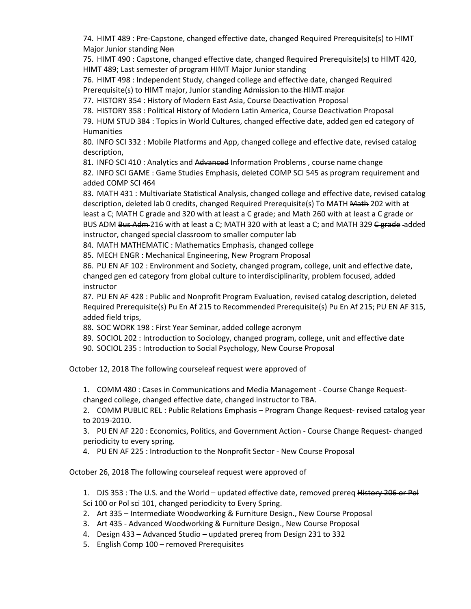74. HIMT 489 : Pre-Capstone, changed effective date, changed Required Prerequisite(s) to HIMT Major Junior standing Non

75. HIMT 490 : Capstone, changed effective date, changed Required Prerequisite(s) to HIMT 420, HIMT 489; Last semester of program HIMT Major Junior standing 

76. HIMT 498 : Independent Study, changed college and effective date, changed Required Prerequisite(s) to HIMT major, Junior standing Admission to the HIMT major

77. HISTORY 354 : History of Modern East Asia, Course Deactivation Proposal 

78. HISTORY 358 : Political History of Modern Latin America, Course Deactivation Proposal 

79. HUM STUD 384 : Topics in World Cultures, changed effective date, added gen ed category of Humanities 

80. INFO SCI 332 : Mobile Platforms and App, changed college and effective date, revised catalog description, 

81. INFO SCI 410 : Analytics and Advanced Information Problems, course name change

82. INFO SCI GAME : Game Studies Emphasis, deleted COMP SCI 545 as program requirement and added COMP SCI 464 

83. MATH 431 : Multivariate Statistical Analysis, changed college and effective date, revised catalog description, deleted lab 0 credits, changed Required Prerequisite(s) To MATH Math 202 with at least a C; MATH <del>C grade and 320 with at least a C grade; and Math</del> 260 with at least a C grade or BUS ADM Bus Adm 216 with at least a C; MATH 320 with at least a C; and MATH 329 <del>C grade</del> -added instructor, changed special classroom to smaller computer lab 

84. MATH MATHEMATIC : Mathematics Emphasis, changed college 

85. MECH ENGR : Mechanical Engineering, New Program Proposal 

86. PU EN AF 102 : Environment and Society, changed program, college, unit and effective date, changed gen ed category from global culture to interdisciplinarity, problem focused, added instructor 

87. PU EN AF 428 : Public and Nonprofit Program Evaluation, revised catalog description, deleted Required Prerequisite(s) Pu En Af 215 to Recommended Prerequisite(s) Pu En Af 215; PU EN AF 315, added field trips, 

88. SOC WORK 198 : First Year Seminar, added college acronym 

89. SOCIOL 202 : Introduction to Sociology, changed program, college, unit and effective date 

90. SOCIOL 235 : Introduction to Social Psychology, New Course Proposal 

October 12, 2018 The following courseleaf request were approved of

1. COMM 480 : Cases in Communications and Media Management - Course Change Requestchanged college, changed effective date, changed instructor to TBA.  

2. COMM PUBLIC REL : Public Relations Emphasis – Program Change Request- revised catalog year to 2019-2010.  

3. PU EN AF 220 : Economics, Politics, and Government Action - Course Change Request- changed periodicity to every spring.  

4. PU EN AF 225 : Introduction to the Nonprofit Sector - New Course Proposal 

October 26, 2018 The following courseleaf request were approved of

1. DJS 353 : The U.S. and the World – updated effective date, removed prereq History 206 or Pol Sci 100 or Pol sci 101, changed periodicity to Every Spring.

2. Art 335 – Intermediate Woodworking & Furniture Design., New Course Proposal  

- 3. Art 435 Advanced Woodworking & Furniture Design., New Course Proposal
- 4. Design 433 Advanced Studio updated prereq from Design 231 to 332
- 5. English Comp 100 removed Prerequisites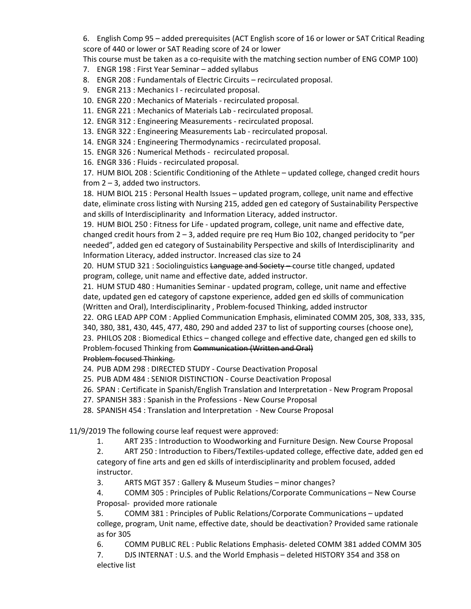6. English Comp 95 – added prerequisites (ACT English score of 16 or lower or SAT Critical Reading score of 440 or lower or SAT Reading score of 24 or lower  

This course must be taken as a co-requisite with the matching section number of ENG COMP 100) 

- 7. ENGR 198 : First Year Seminar added syllabus
- 8. ENGR 208 : Fundamentals of Electric Circuits recirculated proposal.
- 9. ENGR 213 : Mechanics I recirculated proposal.
- 10. ENGR 220 : Mechanics of Materials recirculated proposal.
- 11. ENGR 221 : Mechanics of Materials Lab recirculated proposal.
- 12. ENGR 312 : Engineering Measurements recirculated proposal.
- 13. ENGR 322 : Engineering Measurements Lab recirculated proposal.
- 14. ENGR 324 : Engineering Thermodynamics recirculated proposal.
- 15. ENGR 326 : Numerical Methods -  recirculated proposal.
- 16. ENGR 336 : Fluids recirculated proposal.

17. HUM BIOL 208 : Scientific Conditioning of the Athlete – updated college, changed credit hours from 2 – 3, added two instructors.  

18. HUM BIOL 215 : Personal Health Issues – updated program, college, unit name and effective date, eliminate cross listing with Nursing 215, added gen ed category of Sustainability Perspective and skills of Interdisciplinarity  and Information Literacy, added instructor.  

19. HUM BIOL 250 : Fitness for Life - updated program, college, unit name and effective date, changed credit hours from 2 – 3, added require pre req Hum Bio 102, changed peridocity to "per needed", added gen ed category of Sustainability Perspective and skills of Interdisciplinarity  and Information Literacy, added instructor. Increased clas size to 24 

20. HUM STUD 321 : Sociolinguistics Language and Society - course title changed, updated program, college, unit name and effective date, added instructor.  

21. HUM STUD 480 : Humanities Seminar - updated program, college, unit name and effective date, updated gen ed category of capstone experience, added gen ed skills of communication (Written and Oral), Interdisciplinarity , Problem-focused Thinking, added instructor  

22. ORG LEAD APP COM : Applied Communication Emphasis, eliminated COMM 205, 308, 333, 335, 340, 380, 381, 430, 445, 477, 480, 290 and added 237 to list of supporting courses (choose one),    

23. PHILOS 208 : Biomedical Ethics – changed college and effective date, changed gen ed skills to Problem-focused Thinking from Communication (Written and Oral)   

## Problem-focused Thinking.

24. PUB ADM 298 : DIRECTED STUDY - Course Deactivation Proposal  

25. PUB ADM 484 : SENIOR DISTINCTION - Course Deactivation Proposal  

26. SPAN : Certificate in Spanish/English Translation and Interpretation - New Program Proposal  

- 27. SPANISH 383 : Spanish in the Professions New Course Proposal
- 28. SPANISH 454 : Translation and Interpretation  New Course Proposal

11/9/2019 The following course leaf request were approved:

1. ART 235 : Introduction to Woodworking and Furniture Design. New Course Proposal

2. ART 250 : Introduction to Fibers/Textiles-updated college, effective date, added gen ed category of fine arts and gen ed skills of interdisciplinarity and problem focused, added instructor.

3. ARTS MGT 357 : Gallery & Museum Studies – minor changes?

4. COMM 305 : Principles of Public Relations/Corporate Communications – New Course Proposal- provided more rationale

5. COMM 381 : Principles of Public Relations/Corporate Communications – updated college, program, Unit name, effective date, should be deactivation? Provided same rationale as for 305

6. COMM PUBLIC REL : Public Relations Emphasis- deleted COMM 381 added COMM 305

7. DJS INTERNAT : U.S. and the World Emphasis – deleted HISTORY 354 and 358 on elective list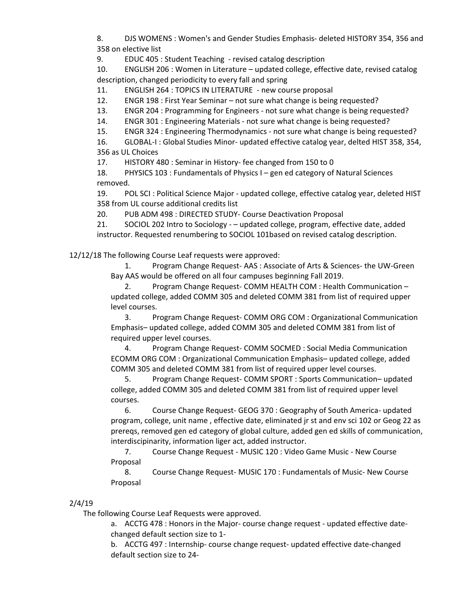8. DJS WOMENS : Women's and Gender Studies Emphasis- deleted HISTORY 354, 356 and 358 on elective list

9. EDUC 405 : Student Teaching - revised catalog description

10. ENGLISH 206 : Women in Literature – updated college, effective date, revised catalog description, changed periodicity to every fall and spring

11. ENGLISH 264 : TOPICS IN LITERATURE - new course proposal

12. ENGR 198 : First Year Seminar – not sure what change is being requested?

13. ENGR 204 : Programming for Engineers - not sure what change is being requested?

14. ENGR 301 : Engineering Materials - not sure what change is being requested?

15. ENGR 324 : Engineering Thermodynamics - not sure what change is being requested?

16. GLOBAL-I : Global Studies Minor- updated effective catalog year, delted HIST 358, 354, 356 as UL Choices

17. HISTORY 480 : Seminar in History- fee changed from 150 to 0

18. PHYSICS 103 : Fundamentals of Physics I – gen ed category of Natural Sciences removed.

19. POL SCI : Political Science Major - updated college, effective catalog year, deleted HIST 358 from UL course additional credits list

20. PUB ADM 498 : DIRECTED STUDY- Course Deactivation Proposal

21. SOCIOL 202 Intro to Sociology - – updated college, program, effective date, added instructor. Requested renumbering to SOCIOL 101based on revised catalog description.

12/12/18 The following Course Leaf requests were approved:  

1. Program Change Request- AAS : Associate of Arts & Sciences- the UW-Green Bay AAS would be offered on all four campuses beginning Fall 2019.   

2. Program Change Request- COMM HEALTH COM : Health Communication – updated college, added COMM 305 and deleted COMM 381 from list of required upper level courses. 

3. Program Change Request- COMM ORG COM : Organizational Communication Emphasis– updated college, added COMM 305 and deleted COMM 381 from list of required upper level courses. 

4. Program Change Request- COMM SOCMED : Social Media Communication ECOMM ORG COM : Organizational Communication Emphasis– updated college, added COMM 305 and deleted COMM 381 from list of required upper level courses. 

5. Program Change Request- COMM SPORT : Sports Communication– updated college, added COMM 305 and deleted COMM 381 from list of required upper level courses. 

6. Course Change Request- GEOG 370 : Geography of South America- updated program, college, unit name , effective date, eliminated jr st and env sci 102 or Geog 22 as prereqs, removed gen ed category of global culture, added gen ed skills of communication, interdiscipinarity, information liger act, added instructor.  

7. Course Change Request - MUSIC 120 : Video Game Music - New Course Proposal 

8. Course Change Request- MUSIC 170 : Fundamentals of Music- New Course Proposal 

## 2/4/19

The following Course Leaf Requests were approved.

a. ACCTG 478 : Honors in the Major- course change request - updated effective datechanged default section size to 1-

b. ACCTG 497 : Internship- course change request- updated effective date-changed default section size to 24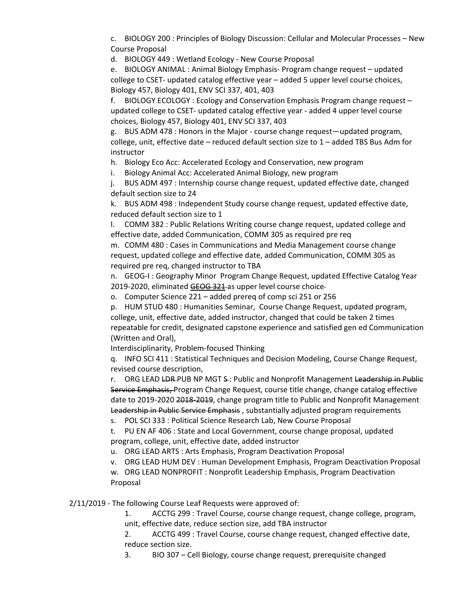c. BIOLOGY 200 : Principles of Biology Discussion: Cellular and Molecular Processes – New Course Proposal

d. BIOLOGY 449 : Wetland Ecology - New Course Proposal

e. BIOLOGY ANIMAL : Animal Biology Emphasis- Program change request – updated college to CSET- updated catalog effective year – added 5 upper level course choices, Biology 457, Biology 401, ENV SCI 337, 401, 403

f. BIOLOGY ECOLOGY : Ecology and Conservation Emphasis Program change request – updated college to CSET- updated catalog effective year - added 4 upper level course choices, Biology 457, Biology 401, ENV SCI 337, 403

g. BUS ADM 478 : Honors in the Major - course change request—updated program, college, unit, effective date – reduced default section size to 1 – added TBS Bus Adm for instructor

h. Biology Eco Acc: Accelerated Ecology and Conservation, new program

i. Biology Animal Acc: Accelerated Animal Biology, new program

j. BUS ADM 497 : Internship course change request, updated effective date, changed default section size to 24

k. BUS ADM 498 : Independent Study course change request, updated effective date, reduced default section size to 1

l. COMM 382 : Public Relations Writing course change request, updated college and effective date, added Communication, COMM 305 as required pre req

m. COMM 480 : Cases in Communications and Media Management course change request, updated college and effective date, added Communication, COMM 305 as required pre req, changed instructor to TBA

n. GEOG-I : Geography Minor Program Change Request, updated Effective Catalog Year 2019-2020, eliminate[d GEOG 321](https://nextcatalog.uwgb.edu/search/?P=GEOG%20321) as upper level course choice-

o. Computer Science 221 – added prereq of comp sci 251 or 256

p. HUM STUD 480 : Humanities Seminar, Course Change Request, updated program, college, unit, effective date, added instructor, changed that could be taken 2 times repeatable for credit, designated capstone experience and satisfied gen ed Communication (Written and Oral),

Interdisciplinarity, Problem-focused Thinking

q. INFO SCI 411 : Statistical Techniques and Decision Modeling, Course Change Request, revised course description,

r. ORG LEAD LOR-PUB NP MGT S: Public and Nonprofit Management Leadership in Public Service Emphasis, Program Change Request, course title change, change catalog effective date to 2019-2020 2018-2019, change program title to Public and Nonprofit Management Leadership in Public Service Emphasis , substantially adjusted program requirements

s. POL SCI 333 : Political Science Research Lab, New Course Proposal

t. PU EN AF 406 : State and Local Government, course change proposal, updated program, college, unit, effective date, added instructor

u. ORG LEAD ARTS : Arts Emphasis, Program Deactivation Proposal

v. ORG LEAD HUM DEV : Human Development Emphasis, Program Deactivation Proposal w. ORG LEAD NONPROFIT : Nonprofit Leadership Emphasis, Program Deactivation Proposal

2/11/2019 - The following Course Leaf Requests were approved of:  

1. ACCTG 299 : Travel Course, course change request, change college, program, unit, effective date, reduce section size, add TBA instructor 

2. ACCTG 499 : Travel Course, course change request, changed effective date, reduce section size. 

3. BIO 307 – Cell Biology, course change request, prerequisite changed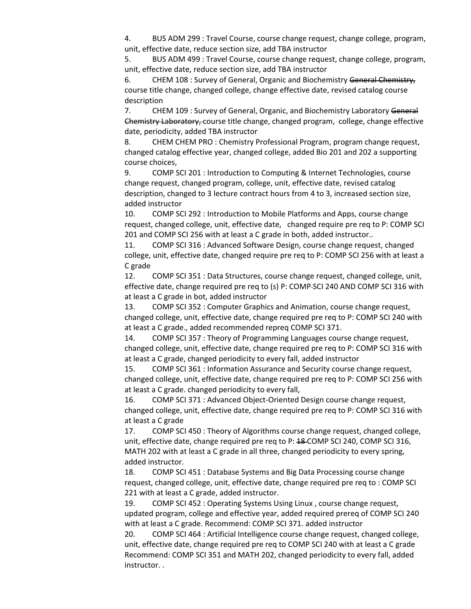4. BUS ADM 299 : Travel Course, course change request, change college, program, unit, effective date, reduce section size, add TBA instructor 

5. BUS ADM 499 : Travel Course, course change request, change college, program, unit, effective date, reduce section size, add TBA instructor 

6. CHEM 108 : Survey of General, Organic and Biochemistry General Chemistry, course title change, changed college, change effective date, revised catalog course description 

7. CHEM 109 : Survey of General, Organic, and Biochemistry Laboratory General Chemistry Laboratory, course title change, changed program,  college, change effective date, periodicity, added TBA instructor 

8. CHEM CHEM PRO : Chemistry Professional Program, program change request, changed catalog effective year, changed college, added Bio 201 and 202 a supporting course choices,

9. COMP SCI 201 : Introduction to Computing & Internet Technologies, course change request, changed program, college, unit, effective date, revised catalog description, changed to 3 lecture contract hours from 4 to 3, increased section size, added instructor 

10. COMP SCI 292 : Introduction to Mobile Platforms and Apps, course change request, changed college, unit, effective date,   changed require pre req to P: COMP SCI 201 and COMP SCI 256 with at least a C grade in both, added instructor.. 

11. COMP SCI 316 : Advanced Software Design, course change request, changed college, unit, effective date, changed require pre req to P: COMP SCI 256 with at least a C grade 

12. COMP SCI 351 : Data Structures, course change request, changed college, unit, effective date, change required pre req to (s) P: COMP SCI 240 AND COMP SCI 316 with at least a C grade in bot, added instructor 

13. COMP SCI 352 : Computer Graphics and Animation, course change request, changed college, unit, effective date, change required pre req to P: COMP SCI 240 with at least a C grade., added recommended repreq COMP SCI 371. 

14. COMP SCI 357 : Theory of Programming Languages course change request, changed college, unit, effective date, change required pre req to P: COMP SCI 316 with at least a C grade, changed periodicity to every fall, added instructor 

15. COMP SCI 361 : Information Assurance and Security course change request, changed college, unit, effective date, change required pre req to P: COMP SCI 256 with at least a C grade. changed periodicity to every fall,  

16. COMP SCI 371 : Advanced Object-Oriented Design course change request, changed college, unit, effective date, change required pre req to P: COMP SCI 316 with at least a C grade 

17. COMP SCI 450 : Theory of Algorithms course change request, changed college, unit, effective date, change required pre req to P: 48 COMP SCI 240, COMP SCI 316, MATH 202 with at least a C grade in all three, changed periodicity to every spring, added instructor. 

18. COMP SCI 451 : Database Systems and Big Data Processing course change request, changed college, unit, effective date, change required pre req to : COMP SCI 221 with at least a C grade, added instructor. 

19. COMP SCI 452 : Operating Systems Using Linux , course change request, updated program, college and effective year, added required prereq of COMP SCI 240 with at least a C grade. Recommend: COMP SCI 371. added instructor 

20. COMP SCI 464 : Artificial Intelligence course change request, changed college, unit, effective date, change required pre req to COMP SCI 240 with at least a C grade Recommend: COMP SCI 351 and MATH 202, changed periodicity to every fall, added instructor. .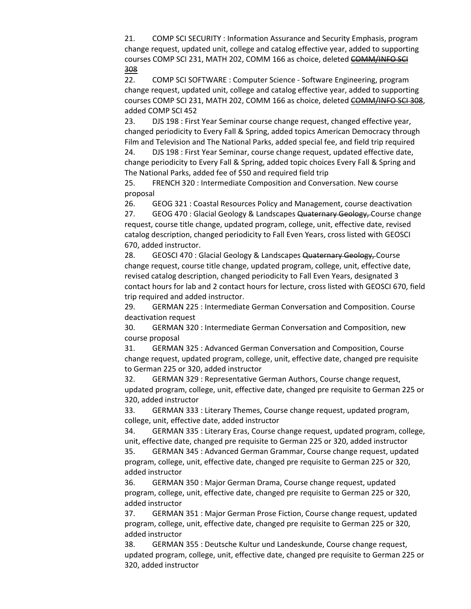21. COMP SCI SECURITY : Information Assurance and Security Emphasis, program change request, updated unit, college and catalog effective year, added to supporting courses COMP SCI 231, MATH 202, COMM 166 as choice, deleted COMM/INFO SCI [308](https://nextcatalog.uwgb.edu/search/?P=COMM%20308)

22. COMP SCI SOFTWARE : Computer Science - Software Engineering, program change request, updated unit, college and catalog effective year, added to supporting courses COMP SCI 231, MATH 202, COMM 166 as choice, deleted [COMM/INFO SCI 308,](https://nextcatalog.uwgb.edu/search/?P=COMM%20308) added [COMP SCI 452](https://nextcatalog.uwgb.edu/search/?P=COMP%20SCI%20452)

23. DJS 198 : First Year Seminar course change request, changed effective year, changed periodicity to Every Fall & Spring, added topics American Democracy through Film and Television and The National Parks, added special fee, and field trip required 

24. DJS 198 : First Year Seminar, course change request, updated effective date, change periodicity to Every Fall & Spring, added topic choices Every Fall & Spring and The National Parks, added fee of \$50 and required field trip  

25. FRENCH 320 : Intermediate Composition and Conversation. New course proposal 

26. GEOG 321 : Coastal Resources Policy and Management, course deactivation 

27. GEOG 470 : Glacial Geology & Landscapes Quaternary Geology, Course change request, course title change, updated program, college, unit, effective date, revised catalog description, changed periodicity to Fall Even Years, cross listed with GEOSCI 670, added instructor.  

28. GEOSCI 470 : Glacial Geology & Landscapes Quaternary Geology, Course change request, course title change, updated program, college, unit, effective date, revised catalog description, changed periodicity to Fall Even Years, designated 3 contact hours for lab and 2 contact hours for lecture, cross listed with GEOSCI 670, field trip required and added instructor.  

29. GERMAN 225 : Intermediate German Conversation and Composition. Course deactivation request 

30. GERMAN 320 : Intermediate German Conversation and Composition, new course proposal 

31. GERMAN 325 : Advanced German Conversation and Composition, Course change request, updated program, college, unit, effective date, changed pre requisite to German 225 or 320, added instructor 

32. GERMAN 329 : Representative German Authors, Course change request, updated program, college, unit, effective date, changed pre requisite to German 225 or 320, added instructor 

33. GERMAN 333 : Literary Themes, Course change request, updated program, college, unit, effective date, added instructor 

34. GERMAN 335 : Literary Eras, Course change request, updated program, college, unit, effective date, changed pre requisite to German 225 or 320, added instructor 

35. GERMAN 345 : Advanced German Grammar, Course change request, updated program, college, unit, effective date, changed pre requisite to German 225 or 320, added instructor 

36. GERMAN 350 : Major German Drama, Course change request, updated program, college, unit, effective date, changed pre requisite to German 225 or 320, added instructor 

37. GERMAN 351 : Major German Prose Fiction, Course change request, updated program, college, unit, effective date, changed pre requisite to German 225 or 320, added instructor 

38. GERMAN 355 : Deutsche Kultur und Landeskunde, Course change request, updated program, college, unit, effective date, changed pre requisite to German 225 or 320, added instructor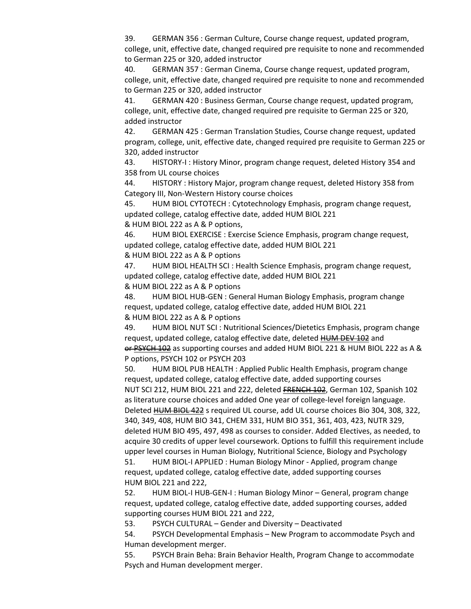39. GERMAN 356 : German Culture, Course change request, updated program, college, unit, effective date, changed required pre requisite to none and recommended to German 225 or 320, added instructor 

40. GERMAN 357 : German Cinema, Course change request, updated program, college, unit, effective date, changed required pre requisite to none and recommended to German 225 or 320, added instructor 

41. GERMAN 420 : Business German, Course change request, updated program, college, unit, effective date, changed required pre requisite to German 225 or 320, added instructor 

42. GERMAN 425 : German Translation Studies, Course change request, updated program, college, unit, effective date, changed required pre requisite to German 225 or 320, added instructor 

43. HISTORY-I : History Minor, program change request, deleted History 354 and 358 from UL course choices 

44. HISTORY : History Major, program change request, deleted History 358 from Category III, Non-Western History course choices 

45. HUM BIOL CYTOTECH : Cytotechnology Emphasis, program change request, updated college, catalog effective date, added [HUM BIOL 221](https://nextcatalog.uwgb.edu/search/?P=HUM%20BIOL%20221)

&[HUM BIOL 222](https://nextcatalog.uwgb.edu/search/?P=HUM%20BIOL%20222) as A & P options,  

46. HUM BIOL EXERCISE : Exercise Science Emphasis, program change request, updated college, catalog effective date, added [HUM BIOL 221](https://nextcatalog.uwgb.edu/search/?P=HUM%20BIOL%20221)

&[HUM BIOL 222](https://nextcatalog.uwgb.edu/search/?P=HUM%20BIOL%20222) as A & P options 

47. HUM BIOL HEALTH SCI : Health Science Emphasis, program change request, updated college, catalog effective date, added [HUM BIOL 221](https://nextcatalog.uwgb.edu/search/?P=HUM%20BIOL%20221) &[HUM BIOL 222](https://nextcatalog.uwgb.edu/search/?P=HUM%20BIOL%20222) as A & P options 

48. HUM BIOL HUB-GEN : General Human Biology Emphasis, program change request, updated college, catalog effective date, added [HUM BIOL 221](https://nextcatalog.uwgb.edu/search/?P=HUM%20BIOL%20221)

&[HUM BIOL 222](https://nextcatalog.uwgb.edu/search/?P=HUM%20BIOL%20222) as A & P options 

49. HUM BIOL NUT SCI : Nutritional Sciences/Dietetics Emphasis, program change request, updated college, catalog effective date, deleted **HUM DEV 102** and or[PSYCH 102](https://nextcatalog.uwgb.edu/search/?P=PSYCH%20102) as supporting courses and added [HUM BIOL 221](https://nextcatalog.uwgb.edu/search/?P=HUM%20BIOL%20221) &[HUM BIOL 222](https://nextcatalog.uwgb.edu/search/?P=HUM%20BIOL%20222) as A & P options, [PSYCH 102](https://nextcatalog.uwgb.edu/search/?P=PSYCH%20102) o[r PSYCH 203](https://nextcatalog.uwgb.edu/search/?P=PSYCH%20203) 

50. HUM BIOL PUB HEALTH : Applied Public Health Emphasis, program change request, updated college, catalog effective date, added supporting courses [NUT SCI 212](https://nextcatalog.uwgb.edu/search/?P=NUT%20SCI%20212), [HUM BIOL 221](https://nextcatalog.uwgb.edu/search/?P=HUM%20BIOL%20221) an[d 222,](https://nextcatalog.uwgb.edu/search/?P=HUM%20BIOL%20221) deleted [FRENCH 102](https://nextcatalog.uwgb.edu/search/?P=FRENCH%20102), German 102, Spanish 102 as literature course choices and added One year of college-level foreign language. Deleted [HUM BIOL 422](https://nextcatalog.uwgb.edu/search/?P=HUM%20BIOL%20422) s required UL course, add UL course choices Bio 304, 308, 322, 340, 349, 408, HUM BIO 341, CHEM 331, HUM BIO 351, 361, 403, 423, NUTR 329, deleted HUM BIO 495, 497, 498 as courses to consider. Added Electives, as needed, to acquire 30 credits of upper level coursework. Options to fulfill this requirement include upper level courses in Human Biology, Nutritional Science, Biology and Psychology  

51. HUM BIOL-I APPLIED : Human Biology Minor - Applied, program change request, updated college, catalog effective date, added supporting courses [HUM BIOL 221](https://nextcatalog.uwgb.edu/search/?P=HUM%20BIOL%20221) and [222,](https://nextcatalog.uwgb.edu/search/?P=HUM%20BIOL%20221)

52. HUM BIOL-I HUB-GEN-I : Human Biology Minor – General, program change request, updated college, catalog effective date, added supporting courses, added supporting courses [HUM BIOL 221](https://nextcatalog.uwgb.edu/search/?P=HUM%20BIOL%20221) and [222,](https://nextcatalog.uwgb.edu/search/?P=HUM%20BIOL%20221)

53. PSYCH CULTURAL – Gender and Diversity – Deactivated

54. PSYCH Developmental Emphasis – New Program to accommodate Psych and Human development merger.

55. PSYCH Brain Beha: Brain Behavior Health, Program Change to accommodate Psych and Human development merger.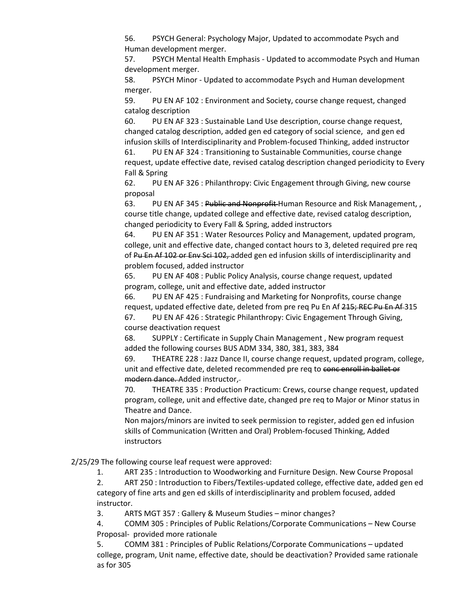56. PSYCH General: Psychology Major, Updated to accommodate Psych and Human development merger.

57. PSYCH Mental Health Emphasis - Updated to accommodate Psych and Human development merger.

58. PSYCH Minor - Updated to accommodate Psych and Human development merger.

59. PU EN AF 102 : Environment and Society, course change request, changed catalog description  

60. PU EN AF 323 : Sustainable Land Use description, course change request, changed catalog description, added gen ed category of social science,  and gen ed infusion skills of Interdisciplinarity and Problem-focused Thinking, added instructor 

61. PU EN AF 324 : Transitioning to Sustainable Communities, course change request, update effective date, revised catalog description changed periodicity to Every Fall & Spring 

62. PU EN AF 326 : Philanthropy: Civic Engagement through Giving, new course proposal 

63. PU EN AF 345 : Public and Nonprofit Human Resource and Risk Management, course title change, updated college and effective date, revised catalog description, changed periodicity to Every Fall & Spring, added instructors 

64. PU EN AF 351 : Water Resources Policy and Management, updated program, college, unit and effective date, changed contact hours to 3, deleted required pre req of Pu En Af 102 or Env Sci 102, added gen ed infusion skills of interdisciplinarity and problem focused, added instructor 

65. PU EN AF 408 : Public Policy Analysis, course change request, updated program, college, unit and effective date, added instructor 

66. PU EN AF 425 : Fundraising and Marketing for Nonprofits, course change request, updated effective date, deleted from pre req Pu En Af 215; REC Pu En Af 315 67. PU EN AF 426 : Strategic Philanthropy: Civic Engagement Through Giving,

course deactivation request 

68. SUPPLY : Certificate in Supply Chain Management , New program request added the following courses [BUS ADM 334,](https://nextcatalog.uwgb.edu/search/?P=BUS%20ADM%20334) 380, 381, 383, 384 

69. THEATRE 228 : Jazz Dance II, course change request, updated program, college, unit and effective date, deleted recommended pre req to concentral in ballet or modern dance. Added instructor,

70. THEATRE 335 : Production Practicum: Crews, course change request, updated program, college, unit and effective date, changed pre req to Major or Minor status in Theatre and Dance. 

Non majors/minors are invited to seek permission to register, added gen ed infusion skills of Communication (Written and Oral) Problem-focused Thinking, Added **instructors** 

 2/25/29 The following course leaf request were approved:

1. ART 235 : Introduction to Woodworking and Furniture Design. New Course Proposal

2. ART 250 : Introduction to Fibers/Textiles-updated college, effective date, added gen ed category of fine arts and gen ed skills of interdisciplinarity and problem focused, added instructor.

3. ARTS MGT 357 : Gallery & Museum Studies – minor changes?

4. COMM 305 : Principles of Public Relations/Corporate Communications – New Course Proposal- provided more rationale

5. COMM 381 : Principles of Public Relations/Corporate Communications – updated college, program, Unit name, effective date, should be deactivation? Provided same rationale as for 305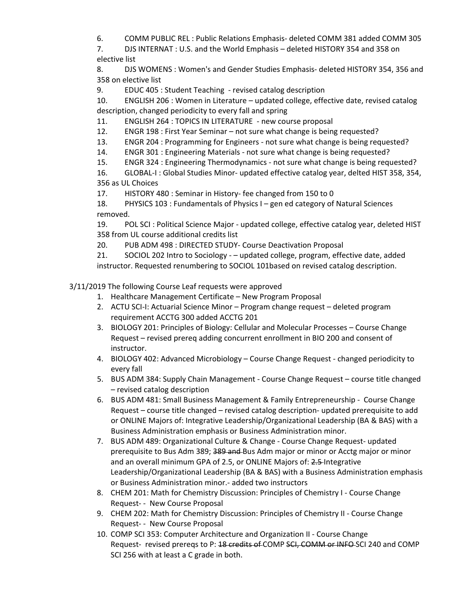6. COMM PUBLIC REL : Public Relations Emphasis- deleted COMM 381 added COMM 305

7. DJS INTERNAT : U.S. and the World Emphasis – deleted HISTORY 354 and 358 on elective list

8. DJS WOMENS : Women's and Gender Studies Emphasis- deleted HISTORY 354, 356 and 358 on elective list

9. EDUC 405 : Student Teaching - revised catalog description

10. ENGLISH 206 : Women in Literature – updated college, effective date, revised catalog description, changed periodicity to every fall and spring

11. ENGLISH 264 : TOPICS IN LITERATURE - new course proposal

12. ENGR 198 : First Year Seminar – not sure what change is being requested?

13. ENGR 204 : Programming for Engineers - not sure what change is being requested?

14. ENGR 301 : Engineering Materials - not sure what change is being requested?

15. ENGR 324 : Engineering Thermodynamics - not sure what change is being requested?

16. GLOBAL-I : Global Studies Minor- updated effective catalog year, delted HIST 358, 354,

356 as UL Choices

17. HISTORY 480 : Seminar in History- fee changed from 150 to 0

18. PHYSICS 103 : Fundamentals of Physics I – gen ed category of Natural Sciences removed.

19. POL SCI : Political Science Major - updated college, effective catalog year, deleted HIST 358 from UL course additional credits list

20. PUB ADM 498 : DIRECTED STUDY- Course Deactivation Proposal

21. SOCIOL 202 Intro to Sociology - – updated college, program, effective date, added instructor. Requested renumbering to SOCIOL 101based on revised catalog description.

3/11/2019 The following Course Leaf requests were approved

1. Healthcare Management Certificate – New Program Proposal

- 2. ACTU SCI-I: Actuarial Science Minor Program change request deleted program requirement ACCTG 300 added ACCTG 201
- 3. BIOLOGY 201: Principles of Biology: Cellular and Molecular Processes Course Change Request – revised prereq adding concurrent enrollment in BIO 200 and consent of instructor.
- 4. BIOLOGY 402: Advanced Microbiology Course Change Request changed periodicity to every fall
- 5. BUS ADM 384: Supply Chain Management Course Change Request course title changed – revised catalog description
- 6. BUS ADM 481: Small Business Management & Family Entrepreneurship Course Change Request – course title changed – revised catalog description- updated prerequisite to add or ONLINE Majors of: Integrative Leadership/Organizational Leadership (BA & BAS) with a Business Administration emphasis or Business Administration minor.
- 7. BUS ADM 489: Organizational Culture & Change Course Change Request- updated prerequisite to Bus Adm 389; 389 and Bus Adm major or minor or Acctg major or minor and an overall minimum GPA of 2.5, or ONLINE Majors of: 2.5 Integrative Leadership/Organizational Leadership (BA & BAS) with a Business Administration emphasis or Business Administration minor.- added two instructors
- 8. CHEM 201: Math for Chemistry Discussion: Principles of Chemistry I Course Change Request- - New Course Proposal
- 9. CHEM 202: Math for Chemistry Discussion: Principles of Chemistry II Course Change Request- - New Course Proposal
- 10. COMP SCI 353: Computer Architecture and Organization II Course Change Request- revised prereqs to P: 18 credits of COMP SCI, COMM or INFO-SCI 240 and COMP SCI 256 with at least a C grade in both.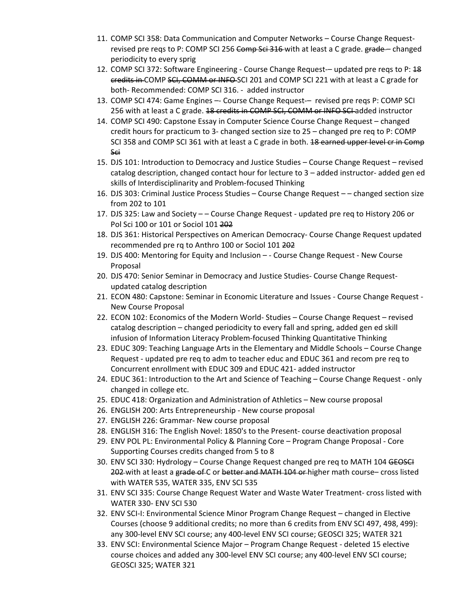- 11. COMP SCI 358: Data Communication and Computer Networks Course Change Requestrevised pre reqs to P: COMP SCI 256 Comp Sci 316 with at least a C grade. grade - changed periodicity to every sprig
- 12. COMP SCI 372: Software Engineering Course Change Request-– updated pre reqs to P: 48 credits in COMP SCI, COMM or INFO SCI 201 and COMP SCI 221 with at least a C grade for both- Recommended: COMP SCI 316. - added instructor
- 13. COMP SCI 474: Game Engines –- Course Change Request-– revised pre reqs P: COMP SCI 256 with at least a C grade. 18 credits in COMP SCI, COMM or INFO SCI added instructor
- 14. COMP SCI 490: Capstone Essay in Computer Science Course Change Request changed credit hours for practicum to 3- changed section size to 25 – changed pre req to P: COMP SCI 358 and COMP SCI 361 with at least a C grade in both. 18 earned upper level of in Comp Sci
- 15. DJS 101: Introduction to Democracy and Justice Studies Course Change Request revised catalog description, changed contact hour for lecture to 3 – added instructor- added gen ed skills of Interdisciplinarity and Problem-focused Thinking
- 16. DJS 303: Criminal Justice Process Studies Course Change Request – changed section size from 202 to 101
- 17. DJS 325: Law and Society – Course Change Request updated pre req to History 206 or Pol Sci 100 or 101 or Sociol 101 202
- 18. DJS 361: Historical Perspectives on American Democracy- Course Change Request updated recommended pre rq to Anthro 100 or Sociol 101 202
- 19. DJS 400: Mentoring for Equity and Inclusion - Course Change Request New Course Proposal
- 20. DJS 470: Senior Seminar in Democracy and Justice Studies- Course Change Requestupdated catalog description
- 21. ECON 480: Capstone: Seminar in Economic Literature and Issues Course Change Request New Course Proposal
- 22. ECON 102: Economics of the Modern World- Studies Course Change Request revised catalog description – changed periodicity to every fall and spring, added gen ed skill infusion of Information Literacy Problem-focused Thinking Quantitative Thinking
- 23. EDUC 309: Teaching Language Arts in the Elementary and Middle Schools Course Change Request - updated pre req to adm to teacher educ and EDUC 361 and recom pre req to Concurrent enrollment with EDUC 309 and EDUC 421- added instructor
- 24. EDUC 361: Introduction to the Art and Science of Teaching Course Change Request only changed in college etc.
- 25. EDUC 418: Organization and Administration of Athletics New course proposal
- 26. ENGLISH 200: Arts Entrepreneurship New course proposal
- 27. ENGLISH 226: Grammar- New course proposal
- 28. ENGLISH 316: The English Novel: 1850's to the Present- course deactivation proposal
- 29. ENV POL PL: Environmental Policy & Planning Core Program Change Proposal Core Supporting Courses credits changed from 5 to 8
- 30. ENV SCI 330: Hydrology Course Change Request changed pre req to MATH 104 GEOSCI 202 with at least a grade of C or better and MATH 104 or higher math course– cross listed with WATER 535, WATER 335, ENV SCI 535
- 31. ENV SCI 335: Course Change Request Water and Waste Water Treatment- cross listed with WATER 330- ENV SCI 530
- 32. ENV SCI-I: Environmental Science Minor Program Change Request changed in Elective Courses (choose 9 additional credits; no more than 6 credits from [ENV SCI 497](https://nextcatalog.uwgb.edu/search/?P=ENV%20SCI%20497)[, 498,](https://nextcatalog.uwgb.edu/search/?P=ENV%20SCI%20498) [499\)](https://nextcatalog.uwgb.edu/search/?P=ENV%20SCI%20499): any 300-level ENV SCI course; any 400-level ENV SCI course; [GEOSCI 325](https://nextcatalog.uwgb.edu/search/?P=GEOSCI%20325); [WATER 321](https://nextcatalog.uwgb.edu/search/?P=WATER%20321)
- 33. ENV SCI: Environmental Science Major Program Change Request deleted 15 elective course choices and added any 300-level ENV SCI course; any 400-level ENV SCI course; [GEOSCI 325](https://nextcatalog.uwgb.edu/search/?P=GEOSCI%20325); [WATER 321](https://nextcatalog.uwgb.edu/search/?P=WATER%20321)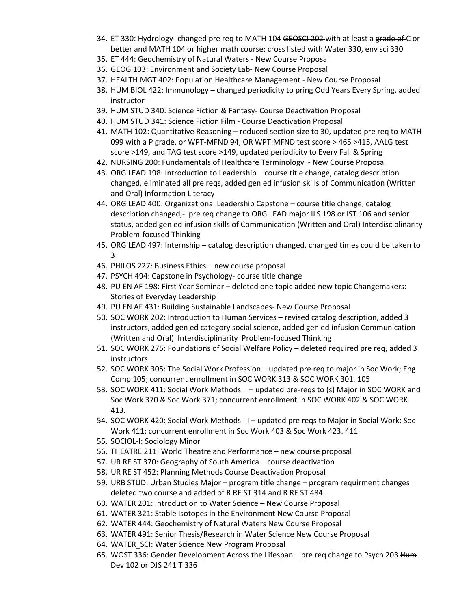- 34. ET 330: Hydrology- changed pre req to MATH 104 GEOSCI 202-with at least a grade of C or better and MATH 104 or higher math course; cross listed with Water 330, env sci 330
- 35. ET 444: Geochemistry of Natural Waters New Course Proposal
- 36. GEOG 103: Environment and Society Lab- New Course Proposal
- 37. HEALTH MGT 402: Population Healthcare Management New Course Proposal
- 38. HUM BIOL 422: Immunology changed periodicity to pring Odd Years Every Spring, added instructor
- 39. HUM STUD 340: Science Fiction & Fantasy- Course Deactivation Proposal
- 40. HUM STUD 341: Science Fiction Film Course Deactivation Proposal
- 41. MATH 102: Quantitative Reasoning reduced section size to 30, updated pre req to MATH 099 with a P grade, or WPT-MFND 94, OR WPT:MFND-test score > 465 > 415, AALG test score >149, and TAG test score >149, updated periodicity to Every Fall & Spring
- 42. NURSING 200: Fundamentals of Healthcare Terminology New Course Proposal
- 43. ORG LEAD 198: Introduction to Leadership course title change, catalog description changed, eliminated all pre reqs, added gen ed infusion skills of Communication (Written and Oral) Information Literacy
- 44. ORG LEAD 400: Organizational Leadership Capstone course title change, catalog description changed,- pre req change to ORG LEAD major HS 198 or IST 106 and senior status, added gen ed infusion skills of Communication (Written and Oral) Interdisciplinarity Problem-focused Thinking
- 45. ORG LEAD 497: Internship catalog description changed, changed times could be taken to 3
- 46. PHILOS 227: Business Ethics new course proposal
- 47. PSYCH 494: Capstone in Psychology- course title change
- 48. PU EN AF 198: First Year Seminar deleted one topic added new topic Changemakers: Stories of Everyday Leadership
- 49. PU EN AF 431: Building Sustainable Landscapes- New Course Proposal
- 50. SOC WORK 202: Introduction to Human Services revised catalog description, added 3 instructors, added gen ed category social science, added gen ed infusion Communication (Written and Oral) Interdisciplinarity Problem-focused Thinking
- 51. SOC WORK 275: Foundations of Social Welfare Policy deleted required pre req, added 3 instructors
- 52. SOC WORK 305: The Social Work Profession updated pre req to major in Soc Work; Eng Comp 105; concurrent enrollment in SOC WORK 313 & SOC WORK 301. 105
- 53. SOC WORK 411: Social Work Methods II updated pre-reqs to (s) Major in SOC WORK and Soc Work 370 & Soc Work 371; concurrent enrollment in SOC WORK 402 & SOC WORK 413.
- 54. SOC WORK 420: Social Work Methods III updated pre reqs to Major in Social Work; Soc Work 411; concurrent enrollment in Soc Work 403 & Soc Work 423. 411
- 55. SOCIOL-I: Sociology Minor
- 56. THEATRE 211: World Theatre and Performance new course proposal
- 57. UR RE ST 370: Geography of South America course deactivation
- 58. UR RE ST 452: Planning Methods Course Deactivation Proposal
- 59. URB STUD: Urban Studies Major program title change program requirment changes deleted two course and added of [R RE ST 314](https://nextcatalog.uwgb.edu/search/?P=UR%20RE%20ST%20314) and R RE ST 484
- 60. WATER 201: Introduction to Water Science New Course Proposal
- 61. WATER 321: Stable Isotopes in the Environment New Course Proposal
- 62. WATER 444: Geochemistry of Natural Waters New Course Proposal
- 63. WATER 491: Senior Thesis/Research in Water Science New Course Proposal
- 64. WATER\_SCI: Water Science New Program Proposal
- 65. WOST 336: Gender Development Across the Lifespan pre req change to Psych 203 Hum Dev 102 or DJS 241 T 336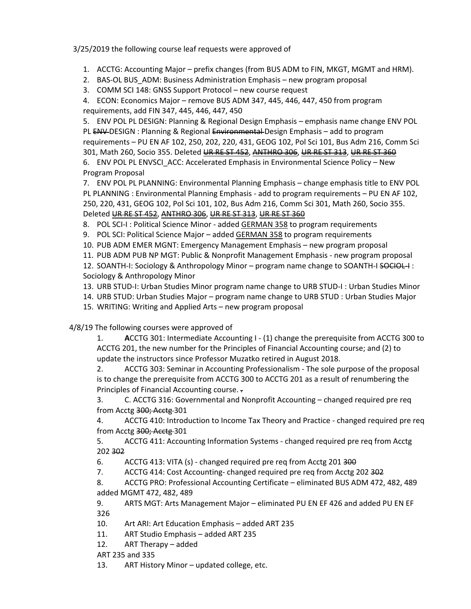3/25/2019 the following course leaf requests were approved of

- 1. ACCTG: Accounting Major prefix changes (from BUS ADM to FIN, MKGT, MGMT and HRM).
- 2. BAS-OL BUS\_ADM: Business Administration Emphasis new program proposal
- 3. COMM SCI 148: GNSS Support Protocol new course request

4. ECON: Economics Major – remove BUS ADM 347, 445, 446, 447, 450 from program requirements, add FIN 347, 445, 446, 447, 450

5. ENV POL PL DESIGN: Planning & Regional Design Emphasis – emphasis name change ENV POL PL ENV-DESIGN : Planning & Regional Environmental-Design Emphasis – add to program

requirements – PU EN AF 102, 250, 202, 220, 431, GEOG 102, Pol Sci 101, Bus Adm 216, Comm Sci 301, Math 260, Socio 355. Deleted [UR RE ST 452](https://nextcatalog.uwgb.edu/search/?P=UR%20RE%20ST%20452), [ANTHRO 306](https://nextcatalog.uwgb.edu/search/?P=ANTHRO%20306), [UR RE ST 313](https://nextcatalog.uwgb.edu/search/?P=UR%20RE%20ST%20313), [UR RE ST 360](https://nextcatalog.uwgb.edu/search/?P=UR%20RE%20ST%20360)

6. ENV POL PL ENVSCI ACC: Accelerated Emphasis in Environmental Science Policy – New Program Proposal

7. ENV POL PL PLANNING: Environmental Planning Emphasis – change emphasis title to ENV POL PL PLANNING : Environmental Planning Emphasis - add to program requirements – PU EN AF 102, 250, 220, 431, GEOG 102, Pol Sci 101, 102, Bus Adm 216, Comm Sci 301, Math 260, Socio 355. Deleted [UR RE ST 452](https://nextcatalog.uwgb.edu/search/?P=UR%20RE%20ST%20452), [ANTHRO 306](https://nextcatalog.uwgb.edu/search/?P=ANTHRO%20306), [UR RE ST 313](https://nextcatalog.uwgb.edu/search/?P=UR%20RE%20ST%20313), [UR RE ST 360](https://nextcatalog.uwgb.edu/search/?P=UR%20RE%20ST%20360)

8. POL SCI-I : Political Science Minor - added GERMAN 358 to program requirements

9. POL SCI: Political Science Major – added [GERMAN 358](https://nextcatalog.uwgb.edu/search/?P=GERMAN%20358) to program requirements

- 10. PUB ADM EMER MGNT: Emergency Management Emphasis new program proposal
- 11. PUB ADM PUB NP MGT: Public & Nonprofit Management Emphasis new program proposal

12. SOANTH-I: Sociology & Anthropology Minor – program name change to SOANTH-I SOCIOL-I : Sociology & Anthropology Minor

13. URB STUD-I: Urban Studies Minor program name change to URB STUD-I : Urban Studies Minor

14. URB STUD: Urban Studies Major – program name change to URB STUD : Urban Studies Major

15. WRITING: Writing and Applied Arts – new program proposal

4/8/19 The following courses were approved of

1. **A**CCTG 301: Intermediate Accounting I - (1) change the prerequisite from ACCTG 300 to ACCTG 201, the new number for the Principles of Financial Accounting course; and (2) to update the instructors since Professor Muzatko retired in August 2018. 

2. ACCTG 303: Seminar in Accounting Professionalism - The sole purpose of the proposal is to change the prerequisite from ACCTG 300 to ACCTG 201 as a result of renumbering the Principles of Financial Accounting course. .

3. C. ACCTG 316: Governmental and Nonprofit Accounting – changed required pre req from Acctg 300; Acctg 301

4. ACCTG 410: Introduction to Income Tax Theory and Practice - changed required pre req from Acctg 300; Acctg 301

5. ACCTG 411: Accounting Information Systems - changed required pre req from Acctg 202 302

6. ACCTG 413: VITA (s) - changed required pre req from Acctg 201 300

7. ACCTG 414: Cost Accounting- changed required pre req from Acctg 202 302

8. ACCTG PRO: Professional Accounting Certificate – eliminated BUS ADM 472, 482, 489 added MGMT 472, 482, 489 

9. ARTS MGT: Arts Management Major – eliminated PU EN EF 426 and added PU EN EF 326 

10. Art ARI: Art Education Emphasis – added ART 235

11. ART Studio Emphasis – added ART 235

12. ART Therapy – added

ART 235 and 335

13. ART History Minor – updated college, etc.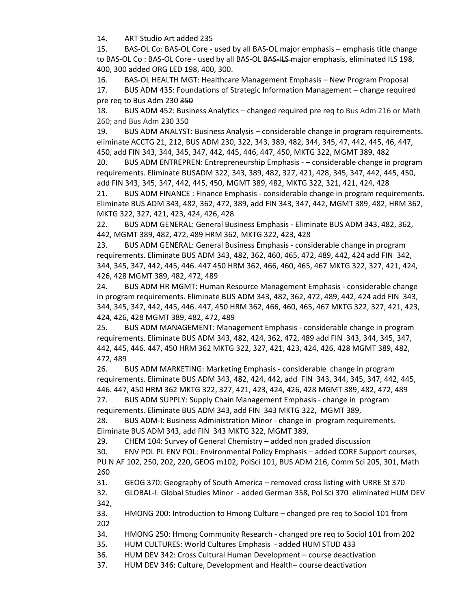14. ART Studio Art added 235

15. BAS-OL Co: BAS-OL Core - used by all BAS-OL major emphasis – emphasis title change to BAS-OL Co : BAS-OL Core - used by all BAS-OL BAS-ILS-major emphasis, eliminated ILS 198, 400, 300 added ORG LED 198, 400, 300. 

16. BAS-OL HEALTH MGT: Healthcare Management Emphasis – New Program Proposal 

17. BUS ADM 435: Foundations of Strategic Information Management – change required pre req to Bus Adm 230 350

18. BUS ADM 452: Business Analytics – changed required pre req to Bus Adm 216 or Math 260; and Bus Adm 230 350

19. BUS ADM ANALYST: Business Analysis – considerable change in program requirements. eliminate ACCTG 21, 212, BUS ADM 230, 322, 343, 389, 482, 344, 345, 47, 442, 445, 46, 447, 450, add FIN 343, 344, 345, 347, 442, 445, 446, 447, 450, MKTG 322, MGMT 389, 482 

20. BUS ADM ENTREPREN: Entrepreneurship Emphasis - – considerable change in program requirements. Eliminate BUSADM 322, 343, 389, 482, 327, 421, 428, 345, 347, 442, 445, 450, add FIN 343, 345, 347, 442, 445, 450, MGMT 389, 482, MKTG 322, 321, 421, 424, 428 

21. BUS ADM FINANCE : Finance Emphasis - considerable change in program requirements. Eliminate BUS ADM 343, 482, 362, 472, 389, add FIN 343, 347, 442, MGMT 389, 482, HRM 362, MKTG 322, 327, 421, 423, 424, 426, 428 

22. BUS ADM GENERAL: General Business Emphasis - Eliminate BUS ADM 343, 482, 362, 442, MGMT 389, 482, 472, 489 HRM 362, MKTG 322, 423, 428 

23. BUS ADM GENERAL: General Business Emphasis - considerable change in program requirements. Eliminate BUS ADM 343, 482, 362, 460, 465, 472, 489, 442, 424 add FIN  342, 344, 345, 347, 442, 445, 446. 447 450 HRM 362, 466, 460, 465, 467 MKTG 322, 327, 421, 424, 426, 428 MGMT 389, 482, 472, 489 

24. BUS ADM HR MGMT: Human Resource Management Emphasis - considerable change in program requirements. Eliminate BUS ADM 343, 482, 362, 472, 489, 442, 424 add FIN  343, 344, 345, 347, 442, 445, 446. 447, 450 HRM 362, 466, 460, 465, 467 MKTG 322, 327, 421, 423, 424, 426, 428 MGMT 389, 482, 472, 489 

25. BUS ADM MANAGEMENT: Management Emphasis - considerable change in program requirements. Eliminate BUS ADM 343, 482, 424, 362, 472, 489 add FIN  343, 344, 345, 347, 442, 445, 446. 447, 450 HRM 362 MKTG 322, 327, 421, 423, 424, 426, 428 MGMT 389, 482, 472, 489 

26. BUS ADM MARKETING: Marketing Emphasis - considerable  change in program requirements. Eliminate BUS ADM 343, 482, 424, 442, add  FIN  343, 344, 345, 347, 442, 445, 446. 447, 450 HRM 362 MKTG 322, 327, 421, 423, 424, 426, 428 MGMT 389, 482, 472, 489 

27. BUS ADM SUPPLY: Supply Chain Management Emphasis - change in  program requirements. Eliminate BUS ADM 343, add FIN  343 MKTG 322,  MGMT 389,  

28. BUS ADM-I: Business Administration Minor - change in  program requirements. Eliminate BUS ADM 343, add FIN  343 MKTG 322, MGMT 389,  

29. CHEM 104: Survey of General Chemistry – added non graded discussion

30. ENV POL PL ENV POL: Environmental Policy Emphasis – added CORE Support courses, PU N AF 102, 250, 202, 220, GEOG m102, PolSci 101, BUS ADM 216, Comm Sci 205, 301, Math

260

31. GEOG 370: Geography of South America – removed cross listing with URRE St 370

32. GLOBAL-I: Global Studies Minor  - added German 358, Pol Sci 370 eliminated HUM DEV 342,

33. HMONG 200: Introduction to Hmong Culture – changed pre req to Sociol 101 from 202

34. HMONG 250: Hmong Community Research - changed pre req to Sociol 101 from 202

35. HUM CULTURES: World Cultures Emphasis  - added HUM STUD 433

36. HUM DEV 342: Cross Cultural Human Development – course deactivation

37. HUM DEV 346: Culture, Development and Health– course deactivation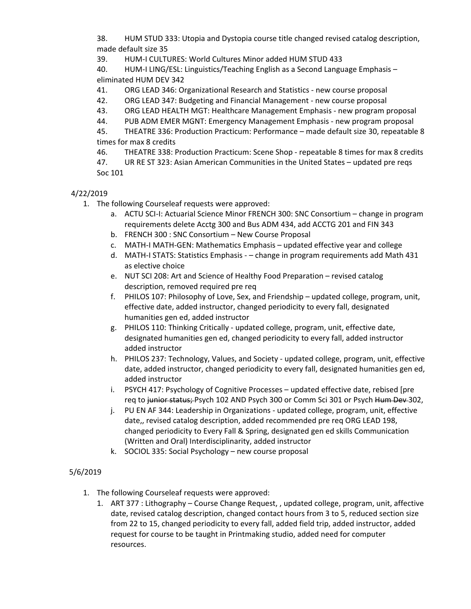38. HUM STUD 333: Utopia and Dystopia course title changed revised catalog description, made default size 35 

39. HUM-I CULTURES: World Cultures Minor added HUM STUD 433

40. HUM-I LING/ESL: Linguistics/Teaching English as a Second Language Emphasis – eliminated HUM DEV 342

41. ORG LEAD 346: Organizational Research and Statistics - new course proposal

42. ORG LEAD 347: Budgeting and Financial Management - new course proposal

43. ORG LEAD HEALTH MGT: Healthcare Management Emphasis - new program proposal

44. PUB ADM EMER MGNT: Emergency Management Emphasis - new program proposal

45. THEATRE 336: Production Practicum: Performance – made default size 30, repeatable 8 times for max 8 credits

46. THEATRE 338: Production Practicum: Scene Shop - repeatable 8 times for max 8 credits

47. UR RE ST 323: Asian American Communities in the United States – updated pre reqs Soc 101

## 4/22/2019

- 1. The following Courseleaf requests were approved:
	- a. ACTU SCI-I: Actuarial Science Minor FRENCH 300: SNC Consortium change in program requirements delete Acctg 300 and Bus ADM 434, add ACCTG 201 and FIN 343
	- b. FRENCH 300 : SNC Consortium New Course Proposal
	- c. MATH-I MATH-GEN: Mathematics Emphasis updated effective year and college
	- d. MATH-I STATS: Statistics Emphasis – change in program requirements add Math 431 as elective choice
	- e. NUT SCI 208: Art and Science of Healthy Food Preparation revised catalog description, removed required pre req
	- f. PHILOS 107: Philosophy of Love, Sex, and Friendship updated college, program, unit, effective date, added instructor, changed periodicity to every fall, designated humanities gen ed, added instructor
	- g. PHILOS 110: Thinking Critically updated college, program, unit, effective date, designated humanities gen ed, changed periodicity to every fall, added instructor added instructor
	- h. PHILOS 237: Technology, Values, and Society updated college, program, unit, effective date, added instructor, changed periodicity to every fall, designated humanities gen ed, added instructor
	- i. PSYCH 417: Psychology of Cognitive Processes updated effective date, rebised [pre req to junior status; Psych 102 AND Psych 300 or Comm Sci 301 or Psych Hum Dev-302,
	- j. PU EN AF 344: Leadership in Organizations updated college, program, unit, effective date,, revised catalog description, added recommended pre req ORG LEAD 198, changed periodicity to Every Fall & Spring, designated gen ed skills Communication (Written and Oral) Interdisciplinarity, added instructor
	- k. SOCIOL 335: Social Psychology new course proposal

## 5/6/2019

- 1. The following Courseleaf requests were approved:
	- 1. ART 377 : Lithography Course Change Request, , updated college, program, unit, affective date, revised catalog description, changed contact hours from 3 to 5, reduced section size from 22 to 15, changed periodicity to every fall, added field trip, added instructor, added request for course to be taught in Printmaking studio, added need for computer resources.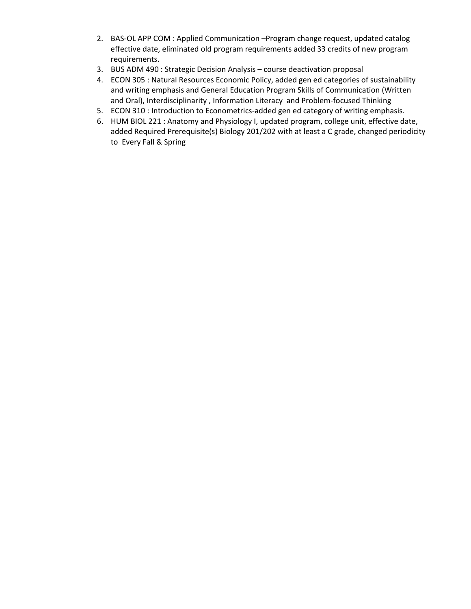- 2. BAS-OL APP COM : Applied Communication –Program change request, updated catalog effective date, eliminated old program requirements added 33 credits of new program requirements.
- 3. BUS ADM 490 : Strategic Decision Analysis course deactivation proposal
- 4. ECON 305 : Natural Resources Economic Policy, added gen ed categories of sustainability and writing emphasis and General Education Program Skills of Communication (Written and Oral), Interdisciplinarity , Information Literacy and Problem-focused Thinking
- 5. ECON 310 : Introduction to Econometrics-added gen ed category of writing emphasis.
- 6. HUM BIOL 221 : Anatomy and Physiology I, updated program, college unit, effective date, added Required Prerequisite(s) Biology 201/202 with at least a C grade, changed periodicity to Every Fall & Spring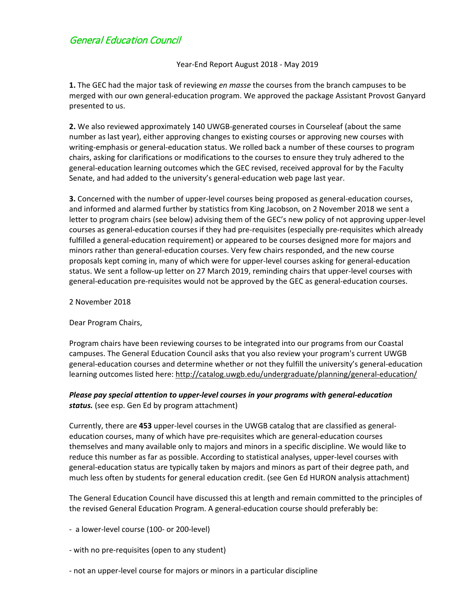# General Education Council

Year-End Report August 2018 - May 2019

**1.** The GEC had the major task of reviewing *en masse* the courses from the branch campuses to be merged with our own general-education program. We approved the package Assistant Provost Ganyard presented to us.

**2.** We also reviewed approximately 140 UWGB-generated courses in Courseleaf (about the same number as last year), either approving changes to existing courses or approving new courses with writing-emphasis or general-education status. We rolled back a number of these courses to program chairs, asking for clarifications or modifications to the courses to ensure they truly adhered to the general-education learning outcomes which the GEC revised, received approval for by the Faculty Senate, and had added to the university's general-education web page last year.

**3.** Concerned with the number of upper-level courses being proposed as general-education courses, and informed and alarmed further by statistics from King Jacobson, on 2 November 2018 we sent a letter to program chairs (see below) advising them of the GEC's new policy of not approving upper-level courses as general-education courses if they had pre-requisites (especially pre-requisites which already fulfilled a general-education requirement) or appeared to be courses designed more for majors and minors rather than general-education courses. Very few chairs responded, and the new course proposals kept coming in, many of which were for upper-level courses asking for general-education status. We sent a follow-up letter on 27 March 2019, reminding chairs that upper-level courses with general-education pre-requisites would not be approved by the GEC as general-education courses.

2 November 2018

Dear Program Chairs,

Program chairs have been reviewing courses to be integrated into our programs from our Coastal campuses. The General Education Council asks that you also review your program's current UWGB general-education courses and determine whether or not they fulfill the university's general-education learning outcomes listed here: <http://catalog.uwgb.edu/undergraduate/planning/general-education/>

### *Please pay special attention to upper-level courses in your programs with general-education status.* (see esp. Gen Ed by program attachment)

Currently, there are **453** upper-level courses in the UWGB catalog that are classified as generaleducation courses, many of which have pre-requisites which are general-education courses themselves and many available only to majors and minors in a specific discipline. We would like to reduce this number as far as possible. According to statistical analyses, upper-level courses with general-education status are typically taken by majors and minors as part of their degree path, and much less often by students for general education credit. (see Gen Ed HURON analysis attachment)

The General Education Council have discussed this at length and remain committed to the principles of the revised General Education Program. A general-education course should preferably be:

- a lower-level course (100- or 200-level)

- with no pre-requisites (open to any student)
- not an upper-level course for majors or minors in a particular discipline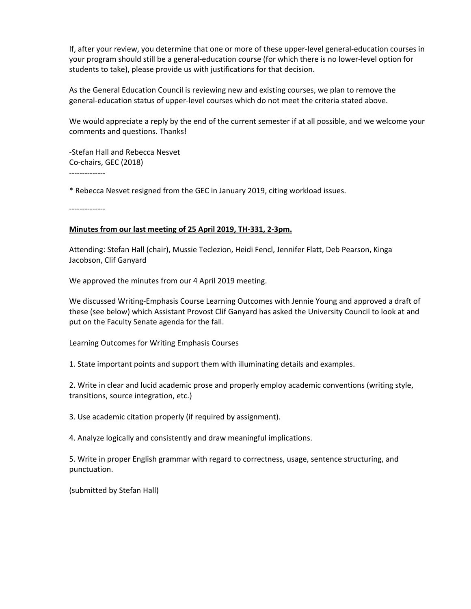If, after your review, you determine that one or more of these upper-level general-education courses in your program should still be a general-education course (for which there is no lower-level option for students to take), please provide us with justifications for that decision.

As the General Education Council is reviewing new and existing courses, we plan to remove the general-education status of upper-level courses which do not meet the criteria stated above.

We would appreciate a reply by the end of the current semester if at all possible, and we welcome your comments and questions. Thanks!

-Stefan Hall and Rebecca Nesvet Co-chairs, GEC (2018)

--------------

\* Rebecca Nesvet resigned from the GEC in January 2019, citing workload issues.

--------------

#### **Minutes from our last meeting of 25 April 2019, TH-331, 2-3pm.**

Attending: Stefan Hall (chair), Mussie Teclezion, Heidi Fencl, Jennifer Flatt, Deb Pearson, Kinga Jacobson, Clif Ganyard

We approved the minutes from our 4 April 2019 meeting.

We discussed Writing-Emphasis Course Learning Outcomes with Jennie Young and approved a draft of these (see below) which Assistant Provost Clif Ganyard has asked the University Council to look at and put on the Faculty Senate agenda for the fall.

Learning Outcomes for Writing Emphasis Courses

1. State important points and support them with illuminating details and examples.

2. Write in clear and lucid academic prose and properly employ academic conventions (writing style, transitions, source integration, etc.)

3. Use academic citation properly (if required by assignment).

4. Analyze logically and consistently and draw meaningful implications.

5. Write in proper English grammar with regard to correctness, usage, sentence structuring, and punctuation.

(submitted by Stefan Hall)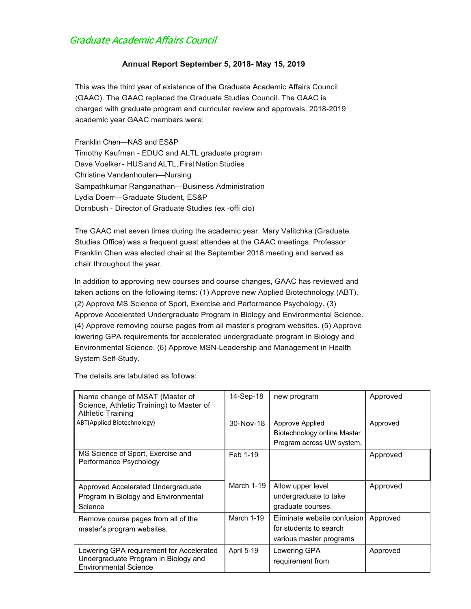# Graduate Academic Affairs Council

### **Annual Report September 5, 2018- May 15, 2019**

This was the third year of existence of the Graduate Academic Affairs Council (GAAC). The GAAC replaced the Graduate Studies Council. The GAAC is charged with graduate program and curricular review and approvals. 2018-2019 academic year GAAC members were:

Franklin Chen—NAS and ES&P Timothy Kaufman - EDUC and ALTL graduate program Dave Voelker - HUS and ALTL, First Nation Studies Christine Vandenhouten—Nursing Sampathkumar Ranganathan—Business Administration Lydia Doerr—Graduate Student, ES&P Dornbush - Director of Graduate Studies (ex -offi cio)

The GAAC met seven times during the academic year. Mary Valitchka (Graduate Studies Office) was a frequent guest attendee at the GAAC meetings. Professor Franklin Chen was elected chair at the September 2018 meeting and served as chair throughout the year.

In addition to approving new courses and course changes, GAAC has reviewed and taken actions on the following items: (1) Approve new Applied Biotechnology (ABT). (2) Approve MS Science of Sport, Exercise and Performance Psychology. (3) Approve Accelerated Undergraduate Program in Biology and Environmental Science. (4) Approve removing course pages from all master's program websites. (5) Approve lowering GPA requirements for accelerated undergraduate program in Biology and Environmental Science. (6) Approve MSN-Leadership and Management in Health System Self-Study.

The details are tabulated as follows:

| Name change of MSAT (Master of<br>Science, Athletic Training) to Master of<br><b>Athletic Training</b>           | 14-Sep-18  | new program                                                                      | Approved |
|------------------------------------------------------------------------------------------------------------------|------------|----------------------------------------------------------------------------------|----------|
| ABT(Applied Biotechnology)                                                                                       | 30-Nov-18  | Approve Applied<br>Biotechnology online Master<br>Program across UW system.      | Approved |
| MS Science of Sport, Exercise and<br>Performance Psychology                                                      | Feb 1-19   |                                                                                  | Approved |
| Approved Accelerated Undergraduate<br>Program in Biology and Environmental<br>Science                            | March 1-19 | Allow upper level<br>undergraduate to take<br>graduate courses.                  | Approved |
| Remove course pages from all of the<br>master's program websites.                                                | March 1-19 | Eliminate website confusion<br>for students to search<br>various master programs | Approved |
| Lowering GPA requirement for Accelerated<br>Undergraduate Program in Biology and<br><b>Environmental Science</b> | April 5-19 | Lowering GPA<br>requirement from                                                 | Approved |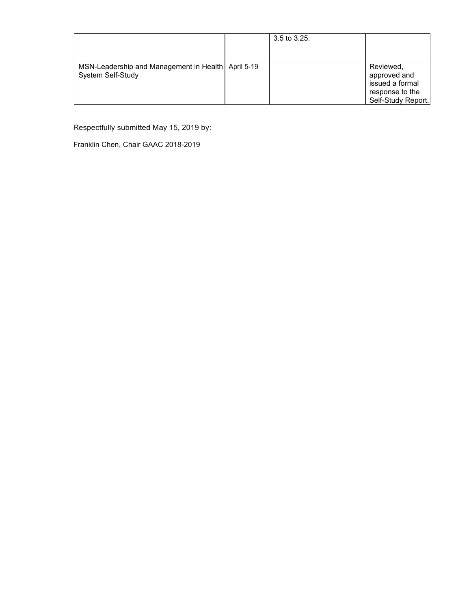|                                                                         | $3.5$ to $3.25$ . |                                                                                       |
|-------------------------------------------------------------------------|-------------------|---------------------------------------------------------------------------------------|
| MSN-Leadership and Management in Health April 5-19<br>System Self-Study |                   | Reviewed,<br>approved and<br>issued a formal<br>response to the<br>Self-Study Report. |

Respectfully submitted May 15, 2019 by:

Franklin Chen, Chair GAAC 2018-2019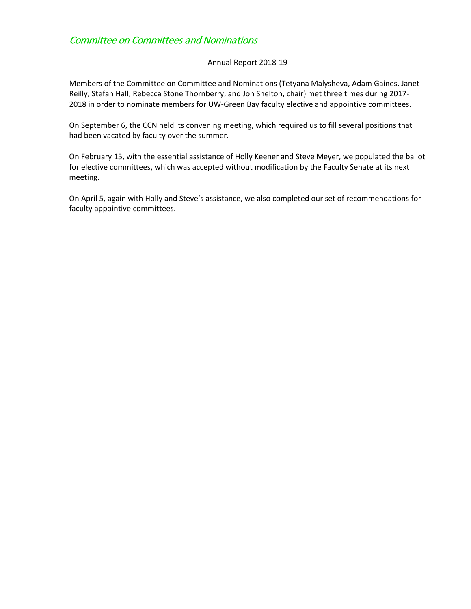### Committee on Committees and Nominations

#### Annual Report 2018-19

Members of the Committee on Committee and Nominations (Tetyana Malysheva, Adam Gaines, Janet Reilly, Stefan Hall, Rebecca Stone Thornberry, and Jon Shelton, chair) met three times during 2017- 2018 in order to nominate members for UW-Green Bay faculty elective and appointive committees.

On September 6, the CCN held its convening meeting, which required us to fill several positions that had been vacated by faculty over the summer.

On February 15, with the essential assistance of Holly Keener and Steve Meyer, we populated the ballot for elective committees, which was accepted without modification by the Faculty Senate at its next meeting.

On April 5, again with Holly and Steve's assistance, we also completed our set of recommendations for faculty appointive committees.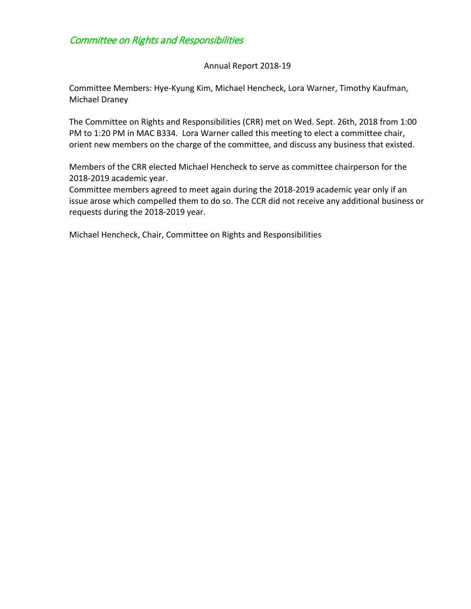# Committee on Rights and Responsibilities

### Annual Report 2018-19

Committee Members: Hye-Kyung Kim, Michael Hencheck, Lora Warner, Timothy Kaufman, Michael Draney

The Committee on Rights and Responsibilities (CRR) met on Wed. Sept. 26th, 2018 from 1:00 PM to 1:20 PM in MAC B334. Lora Warner called this meeting to elect a committee chair, orient new members on the charge of the committee, and discuss any business that existed.

Members of the CRR elected Michael Hencheck to serve as committee chairperson for the 2018-2019 academic year.

Committee members agreed to meet again during the 2018-2019 academic year only if an issue arose which compelled them to do so. The CCR did not receive any additional business or requests during the 2018-2019 year.

Michael Hencheck, Chair, Committee on Rights and Responsibilities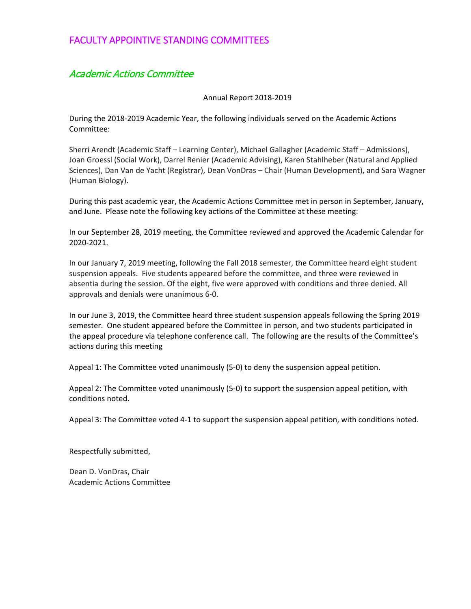### FACULTY APPOINTIVE STANDING COMMITTEES

## Academic Actions Committee

#### Annual Report 2018-2019

During the 2018-2019 Academic Year, the following individuals served on the Academic Actions Committee:

Sherri Arendt (Academic Staff – Learning Center), Michael Gallagher (Academic Staff – Admissions), Joan Groessl (Social Work), Darrel Renier (Academic Advising), Karen Stahlheber (Natural and Applied Sciences), Dan Van de Yacht (Registrar), Dean VonDras – Chair (Human Development), and Sara Wagner (Human Biology).

During this past academic year, the Academic Actions Committee met in person in September, January, and June. Please note the following key actions of the Committee at these meeting:

In our September 28, 2019 meeting, the Committee reviewed and approved the Academic Calendar for 2020-2021.

In our January 7, 2019 meeting, following the Fall 2018 semester, the Committee heard eight student suspension appeals. Five students appeared before the committee, and three were reviewed in absentia during the session. Of the eight, five were approved with conditions and three denied. All approvals and denials were unanimous 6-0.

In our June 3, 2019, the Committee heard three student suspension appeals following the Spring 2019 semester. One student appeared before the Committee in person, and two students participated in the appeal procedure via telephone conference call. The following are the results of the Committee's actions during this meeting

Appeal 1: The Committee voted unanimously (5-0) to deny the suspension appeal petition.

Appeal 2: The Committee voted unanimously (5-0) to support the suspension appeal petition, with conditions noted.

Appeal 3: The Committee voted 4-1 to support the suspension appeal petition, with conditions noted.

Respectfully submitted,

Dean D. VonDras, Chair Academic Actions Committee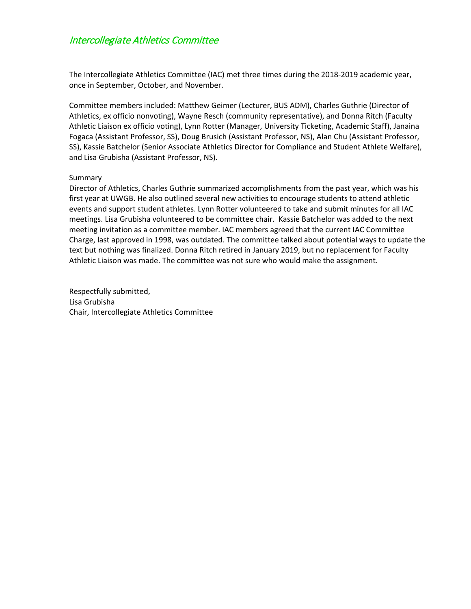### Intercollegiate Athletics Committee

The Intercollegiate Athletics Committee (IAC) met three times during the 2018-2019 academic year, once in September, October, and November.

Committee members included: Matthew Geimer (Lecturer, BUS ADM), Charles Guthrie (Director of Athletics, ex officio nonvoting), Wayne Resch (community representative), and Donna Ritch (Faculty Athletic Liaison ex officio voting), Lynn Rotter (Manager, University Ticketing, Academic Staff), Janaina Fogaca (Assistant Professor, SS), Doug Brusich (Assistant Professor, NS), Alan Chu (Assistant Professor, SS), Kassie Batchelor (Senior Associate Athletics Director for Compliance and Student Athlete Welfare), and Lisa Grubisha (Assistant Professor, NS).

#### Summary

Director of Athletics, Charles Guthrie summarized accomplishments from the past year, which was his first year at UWGB. He also outlined several new activities to encourage students to attend athletic events and support student athletes. Lynn Rotter volunteered to take and submit minutes for all IAC meetings. Lisa Grubisha volunteered to be committee chair. Kassie Batchelor was added to the next meeting invitation as a committee member. IAC members agreed that the current IAC Committee Charge, last approved in 1998, was outdated. The committee talked about potential ways to update the text but nothing was finalized. Donna Ritch retired in January 2019, but no replacement for Faculty Athletic Liaison was made. The committee was not sure who would make the assignment.

Respectfully submitted, Lisa Grubisha Chair, Intercollegiate Athletics Committee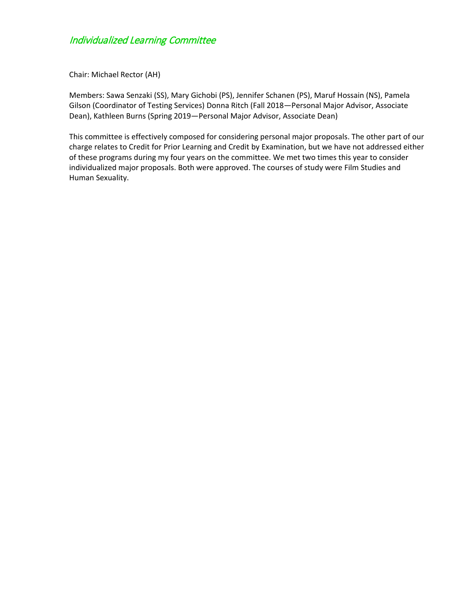# Individualized Learning Committee

Chair: Michael Rector (AH)

Members: Sawa Senzaki (SS), Mary Gichobi (PS), Jennifer Schanen (PS), Maruf Hossain (NS), Pamela Gilson (Coordinator of Testing Services) Donna Ritch (Fall 2018—Personal Major Advisor, Associate Dean), Kathleen Burns (Spring 2019—Personal Major Advisor, Associate Dean)

This committee is effectively composed for considering personal major proposals. The other part of our charge relates to Credit for Prior Learning and Credit by Examination, but we have not addressed either of these programs during my four years on the committee. We met two times this year to consider individualized major proposals. Both were approved. The courses of study were Film Studies and Human Sexuality.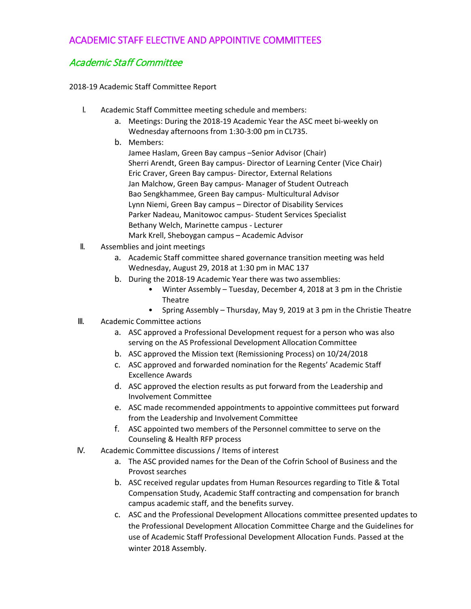# ACADEMIC STAFF ELECTIVE AND APPOINTIVE COMMITTEES

# Academic Staff Committee

2018-19 Academic Staff Committee Report

- I. Academic Staff Committee meeting schedule and members:
	- a. Meetings: During the 2018-19 Academic Year the ASC meet bi-weekly on Wednesday afternoons from 1:30-3:00 pm in CL735.
	- b. Members:

Jamee Haslam, Green Bay campus –Senior Advisor (Chair) Sherri Arendt, Green Bay campus- Director of Learning Center (Vice Chair) Eric Craver, Green Bay campus- Director, External Relations Jan Malchow, Green Bay campus- Manager of Student Outreach Bao Sengkhammee, Green Bay campus- Multicultural Advisor Lynn Niemi, Green Bay campus – Director of Disability Services Parker Nadeau, Manitowoc campus- Student Services Specialist Bethany Welch, Marinette campus - Lecturer Mark Krell, Sheboygan campus – Academic Advisor

- II. Assemblies and joint meetings
	- a. Academic Staff committee shared governance transition meeting was held Wednesday, August 29, 2018 at 1:30 pm in MAC 137
	- b. During the 2018-19 Academic Year there was two assemblies:
		- Winter Assembly Tuesday, December 4, 2018 at 3 pm in the Christie Theatre
		- Spring Assembly Thursday, May 9, 2019 at 3 pm in the Christie Theatre
- III. Academic Committee actions
	- a. ASC approved a Professional Development request for a person who was also serving on the AS Professional Development Allocation Committee
	- b. ASC approved the Mission text (Remissioning Process) on 10/24/2018
	- c. ASC approved and forwarded nomination for the Regents' Academic Staff Excellence Awards
	- d. ASC approved the election results as put forward from the Leadership and Involvement Committee
	- e. ASC made recommended appointments to appointive committees put forward from the Leadership and Involvement Committee
	- f. ASC appointed two members of the Personnel committee to serve on the Counseling & Health RFP process
- IV. Academic Committee discussions / Items of interest
	- a. The ASC provided names for the Dean of the Cofrin School of Business and the Provost searches
	- b. ASC received regular updates from Human Resources regarding to Title & Total Compensation Study, Academic Staff contracting and compensation for branch campus academic staff, and the benefits survey.
	- c. ASC and the Professional Development Allocations committee presented updates to the Professional Development Allocation Committee Charge and the Guidelines for use of Academic Staff Professional Development Allocation Funds. Passed at the winter 2018 Assembly.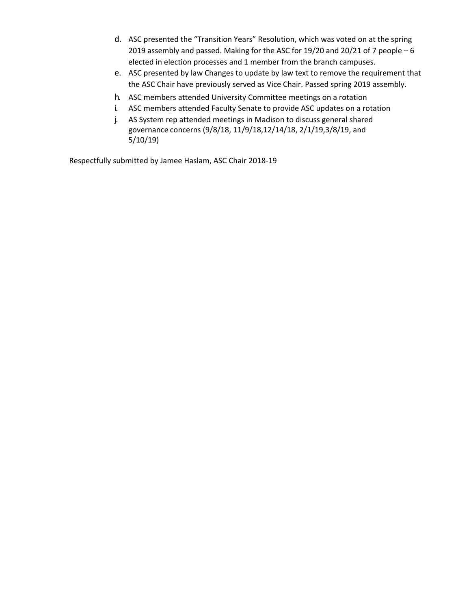- d. ASC presented the "Transition Years" Resolution, which was voted on at the spring 2019 assembly and passed. Making for the ASC for 19/20 and 20/21 of 7 people – 6 elected in election processes and 1 member from the branch campuses.
- e. ASC presented by law Changes to update by law text to remove the requirement that the ASC Chair have previously served as Vice Chair. Passed spring 2019 assembly.
- h. ASC members attended University Committee meetings on a rotation
- i. ASC members attended Faculty Senate to provide ASC updates on a rotation
- j. AS System rep attended meetings in Madison to discuss general shared governance concerns (9/8/18, 11/9/18,12/14/18, 2/1/19,3/8/19, and 5/10/19)

Respectfully submitted by Jamee Haslam, ASC Chair 2018-19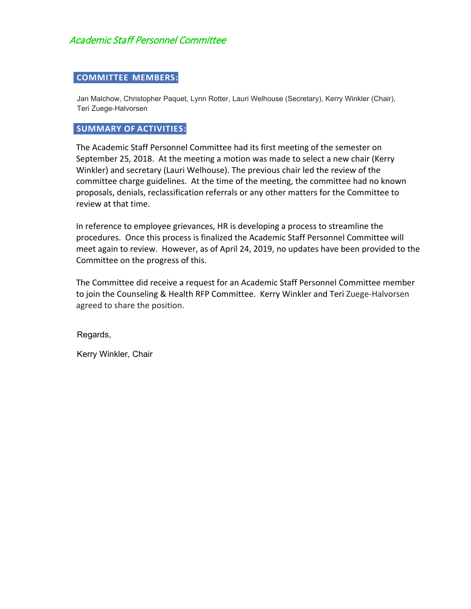### **COMMITTEE MEMBERS:**

Jan Malchow, Christopher Paquet, Lynn Rotter, Lauri Welhouse (Secretary), Kerry Winkler (Chair), Teri Zuege-Halvorsen

### **SUMMARY OF ACTIVITIES:**

The Academic Staff Personnel Committee had its first meeting of the semester on September 25, 2018. At the meeting a motion was made to select a new chair (Kerry Winkler) and secretary (Lauri Welhouse). The previous chair led the review of the committee charge guidelines. At the time of the meeting, the committee had no known proposals, denials, reclassification referrals or any other matters for the Committee to review at that time.

In reference to employee grievances, HR is developing a process to streamline the procedures. Once this process is finalized the Academic Staff Personnel Committee will meet again to review. However, as of April 24, 2019, no updates have been provided to the Committee on the progress of this.

The Committee did receive a request for an Academic Staff Personnel Committee member to join the Counseling & Health RFP Committee. Kerry Winkler and Teri Zuege-Halvorsen agreed to share the position.

Regards,

Kerry Winkler, Chair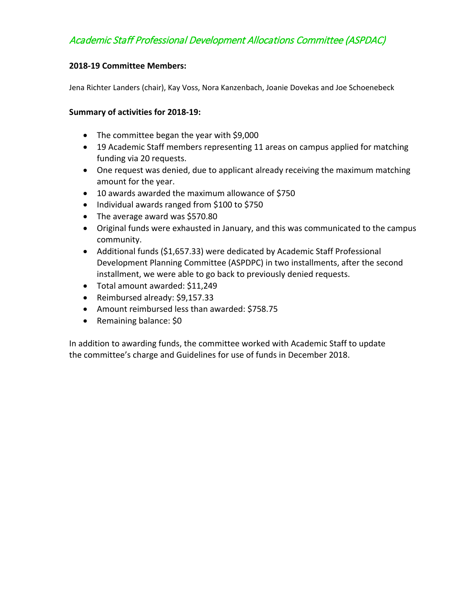# Academic Staff Professional Development Allocations Committee (ASPDAC)

### **2018-19 Committee Members:**

Jena Richter Landers (chair), Kay Voss, Nora Kanzenbach, Joanie Dovekas and Joe Schoenebeck

### **Summary of activities for 2018-19:**

- The committee began the year with \$9,000
- 19 Academic Staff members representing 11 areas on campus applied for matching funding via 20 requests.
- One request was denied, due to applicant already receiving the maximum matching amount for the year.
- 10 awards awarded the maximum allowance of \$750
- Individual awards ranged from \$100 to \$750
- The average award was \$570.80
- Original funds were exhausted in January, and this was communicated to the campus community.
- Additional funds (\$1,657.33) were dedicated by Academic Staff Professional Development Planning Committee (ASPDPC) in two installments, after the second installment, we were able to go back to previously denied requests.
- Total amount awarded: \$11,249
- Reimbursed already: \$9,157.33
- Amount reimbursed less than awarded: \$758.75
- Remaining balance: \$0

In addition to awarding funds, the committee worked with Academic Staff to update the committee's charge and Guidelines for use of funds in December 2018.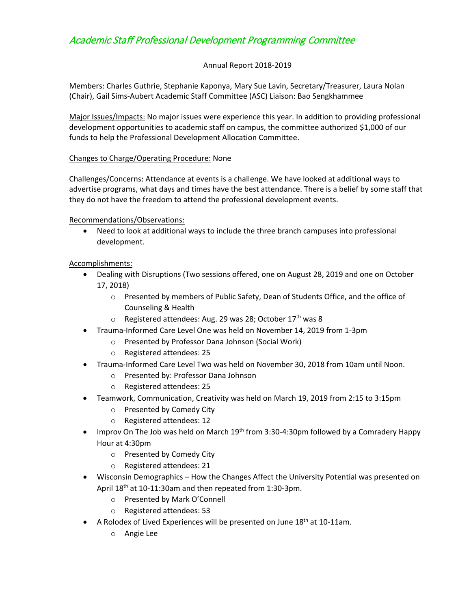# Academic Staff Professional Development Programming Committee

### Annual Report 2018-2019

Members: Charles Guthrie, Stephanie Kaponya, Mary Sue Lavin, Secretary/Treasurer, Laura Nolan (Chair), Gail Sims-Aubert Academic Staff Committee (ASC) Liaison: Bao Sengkhammee

Major Issues/Impacts: No major issues were experience this year. In addition to providing professional development opportunities to academic staff on campus, the committee authorized \$1,000 of our funds to help the Professional Development Allocation Committee.

#### Changes to Charge/Operating Procedure: None

Challenges/Concerns: Attendance at events is a challenge. We have looked at additional ways to advertise programs, what days and times have the best attendance. There is a belief by some staff that they do not have the freedom to attend the professional development events.

Recommendations/Observations:

• Need to look at additional ways to include the three branch campuses into professional development.

### Accomplishments:

- Dealing with Disruptions (Two sessions offered, one on August 28, 2019 and one on October 17, 2018)
	- o Presented by members of Public Safety, Dean of Students Office, and the office of Counseling & Health
	- o Registered attendees: Aug. 29 was 28; October 17<sup>th</sup> was 8
- Trauma-Informed Care Level One was held on November 14, 2019 from 1-3pm
	- o Presented by Professor Dana Johnson (Social Work)
	- o Registered attendees: 25
- Trauma-Informed Care Level Two was held on November 30, 2018 from 10am until Noon.
	- o Presented by: Professor Dana Johnson
	- o Registered attendees: 25
- Teamwork, Communication, Creativity was held on March 19, 2019 from 2:15 to 3:15pm
	- o Presented by Comedy City
	- o Registered attendees: 12
- Improv On The Job was held on March  $19<sup>th</sup>$  from 3:30-4:30pm followed by a Comradery Happy Hour at 4:30pm
	- o Presented by Comedy City
	- o Registered attendees: 21
- Wisconsin Demographics How the Changes Affect the University Potential was presented on April 18th at 10-11:30am and then repeated from 1:30-3pm.
	- o Presented by Mark O'Connell
	- o Registered attendees: 53
- A Rolodex of Lived Experiences will be presented on June  $18<sup>th</sup>$  at 10-11am.
	- o Angie Lee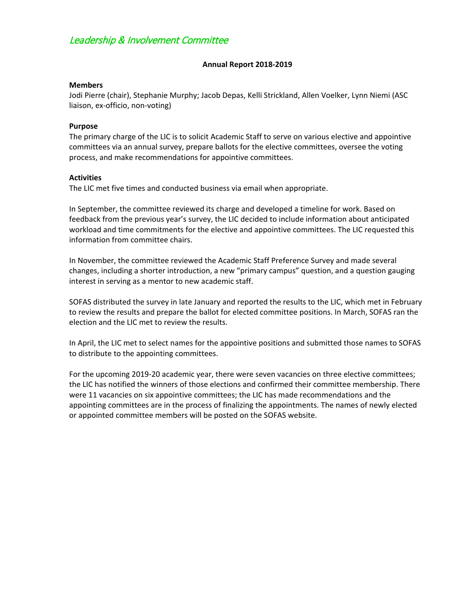# Leadership & Involvement Committee

#### **Annual Report 2018-2019**

#### **Members**

Jodi Pierre (chair), Stephanie Murphy; Jacob Depas, Kelli Strickland, Allen Voelker, Lynn Niemi (ASC liaison, ex-officio, non-voting)

#### **Purpose**

The primary charge of the LIC is to solicit Academic Staff to serve on various elective and appointive committees via an annual survey, prepare ballots for the elective committees, oversee the voting process, and make recommendations for appointive committees.

#### **Activities**

The LIC met five times and conducted business via email when appropriate.

In September, the committee reviewed its charge and developed a timeline for work. Based on feedback from the previous year's survey, the LIC decided to include information about anticipated workload and time commitments for the elective and appointive committees. The LIC requested this information from committee chairs.

In November, the committee reviewed the Academic Staff Preference Survey and made several changes, including a shorter introduction, a new "primary campus" question, and a question gauging interest in serving as a mentor to new academic staff.

SOFAS distributed the survey in late January and reported the results to the LIC, which met in February to review the results and prepare the ballot for elected committee positions. In March, SOFAS ran the election and the LIC met to review the results.

In April, the LIC met to select names for the appointive positions and submitted those names to SOFAS to distribute to the appointing committees.

For the upcoming 2019-20 academic year, there were seven vacancies on three elective committees; the LIC has notified the winners of those elections and confirmed their committee membership. There were 11 vacancies on six appointive committees; the LIC has made recommendations and the appointing committees are in the process of finalizing the appointments. The names of newly elected or appointed committee members will be posted on the SOFAS website.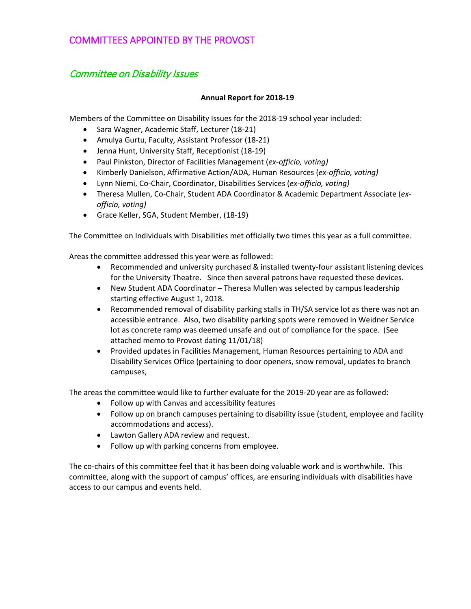### COMMITTEES APPOINTED BY THE PROVOST

### Committee on Disability Issues

#### **Annual Report for 2018-19**

Members of the Committee on Disability Issues for the 2018-19 school year included:

- Sara Wagner, Academic Staff, Lecturer (18-21)
- Amulya Gurtu, Faculty, Assistant Professor (18-21)
- Jenna Hunt, University Staff, Receptionist (18-19)
- Paul Pinkston, Director of Facilities Management (*ex-officio, voting)*
- Kimberly Danielson, Affirmative Action/ADA, Human Resources (*ex-officio, voting)*
- Lynn Niemi, Co-Chair, Coordinator, Disabilities Services (*ex-officio, voting)*
- Theresa Mullen, Co-Chair, Student ADA Coordinator & Academic Department Associate (*exofficio, voting)*
- Grace Keller, SGA, Student Member, (18-19)

The Committee on Individuals with Disabilities met officially two times this year as a full committee.

Areas the committee addressed this year were as followed:

- Recommended and university purchased & installed twenty-four assistant listening devices for the University Theatre. Since then several patrons have requested these devices.
- New Student ADA Coordinator Theresa Mullen was selected by campus leadership starting effective August 1, 2018.
- Recommended removal of disability parking stalls in TH/SA service lot as there was not an accessible entrance. Also, two disability parking spots were removed in Weidner Service lot as concrete ramp was deemed unsafe and out of compliance for the space. (See attached memo to Provost dating 11/01/18)
- Provided updates in Facilities Management, Human Resources pertaining to ADA and Disability Services Office (pertaining to door openers, snow removal, updates to branch campuses,

The areas the committee would like to further evaluate for the 2019-20 year are as followed:

- Follow up with Canvas and accessibility features
- Follow up on branch campuses pertaining to disability issue (student, employee and facility accommodations and access).
- Lawton Gallery ADA review and request.
- Follow up with parking concerns from employee.

The co-chairs of this committee feel that it has been doing valuable work and is worthwhile. This committee, along with the support of campus' offices, are ensuring individuals with disabilities have access to our campus and events held.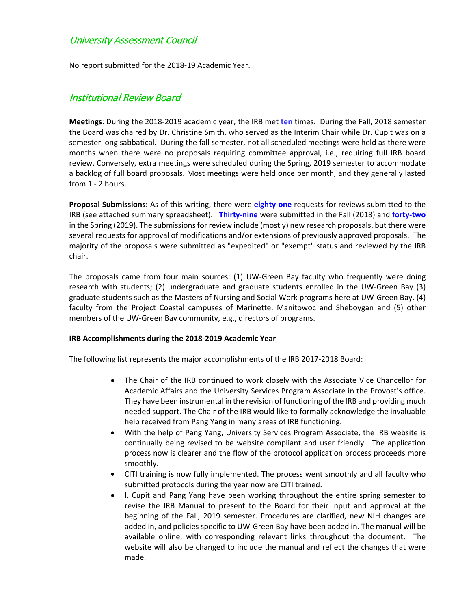### University Assessment Council

No report submitted for the 2018-19 Academic Year.

### Institutional Review Board

**Meetings**: During the 2018-2019 academic year, the IRB met **ten** times. During the Fall, 2018 semester the Board was chaired by Dr. Christine Smith, who served as the Interim Chair while Dr. Cupit was on a semester long sabbatical. During the fall semester, not all scheduled meetings were held as there were months when there were no proposals requiring committee approval, i.e., requiring full IRB board review. Conversely, extra meetings were scheduled during the Spring, 2019 semester to accommodate a backlog of full board proposals. Most meetings were held once per month, and they generally lasted from 1 - 2 hours.

**Proposal Submissions:** As of this writing, there were **eighty-one** requests for reviews submitted to the IRB (see attached summary spreadsheet). **Thirty-nine** were submitted in the Fall (2018) and **forty-two** in the Spring (2019). The submissions for review include (mostly) new research proposals, but there were several requests for approval of modifications and/or extensions of previously approved proposals. The majority of the proposals were submitted as "expedited" or "exempt" status and reviewed by the IRB chair.

The proposals came from four main sources: (1) UW-Green Bay faculty who frequently were doing research with students; (2) undergraduate and graduate students enrolled in the UW-Green Bay (3) graduate students such as the Masters of Nursing and Social Work programs here at UW-Green Bay, (4) faculty from the Project Coastal campuses of Marinette, Manitowoc and Sheboygan and (5) other members of the UW-Green Bay community, e.g., directors of programs.

#### **IRB Accomplishments during the 2018-2019 Academic Year**

The following list represents the major accomplishments of the IRB 2017-2018 Board:

- The Chair of the IRB continued to work closely with the Associate Vice Chancellor for Academic Affairs and the University Services Program Associate in the Provost's office. They have been instrumental in the revision of functioning of the IRB and providing much needed support. The Chair of the IRB would like to formally acknowledge the invaluable help received from Pang Yang in many areas of IRB functioning.
- With the help of Pang Yang, University Services Program Associate, the IRB website is continually being revised to be website compliant and user friendly. The application process now is clearer and the flow of the protocol application process proceeds more smoothly.
- CITI training is now fully implemented. The process went smoothly and all faculty who submitted protocols during the year now are CITI trained.
- I. Cupit and Pang Yang have been working throughout the entire spring semester to revise the IRB Manual to present to the Board for their input and approval at the beginning of the Fall, 2019 semester. Procedures are clarified, new NIH changes are added in, and policies specific to UW-Green Bay have been added in. The manual will be available online, with corresponding relevant links throughout the document. The website will also be changed to include the manual and reflect the changes that were made.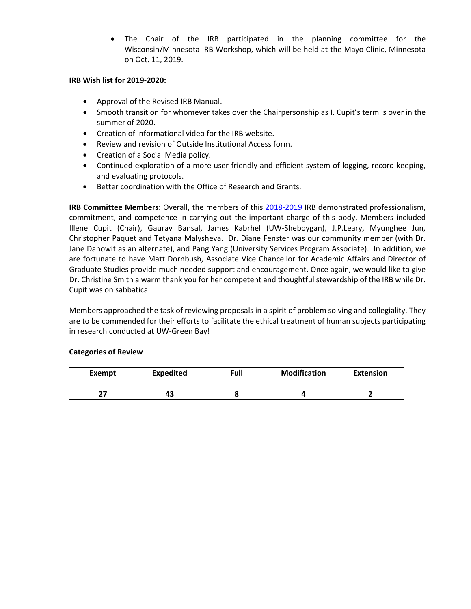• The Chair of the IRB participated in the planning committee for the Wisconsin/Minnesota IRB Workshop, which will be held at the Mayo Clinic, Minnesota on Oct. 11, 2019.

#### **IRB Wish list for 2019-2020:**

- Approval of the Revised IRB Manual.
- Smooth transition for whomever takes over the Chairpersonship as I. Cupit's term is over in the summer of 2020.
- Creation of informational video for the IRB website.
- Review and revision of Outside Institutional Access form.
- Creation of a Social Media policy.
- Continued exploration of a more user friendly and efficient system of logging, record keeping, and evaluating protocols.
- Better coordination with the Office of Research and Grants.

**IRB Committee Members:** Overall, the members of this 2018-2019 IRB demonstrated professionalism, commitment, and competence in carrying out the important charge of this body. Members included Illene Cupit (Chair), Gaurav Bansal, James Kabrhel (UW-Sheboygan), J.P.Leary, Myunghee Jun, Christopher Paquet and Tetyana Malysheva. Dr. Diane Fenster was our community member (with Dr. Jane Danowit as an alternate), and Pang Yang (University Services Program Associate). In addition, we are fortunate to have Matt Dornbush, Associate Vice Chancellor for Academic Affairs and Director of Graduate Studies provide much needed support and encouragement. Once again, we would like to give Dr. Christine Smith a warm thank you for her competent and thoughtful stewardship of the IRB while Dr. Cupit was on sabbatical.

Members approached the task of reviewing proposals in a spirit of problem solving and collegiality. They are to be commended for their efforts to facilitate the ethical treatment of human subjects participating in research conducted at UW-Green Bay!

#### **Categories of Review**

| Exempt | <b>Expedited</b> | Full | <b>Modification</b> | <b>Extension</b> |
|--------|------------------|------|---------------------|------------------|
|        |                  |      |                     |                  |
| --     | 43               |      |                     |                  |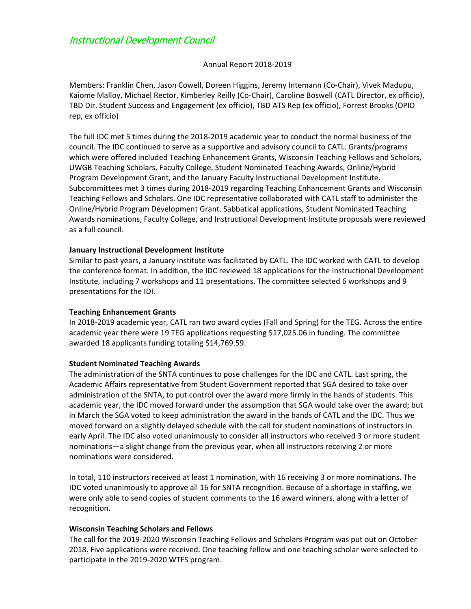### Instructional Development Council

#### Annual Report 2018-2019

Members: Franklin Chen, Jason Cowell, Doreen Higgins, Jeremy Intemann (Co-Chair), Vivek Madupu, Kaiome Malloy, Michael Rector, Kimberley Reilly (Co-Chair), Caroline Boswell (CATL Director, ex officio), TBD Dir. Student Success and Engagement (ex officio), TBD ATS Rep (ex officio), Forrest Brooks (OPID rep, ex officio)

The full IDC met 5 times during the 2018-2019 academic year to conduct the normal business of the council. The IDC continued to serve as a supportive and advisory council to CATL. Grants/programs which were offered included Teaching Enhancement Grants, Wisconsin Teaching Fellows and Scholars, UWGB Teaching Scholars, Faculty College, Student Nominated Teaching Awards, Online/Hybrid Program Development Grant, and the January Faculty Instructional Development Institute. Subcommittees met 3 times during 2018-2019 regarding Teaching Enhancement Grants and Wisconsin Teaching Fellows and Scholars. One IDC representative collaborated with CATL staff to administer the Online/Hybrid Program Development Grant. Sabbatical applications, Student Nominated Teaching Awards nominations, Faculty College, and Instructional Development Institute proposals were reviewed as a full council.

#### **January Instructional Development Institute**

Similar to past years, a January institute was facilitated by CATL. The IDC worked with CATL to develop the conference format. In addition, the IDC reviewed 18 applications for the Instructional Development Institute, including 7 workshops and 11 presentations. The committee selected 6 workshops and 9 presentations for the IDI.

#### **Teaching Enhancement Grants**

In 2018-2019 academic year, CATL ran two award cycles (Fall and Spring) for the TEG. Across the entire academic year there were 19 TEG applications requesting \$17,025.06 in funding. The committee awarded 18 applicants funding totaling \$14,769.59.

#### **Student Nominated Teaching Awards**

The administration of the SNTA continues to pose challenges for the IDC and CATL. Last spring, the Academic Affairs representative from Student Government reported that SGA desired to take over administration of the SNTA, to put control over the award more firmly in the hands of students. This academic year, the IDC moved forward under the assumption that SGA would take over the award; but in March the SGA voted to keep administration the award in the hands of CATL and the IDC. Thus we moved forward on a slightly delayed schedule with the call for student nominations of instructors in early April. The IDC also voted unanimously to consider all instructors who received 3 or more student nominations—a slight change from the previous year, when all instructors receiving 2 or more nominations were considered.

In total, 110 instructors received at least 1 nomination, with 16 receiving 3 or more nominations. The IDC voted unanimously to approve all 16 for SNTA recognition. Because of a shortage in staffing, we were only able to send copies of student comments to the 16 award winners, along with a letter of recognition.

#### **Wisconsin Teaching Scholars and Fellows**

The call for the 2019-2020 Wisconsin Teaching Fellows and Scholars Program was put out on October 2018. Five applications were received. One teaching fellow and one teaching scholar were selected to participate in the 2019-2020 WTFS program.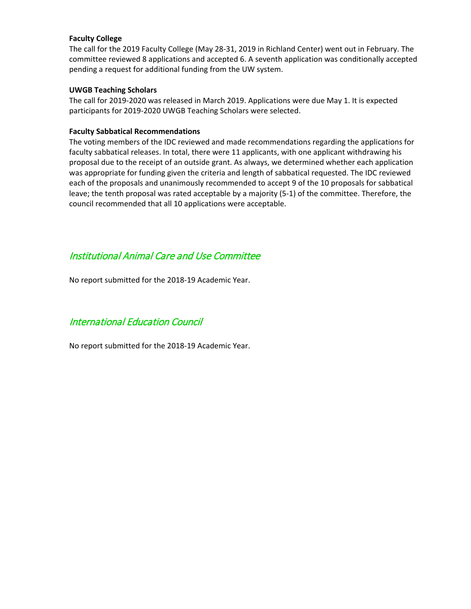#### **Faculty College**

The call for the 2019 Faculty College (May 28-31, 2019 in Richland Center) went out in February. The committee reviewed 8 applications and accepted 6. A seventh application was conditionally accepted pending a request for additional funding from the UW system.

#### **UWGB Teaching Scholars**

The call for 2019-2020 was released in March 2019. Applications were due May 1. It is expected participants for 2019-2020 UWGB Teaching Scholars were selected.

#### **Faculty Sabbatical Recommendations**

The voting members of the IDC reviewed and made recommendations regarding the applications for faculty sabbatical releases. In total, there were 11 applicants, with one applicant withdrawing his proposal due to the receipt of an outside grant. As always, we determined whether each application was appropriate for funding given the criteria and length of sabbatical requested. The IDC reviewed each of the proposals and unanimously recommended to accept 9 of the 10 proposals for sabbatical leave; the tenth proposal was rated acceptable by a majority (5-1) of the committee. Therefore, the council recommended that all 10 applications were acceptable.

### Institutional Animal Care and Use Committee

No report submitted for the 2018-19 Academic Year.

### International Education Council

No report submitted for the 2018-19 Academic Year.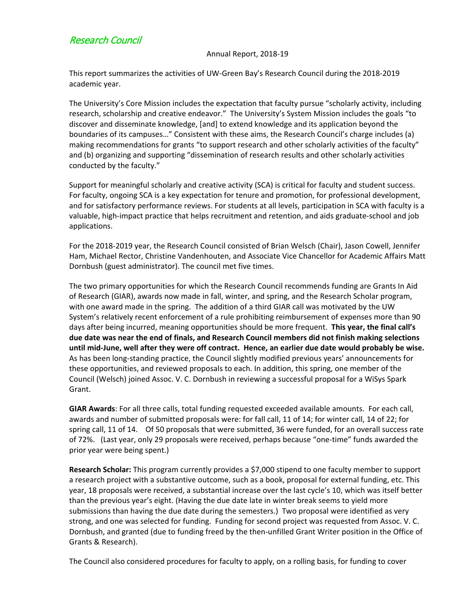## Research Council

#### Annual Report, 2018-19

This report summarizes the activities of UW-Green Bay's Research Council during the 2018-2019 academic year.

The University's Core Mission includes the expectation that faculty pursue "scholarly activity, including research, scholarship and creative endeavor." The University's System Mission includes the goals "to discover and disseminate knowledge, [and] to extend knowledge and its application beyond the boundaries of its campuses…" Consistent with these aims, the Research Council's charge includes (a) making recommendations for grants "to support research and other scholarly activities of the faculty" and (b) organizing and supporting "dissemination of research results and other scholarly activities conducted by the faculty."

Support for meaningful scholarly and creative activity (SCA) is critical for faculty and student success. For faculty, ongoing SCA is a key expectation for tenure and promotion, for professional development, and for satisfactory performance reviews. For students at all levels, participation in SCA with faculty is a valuable, high-impact practice that helps recruitment and retention, and aids graduate-school and job applications.

For the 2018-2019 year, the Research Council consisted of Brian Welsch (Chair), Jason Cowell, Jennifer Ham, Michael Rector, Christine Vandenhouten, and Associate Vice Chancellor for Academic Affairs Matt Dornbush (guest administrator). The council met five times.

The two primary opportunities for which the Research Council recommends funding are Grants In Aid of Research (GIAR), awards now made in fall, winter, and spring, and the Research Scholar program, with one award made in the spring. The addition of a third GIAR call was motivated by the UW System's relatively recent enforcement of a rule prohibiting reimbursement of expenses more than 90 days after being incurred, meaning opportunities should be more frequent. **This year, the final call's due date was near the end of finals, and Research Council members did not finish making selections until mid-June, well after they were off contract. Hence, an earlier due date would probably be wise.** As has been long-standing practice, the Council slightly modified previous years' announcements for these opportunities, and reviewed proposals to each. In addition, this spring, one member of the Council (Welsch) joined Assoc. V. C. Dornbush in reviewing a successful proposal for a WiSys Spark Grant.

**GIAR Awards**: For all three calls, total funding requested exceeded available amounts. For each call, awards and number of submitted proposals were: for fall call, 11 of 14; for winter call, 14 of 22; for spring call, 11 of 14. Of 50 proposals that were submitted, 36 were funded, for an overall success rate of 72%. (Last year, only 29 proposals were received, perhaps because "one-time" funds awarded the prior year were being spent.)

**Research Scholar:** This program currently provides a \$7,000 stipend to one faculty member to support a research project with a substantive outcome, such as a book, proposal for external funding, etc. This year, 18 proposals were received, a substantial increase over the last cycle's 10, which was itself better than the previous year's eight. (Having the due date late in winter break seems to yield more submissions than having the due date during the semesters.) Two proposal were identified as very strong, and one was selected for funding. Funding for second project was requested from Assoc. V. C. Dornbush, and granted (due to funding freed by the then-unfilled Grant Writer position in the Office of Grants & Research).

The Council also considered procedures for faculty to apply, on a rolling basis, for funding to cover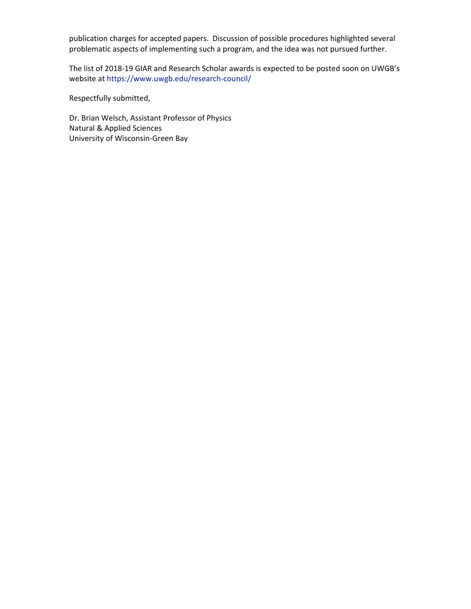publication charges for accepted papers. Discussion of possible procedures highlighted several problematic aspects of implementing such a program, and the idea was not pursued further.

The list of 2018-19 GIAR and Research Scholar awards is expected to be posted soon on UWGB's website at https://www.uwgb.edu/research-council/

Respectfully submitted,

Dr. Brian Welsch, Assistant Professor of Physics Natural & Applied Sciences University of Wisconsin-Green Bay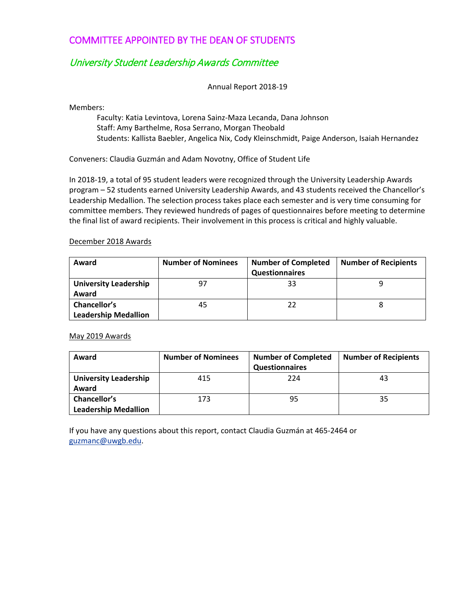# COMMITTEE APPOINTED BY THE DEAN OF STUDENTS

# University Student Leadership Awards Committee

Annual Report 2018-19

Members:

Faculty: Katia Levintova, Lorena Sainz-Maza Lecanda, Dana Johnson Staff: Amy Barthelme, Rosa Serrano, Morgan Theobald Students: Kallista Baebler, Angelica Nix, Cody Kleinschmidt, Paige Anderson, Isaiah Hernandez

Conveners: Claudia Guzmán and Adam Novotny, Office of Student Life

In 2018-19, a total of 95 student leaders were recognized through the University Leadership Awards program – 52 students earned University Leadership Awards, and 43 students received the Chancellor's Leadership Medallion. The selection process takes place each semester and is very time consuming for committee members. They reviewed hundreds of pages of questionnaires before meeting to determine the final list of award recipients. Their involvement in this process is critical and highly valuable.

#### December 2018 Awards

| Award                        | <b>Number of Nominees</b> | <b>Number of Completed</b> | <b>Number of Recipients</b> |
|------------------------------|---------------------------|----------------------------|-----------------------------|
|                              |                           | <b>Questionnaires</b>      |                             |
| <b>University Leadership</b> | 97                        | 33                         |                             |
| Award                        |                           |                            |                             |
| Chancellor's                 | 45                        | 22                         |                             |
| <b>Leadership Medallion</b>  |                           |                            |                             |

#### May 2019 Awards

| Award                                       | <b>Number of Nominees</b> | <b>Number of Completed</b> | <b>Number of Recipients</b> |
|---------------------------------------------|---------------------------|----------------------------|-----------------------------|
|                                             |                           | Questionnaires             |                             |
| <b>University Leadership</b><br>Award       | 415                       | 224                        | 43                          |
| Chancellor's<br><b>Leadership Medallion</b> | 173                       | 95                         | 35                          |

If you have any questions about this report, contact Claudia Guzmán at 465-2464 or [guzmanc@uwgb.edu.](mailto:guzmanc@uwgb.edu)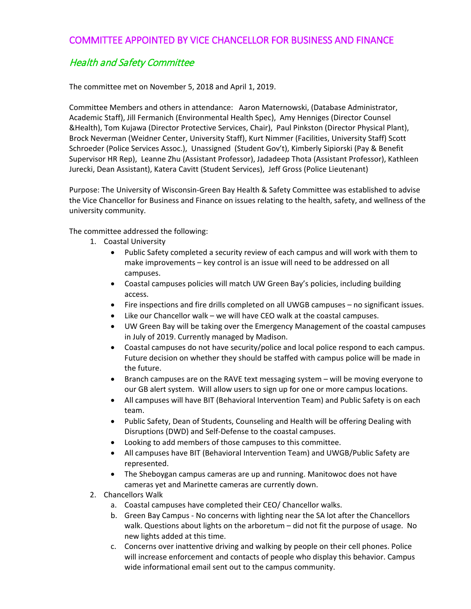### COMMITTEE APPOINTED BY VICE CHANCELLOR FOR BUSINESS AND FINANCE

# Health and Safety Committee

The committee met on November 5, 2018 and April 1, 2019.

Committee Members and others in attendance: Aaron Maternowski, (Database Administrator, Academic Staff), Jill Fermanich (Environmental Health Spec), Amy Henniges (Director Counsel &Health), Tom Kujawa (Director Protective Services, Chair), Paul Pinkston (Director Physical Plant), Brock Neverman (Weidner Center, University Staff), Kurt Nimmer (Facilities, University Staff) Scott Schroeder (Police Services Assoc.), Unassigned (Student Gov't), Kimberly Sipiorski (Pay & Benefit Supervisor HR Rep), Leanne Zhu (Assistant Professor), Jadadeep Thota (Assistant Professor), Kathleen Jurecki, Dean Assistant), Katera Cavitt (Student Services), Jeff Gross (Police Lieutenant)

Purpose: The University of Wisconsin-Green Bay Health & Safety Committee was established to advise the Vice Chancellor for Business and Finance on issues relating to the health, safety, and wellness of the university community.

The committee addressed the following:

- 1. Coastal University
	- Public Safety completed a security review of each campus and will work with them to make improvements – key control is an issue will need to be addressed on all campuses.
	- Coastal campuses policies will match UW Green Bay's policies, including building access.
	- Fire inspections and fire drills completed on all UWGB campuses no significant issues.
	- Like our Chancellor walk we will have CEO walk at the coastal campuses.
	- UW Green Bay will be taking over the Emergency Management of the coastal campuses in July of 2019. Currently managed by Madison.
	- Coastal campuses do not have security/police and local police respond to each campus. Future decision on whether they should be staffed with campus police will be made in the future.
	- Branch campuses are on the RAVE text messaging system will be moving everyone to our GB alert system. Will allow users to sign up for one or more campus locations.
	- All campuses will have BIT (Behavioral Intervention Team) and Public Safety is on each team.
	- Public Safety, Dean of Students, Counseling and Health will be offering Dealing with Disruptions (DWD) and Self-Defense to the coastal campuses.
	- Looking to add members of those campuses to this committee.
	- All campuses have BIT (Behavioral Intervention Team) and UWGB/Public Safety are represented.
	- The Sheboygan campus cameras are up and running. Manitowoc does not have cameras yet and Marinette cameras are currently down.
- 2. Chancellors Walk
	- a. Coastal campuses have completed their CEO/ Chancellor walks.
	- b. Green Bay Campus No concerns with lighting near the SA lot after the Chancellors walk. Questions about lights on the arboretum – did not fit the purpose of usage. No new lights added at this time.
	- c. Concerns over inattentive driving and walking by people on their cell phones. Police will increase enforcement and contacts of people who display this behavior. Campus wide informational email sent out to the campus community.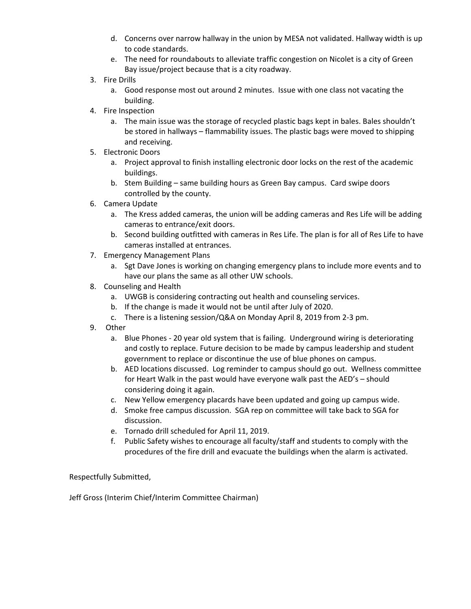- d. Concerns over narrow hallway in the union by MESA not validated. Hallway width is up to code standards.
- e. The need for roundabouts to alleviate traffic congestion on Nicolet is a city of Green Bay issue/project because that is a city roadway.
- 3. Fire Drills
	- a. Good response most out around 2 minutes. Issue with one class not vacating the building.
- 4. Fire Inspection
	- a. The main issue was the storage of recycled plastic bags kept in bales. Bales shouldn't be stored in hallways – flammability issues. The plastic bags were moved to shipping and receiving.
- 5. Electronic Doors
	- a. Project approval to finish installing electronic door locks on the rest of the academic buildings.
	- b. Stem Building same building hours as Green Bay campus. Card swipe doors controlled by the county.
- 6. Camera Update
	- a. The Kress added cameras, the union will be adding cameras and Res Life will be adding cameras to entrance/exit doors.
	- b. Second building outfitted with cameras in Res Life. The plan is for all of Res Life to have cameras installed at entrances.
- 7. Emergency Management Plans
	- a. Sgt Dave Jones is working on changing emergency plans to include more events and to have our plans the same as all other UW schools.
- 8. Counseling and Health
	- a. UWGB is considering contracting out health and counseling services.
	- b. If the change is made it would not be until after July of 2020.
	- c. There is a listening session/Q&A on Monday April 8, 2019 from 2-3 pm.
- 9. Other
	- a. Blue Phones 20 year old system that is failing. Underground wiring is deteriorating and costly to replace. Future decision to be made by campus leadership and student government to replace or discontinue the use of blue phones on campus.
	- b. AED locations discussed. Log reminder to campus should go out. Wellness committee for Heart Walk in the past would have everyone walk past the AED's – should considering doing it again.
	- c. New Yellow emergency placards have been updated and going up campus wide.
	- d. Smoke free campus discussion. SGA rep on committee will take back to SGA for discussion.
	- e. Tornado drill scheduled for April 11, 2019.
	- f. Public Safety wishes to encourage all faculty/staff and students to comply with the procedures of the fire drill and evacuate the buildings when the alarm is activated.

Respectfully Submitted,

Jeff Gross (Interim Chief/Interim Committee Chairman)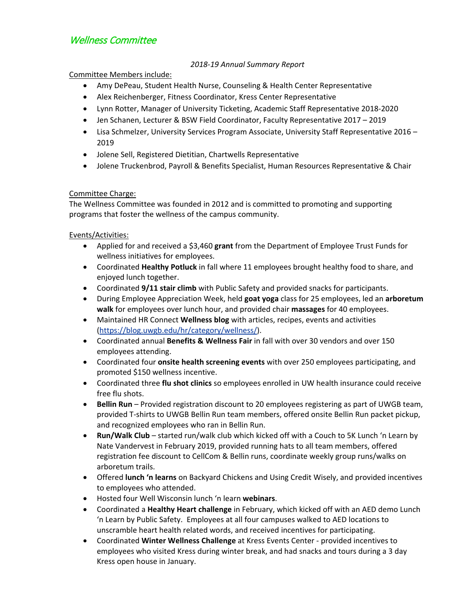# Wellness Committee

### *2018-19 Annual Summary Report*

### Committee Members include:

- Amy DePeau, Student Health Nurse, Counseling & Health Center Representative
- Alex Reichenberger, Fitness Coordinator, Kress Center Representative
- Lynn Rotter, Manager of University Ticketing, Academic Staff Representative 2018-2020
- Jen Schanen, Lecturer & BSW Field Coordinator, Faculty Representative 2017 2019
- Lisa Schmelzer, University Services Program Associate, University Staff Representative 2016 2019
- Jolene Sell, Registered Dietitian, Chartwells Representative
- Jolene Truckenbrod, Payroll & Benefits Specialist, Human Resources Representative & Chair

### Committee Charge:

The Wellness Committee was founded in 2012 and is committed to promoting and supporting programs that foster the wellness of the campus community.

### Events/Activities:

- Applied for and received a \$3,460 **grant** from the Department of Employee Trust Funds for wellness initiatives for employees.
- Coordinated **Healthy Potluck** in fall where 11 employees brought healthy food to share, and enjoyed lunch together.
- Coordinated **9/11 stair climb** with Public Safety and provided snacks for participants.
- During Employee Appreciation Week, held **goat yoga** class for 25 employees, led an **arboretum walk** for employees over lunch hour, and provided chair **massages** for 40 employees.
- Maintained HR Connect **Wellness blog** with articles, recipes, events and activities [\(https://blog.uwgb.edu/hr/category/wellness/\)](https://blog.uwgb.edu/hr/category/wellness/).
- Coordinated annual **Benefits & Wellness Fair** in fall with over 30 vendors and over 150 employees attending.
- Coordinated four **onsite health screening events** with over 250 employees participating, and promoted \$150 wellness incentive.
- Coordinated three **flu shot clinics** so employees enrolled in UW health insurance could receive free flu shots.
- **Bellin Run** Provided registration discount to 20 employees registering as part of UWGB team, provided T-shirts to UWGB Bellin Run team members, offered onsite Bellin Run packet pickup, and recognized employees who ran in Bellin Run.
- **Run/Walk Club**  started run/walk club which kicked off with a Couch to 5K Lunch 'n Learn by Nate Vandervest in February 2019, provided running hats to all team members, offered registration fee discount to CellCom & Bellin runs, coordinate weekly group runs/walks on arboretum trails.
- Offered **lunch 'n learns** on Backyard Chickens and Using Credit Wisely, and provided incentives to employees who attended.
- Hosted four Well Wisconsin lunch 'n learn **webinars**.
- Coordinated a **Healthy Heart challenge** in February, which kicked off with an AED demo Lunch 'n Learn by Public Safety. Employees at all four campuses walked to AED locations to unscramble heart health related words, and received incentives for participating.
- Coordinated **Winter Wellness Challenge** at Kress Events Center provided incentives to employees who visited Kress during winter break, and had snacks and tours during a 3 day Kress open house in January.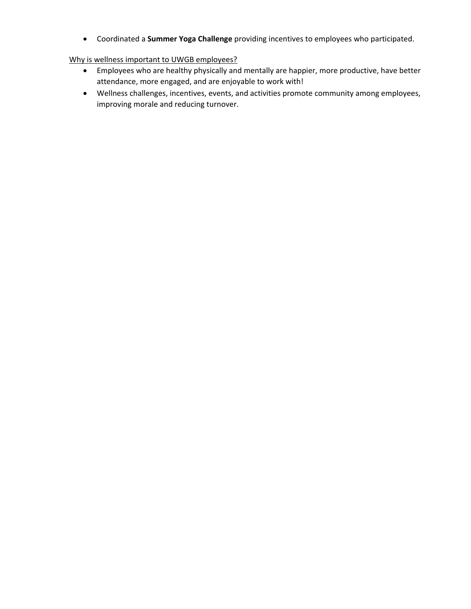• Coordinated a **Summer Yoga Challenge** providing incentives to employees who participated.

### Why is wellness important to UWGB employees?

- Employees who are healthy physically and mentally are happier, more productive, have better attendance, more engaged, and are enjoyable to work with!
- Wellness challenges, incentives, events, and activities promote community among employees, improving morale and reducing turnover.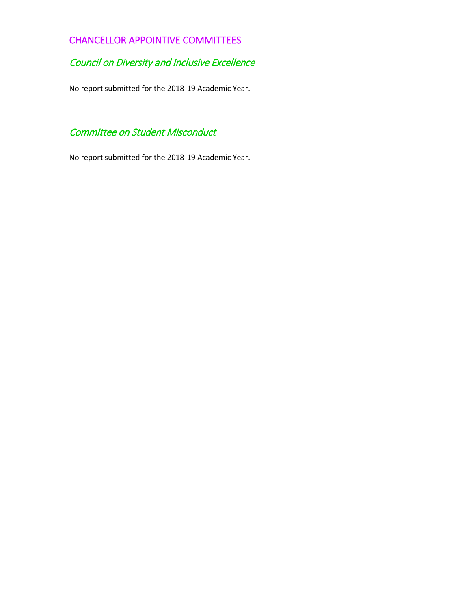# CHANCELLOR APPOINTIVE COMMITTEES

# Council on Diversity and Inclusive Excellence

No report submitted for the 2018-19 Academic Year.

# Committee on Student Misconduct

No report submitted for the 2018-19 Academic Year.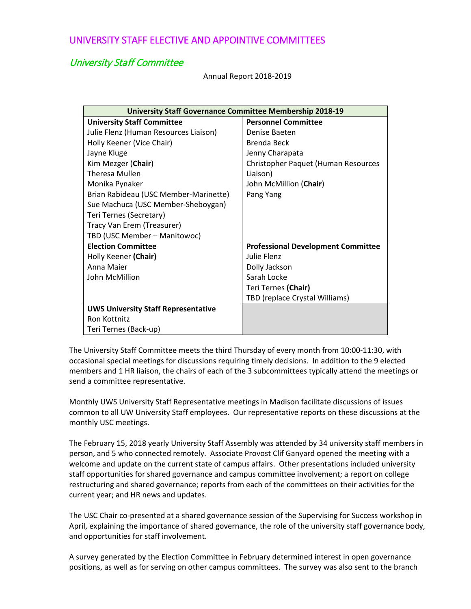### University Staff Committee

Annual Report 2018-2019

| <b>University Staff Governance Committee Membership 2018-19</b> |                                           |
|-----------------------------------------------------------------|-------------------------------------------|
| <b>University Staff Committee</b>                               | <b>Personnel Committee</b>                |
| Julie Flenz (Human Resources Liaison)                           | Denise Baeten                             |
| Holly Keener (Vice Chair)                                       | Brenda Beck                               |
| Jayne Kluge                                                     | Jenny Charapata                           |
| Kim Mezger (Chair)                                              | Christopher Paquet (Human Resources       |
| <b>Theresa Mullen</b>                                           | Liaison)                                  |
| Monika Pynaker                                                  | John McMillion (Chair)                    |
| Brian Rabideau (USC Member-Marinette)                           | Pang Yang                                 |
| Sue Machuca (USC Member-Sheboygan)                              |                                           |
| Teri Ternes (Secretary)                                         |                                           |
| Tracy Van Erem (Treasurer)                                      |                                           |
| TBD (USC Member - Manitowoc)                                    |                                           |
| <b>Election Committee</b>                                       | <b>Professional Development Committee</b> |
| Holly Keener (Chair)                                            | Julie Flenz                               |
| Anna Maier                                                      | Dolly Jackson                             |
| John McMillion                                                  | Sarah Locke                               |
|                                                                 | Teri Ternes (Chair)                       |
|                                                                 | TBD (replace Crystal Williams)            |
| <b>UWS University Staff Representative</b>                      |                                           |
| Ron Kottnitz                                                    |                                           |
| Teri Ternes (Back-up)                                           |                                           |

The University Staff Committee meets the third Thursday of every month from 10:00-11:30, with occasional special meetings for discussions requiring timely decisions. In addition to the 9 elected members and 1 HR liaison, the chairs of each of the 3 subcommittees typically attend the meetings or send a committee representative.

Monthly UWS University Staff Representative meetings in Madison facilitate discussions of issues common to all UW University Staff employees. Our representative reports on these discussions at the monthly USC meetings.

The February 15, 2018 yearly University Staff Assembly was attended by 34 university staff members in person, and 5 who connected remotely. Associate Provost Clif Ganyard opened the meeting with a welcome and update on the current state of campus affairs. Other presentations included university staff opportunities for shared governance and campus committee involvement; a report on college restructuring and shared governance; reports from each of the committees on their activities for the current year; and HR news and updates.

The USC Chair co-presented at a shared governance session of the Supervising for Success workshop in April, explaining the importance of shared governance, the role of the university staff governance body, and opportunities for staff involvement.

A survey generated by the Election Committee in February determined interest in open governance positions, as well as for serving on other campus committees. The survey was also sent to the branch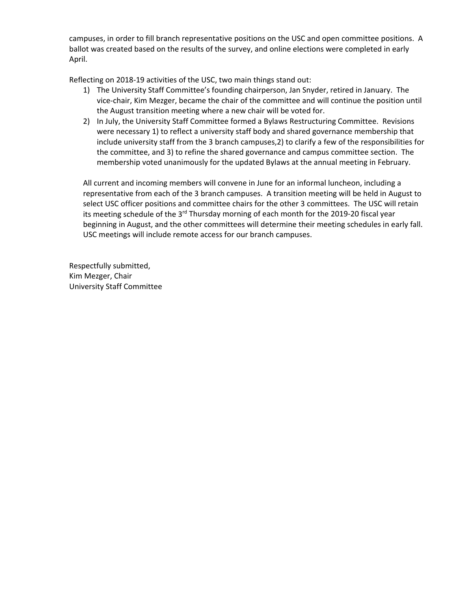campuses, in order to fill branch representative positions on the USC and open committee positions. A ballot was created based on the results of the survey, and online elections were completed in early April.

Reflecting on 2018-19 activities of the USC, two main things stand out:

- 1) The University Staff Committee's founding chairperson, Jan Snyder, retired in January. The vice-chair, Kim Mezger, became the chair of the committee and will continue the position until the August transition meeting where a new chair will be voted for.
- 2) In July, the University Staff Committee formed a Bylaws Restructuring Committee. Revisions were necessary 1) to reflect a university staff body and shared governance membership that include university staff from the 3 branch campuses,2) to clarify a few of the responsibilities for the committee, and 3) to refine the shared governance and campus committee section. The membership voted unanimously for the updated Bylaws at the annual meeting in February.

All current and incoming members will convene in June for an informal luncheon, including a representative from each of the 3 branch campuses. A transition meeting will be held in August to select USC officer positions and committee chairs for the other 3 committees. The USC will retain its meeting schedule of the  $3<sup>rd</sup>$  Thursday morning of each month for the 2019-20 fiscal year beginning in August, and the other committees will determine their meeting schedules in early fall. USC meetings will include remote access for our branch campuses.

Respectfully submitted, Kim Mezger, Chair University Staff Committee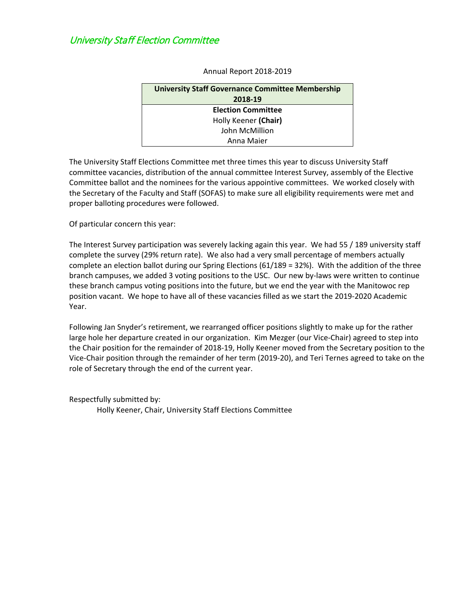# University Staff Election Committee

| <b>University Staff Governance Committee Membership</b> |  |
|---------------------------------------------------------|--|
| 2018-19                                                 |  |
| <b>Election Committee</b>                               |  |
| Holly Keener (Chair)                                    |  |
| John McMillion                                          |  |
| Anna Maier                                              |  |

Annual Report 2018-2019

The University Staff Elections Committee met three times this year to discuss University Staff committee vacancies, distribution of the annual committee Interest Survey, assembly of the Elective Committee ballot and the nominees for the various appointive committees. We worked closely with the Secretary of the Faculty and Staff (SOFAS) to make sure all eligibility requirements were met and proper balloting procedures were followed.

Of particular concern this year:

The Interest Survey participation was severely lacking again this year. We had 55 / 189 university staff complete the survey (29% return rate). We also had a very small percentage of members actually complete an election ballot during our Spring Elections (61/189 = 32%). With the addition of the three branch campuses, we added 3 voting positions to the USC. Our new by-laws were written to continue these branch campus voting positions into the future, but we end the year with the Manitowoc rep position vacant. We hope to have all of these vacancies filled as we start the 2019-2020 Academic Year.

Following Jan Snyder's retirement, we rearranged officer positions slightly to make up for the rather large hole her departure created in our organization. Kim Mezger (our Vice-Chair) agreed to step into the Chair position for the remainder of 2018-19, Holly Keener moved from the Secretary position to the Vice-Chair position through the remainder of her term (2019-20), and Teri Ternes agreed to take on the role of Secretary through the end of the current year.

Respectfully submitted by:

Holly Keener, Chair, University Staff Elections Committee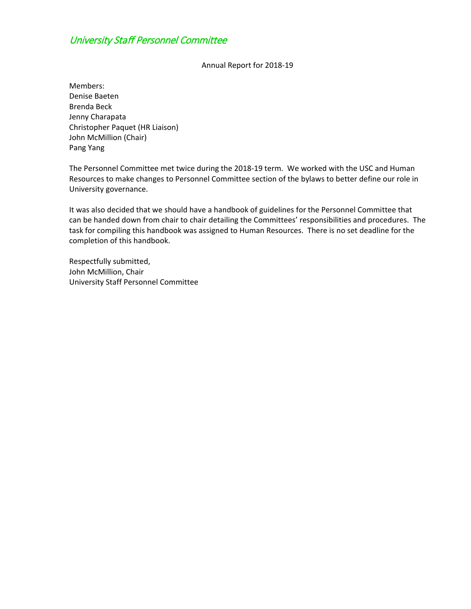# University Staff Personnel Committee

Annual Report for 2018-19

Members: Denise Baeten Brenda Beck Jenny Charapata Christopher Paquet (HR Liaison) John McMillion (Chair) Pang Yang

The Personnel Committee met twice during the 2018-19 term. We worked with the USC and Human Resources to make changes to Personnel Committee section of the bylaws to better define our role in University governance.

It was also decided that we should have a handbook of guidelines for the Personnel Committee that can be handed down from chair to chair detailing the Committees' responsibilities and procedures. The task for compiling this handbook was assigned to Human Resources. There is no set deadline for the completion of this handbook.

Respectfully submitted, John McMillion, Chair University Staff Personnel Committee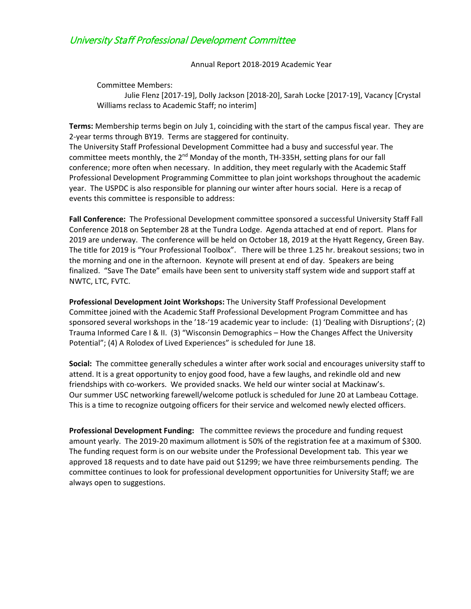## University Staff Professional Development Committee

Annual Report 2018-2019 Academic Year

Committee Members: Julie Flenz [2017-19], Dolly Jackson [2018-20], Sarah Locke [2017-19], Vacancy [Crystal Williams reclass to Academic Staff; no interim]

**Terms:** Membership terms begin on July 1, coinciding with the start of the campus fiscal year. They are 2-year terms through BY19. Terms are staggered for continuity.

The University Staff Professional Development Committee had a busy and successful year. The committee meets monthly, the  $2^{nd}$  Monday of the month, TH-335H, setting plans for our fall conference; more often when necessary. In addition, they meet regularly with the Academic Staff Professional Development Programming Committee to plan joint workshops throughout the academic year. The USPDC is also responsible for planning our winter after hours social. Here is a recap of events this committee is responsible to address:

**Fall Conference:** The Professional Development committee sponsored a successful University Staff Fall Conference 2018 on September 28 at the Tundra Lodge. Agenda attached at end of report. Plans for 2019 are underway. The conference will be held on October 18, 2019 at the Hyatt Regency, Green Bay. The title for 2019 is "Your Professional Toolbox". There will be three 1.25 hr. breakout sessions; two in the morning and one in the afternoon. Keynote will present at end of day. Speakers are being finalized. "Save The Date" emails have been sent to university staff system wide and support staff at NWTC, LTC, FVTC.

**Professional Development Joint Workshops:** The University Staff Professional Development Committee joined with the Academic Staff Professional Development Program Committee and has sponsored several workshops in the '18-'19 academic year to include: (1) 'Dealing with Disruptions'; (2) Trauma Informed Care I & II. (3) "Wisconsin Demographics – How the Changes Affect the University Potential"; (4) A Rolodex of Lived Experiences" is scheduled for June 18.

**Social:** The committee generally schedules a winter after work social and encourages university staff to attend. It is a great opportunity to enjoy good food, have a few laughs, and rekindle old and new friendships with co-workers. We provided snacks. We held our winter social at Mackinaw's. Our summer USC networking farewell/welcome potluck is scheduled for June 20 at Lambeau Cottage. This is a time to recognize outgoing officers for their service and welcomed newly elected officers.

**Professional Development Funding:** The committee reviews the procedure and funding request amount yearly. The 2019-20 maximum allotment is 50% of the registration fee at a maximum of \$300. The funding request form is on our website under the Professional Development tab. This year we approved 18 requests and to date have paid out \$1299; we have three reimbursements pending. The committee continues to look for professional development opportunities for University Staff; we are always open to suggestions.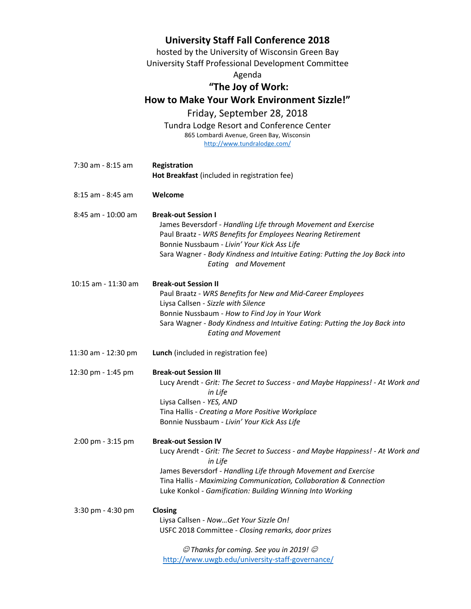|                       | <b>University Staff Fall Conference 2018</b>                                                       |
|-----------------------|----------------------------------------------------------------------------------------------------|
|                       | hosted by the University of Wisconsin Green Bay                                                    |
|                       | University Staff Professional Development Committee                                                |
|                       | Agenda                                                                                             |
|                       | "The Joy of Work:                                                                                  |
|                       | How to Make Your Work Environment Sizzle!"                                                         |
|                       | Friday, September 28, 2018                                                                         |
|                       | Tundra Lodge Resort and Conference Center                                                          |
|                       | 865 Lombardi Avenue, Green Bay, Wisconsin<br>http://www.tundralodge.com/                           |
|                       |                                                                                                    |
| 7:30 am - 8:15 am     | Registration                                                                                       |
|                       | Hot Breakfast (included in registration fee)                                                       |
|                       |                                                                                                    |
| $8:15$ am - $8:45$ am | Welcome                                                                                            |
| 8:45 am - 10:00 am    | <b>Break-out Session I</b>                                                                         |
|                       | James Beversdorf - Handling Life through Movement and Exercise                                     |
|                       | Paul Braatz - WRS Benefits for Employees Nearing Retirement                                        |
|                       | Bonnie Nussbaum - Livin' Your Kick Ass Life                                                        |
|                       | Sara Wagner - Body Kindness and Intuitive Eating: Putting the Joy Back into<br>Eating and Movement |
|                       |                                                                                                    |
| 10:15 am - 11:30 am   | <b>Break-out Session II</b>                                                                        |
|                       | Paul Braatz - WRS Benefits for New and Mid-Career Employees                                        |
|                       | Liysa Callsen - Sizzle with Silence<br>Bonnie Nussbaum - How to Find Joy in Your Work              |
|                       | Sara Wagner - Body Kindness and Intuitive Eating: Putting the Joy Back into                        |
|                       | <b>Eating and Movement</b>                                                                         |
|                       |                                                                                                    |
| 11:30 am - 12:30 pm   | Lunch (included in registration fee)                                                               |
| 12:30 pm - 1:45 pm    | <b>Break-out Session III</b>                                                                       |
|                       | Lucy Arendt - Grit: The Secret to Success - and Maybe Happiness! - At Work and                     |
|                       | in Life                                                                                            |
|                       | Liysa Callsen - YES, AND<br>Tina Hallis - Creating a More Positive Workplace                       |
|                       | Bonnie Nussbaum - Livin' Your Kick Ass Life                                                        |
|                       |                                                                                                    |
| 2:00 pm - 3:15 pm     | <b>Break-out Session IV</b>                                                                        |
|                       | Lucy Arendt - Grit: The Secret to Success - and Maybe Happiness! - At Work and                     |
|                       | in Life<br>James Beversdorf - Handling Life through Movement and Exercise                          |
|                       | Tina Hallis - Maximizing Communication, Collaboration & Connection                                 |
|                       | Luke Konkol - Gamification: Building Winning Into Working                                          |
|                       |                                                                                                    |
| 3:30 pm - 4:30 pm     | Closing<br>Liysa Callsen - NowGet Your Sizzle On!                                                  |
|                       | USFC 2018 Committee - Closing remarks, door prizes                                                 |
|                       |                                                                                                    |
|                       | $\mathcal O$ Thanks for coming. See you in 2019! $\mathcal O$                                      |
|                       | http://www.uwgb.edu/university-staff-governance/                                                   |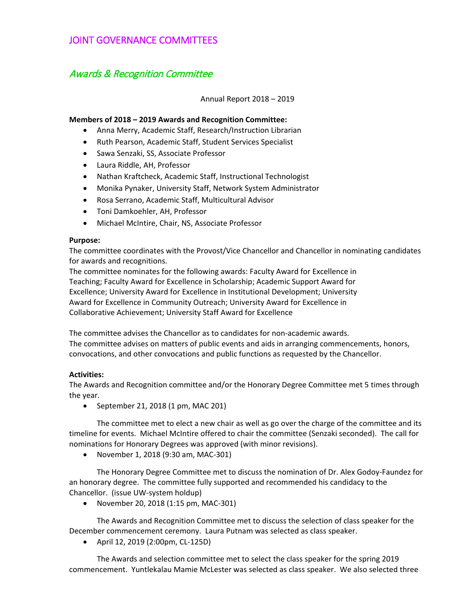### JOINT GOVERNANCE COMMITTEES

## Awards & Recognition Committee

Annual Report 2018 – 2019

#### **Members of 2018 – 2019 Awards and Recognition Committee:**

- Anna Merry, Academic Staff, Research/Instruction Librarian
- Ruth Pearson, Academic Staff, Student Services Specialist
- Sawa Senzaki, SS, Associate Professor
- Laura Riddle, AH, Professor
- Nathan Kraftcheck, Academic Staff, Instructional Technologist
- Monika Pynaker, University Staff, Network System Administrator
- Rosa Serrano, Academic Staff, Multicultural Advisor
- Toni Damkoehler, AH, Professor
- Michael McIntire, Chair, NS, Associate Professor

#### **Purpose:**

The committee coordinates with the Provost/Vice Chancellor and Chancellor in nominating candidates for awards and recognitions.

The committee nominates for the following awards: Faculty Award for Excellence in Teaching; Faculty Award for Excellence in Scholarship; Academic Support Award for Excellence; University Award for Excellence in Institutional Development; University Award for Excellence in Community Outreach; University Award for Excellence in Collaborative Achievement; University Staff Award for Excellence

The committee advises the Chancellor as to candidates for non-academic awards. The committee advises on matters of public events and aids in arranging commencements, honors, convocations, and other convocations and public functions as requested by the Chancellor.

#### **Activities:**

The Awards and Recognition committee and/or the Honorary Degree Committee met 5 times through the year.

• September 21, 2018 (1 pm, MAC 201)

The committee met to elect a new chair as well as go over the charge of the committee and its timeline for events. Michael McIntire offered to chair the committee (Senzaki seconded). The call for nominations for Honorary Degrees was approved (with minor revisions).

• November 1, 2018 (9:30 am, MAC-301)

The Honorary Degree Committee met to discuss the nomination of Dr. Alex Godoy-Faundez for an honorary degree. The committee fully supported and recommended his candidacy to the Chancellor. (issue UW-system holdup)

• November 20, 2018 (1:15 pm, MAC-301)

The Awards and Recognition Committee met to discuss the selection of class speaker for the December commencement ceremony. Laura Putnam was selected as class speaker.

• April 12, 2019 (2:00pm, CL-125D)

The Awards and selection committee met to select the class speaker for the spring 2019 commencement. Yuntlekalau Mamie McLester was selected as class speaker. We also selected three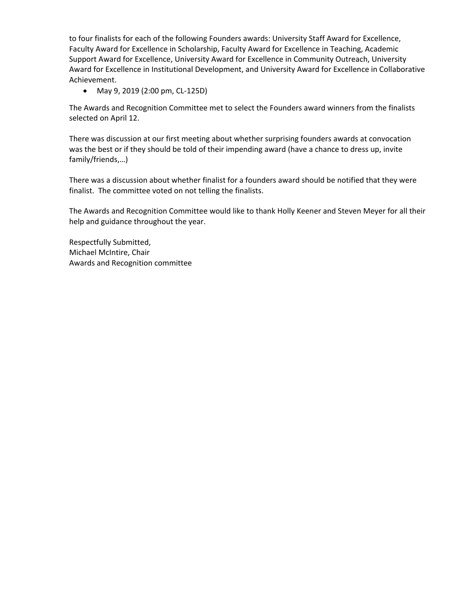to four finalists for each of the following Founders awards: University Staff Award for Excellence, Faculty Award for Excellence in Scholarship, Faculty Award for Excellence in Teaching, Academic Support Award for Excellence, University Award for Excellence in Community Outreach, University Award for Excellence in Institutional Development, and University Award for Excellence in Collaborative Achievement.

• May 9, 2019 (2:00 pm, CL-125D)

The Awards and Recognition Committee met to select the Founders award winners from the finalists selected on April 12.

There was discussion at our first meeting about whether surprising founders awards at convocation was the best or if they should be told of their impending award (have a chance to dress up, invite family/friends,…)

There was a discussion about whether finalist for a founders award should be notified that they were finalist. The committee voted on not telling the finalists.

The Awards and Recognition Committee would like to thank Holly Keener and Steven Meyer for all their help and guidance throughout the year.

Respectfully Submitted, Michael McIntire, Chair Awards and Recognition committee